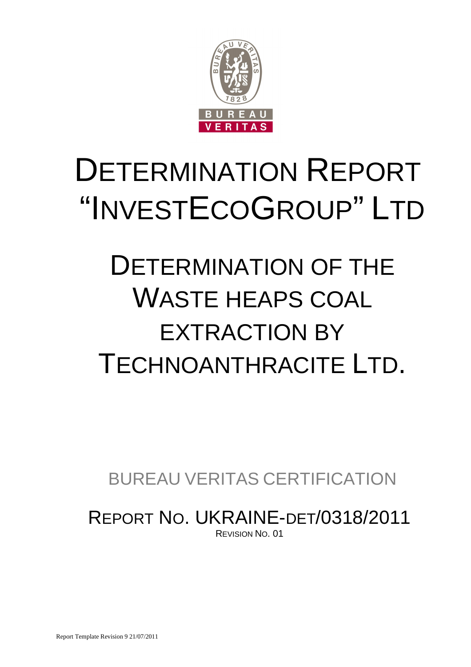

# DETERMINATION REPORT "INVESTECOGROUP" LTD

# DETERMINATION OF THE WASTE HEAPS COAL EXTRACTION BY TECHNOANTHRACITE LTD.

BUREAU VERITAS CERTIFICATION

REPORT NO. UKRAINE-DET/0318/2011 REVISION NO. 01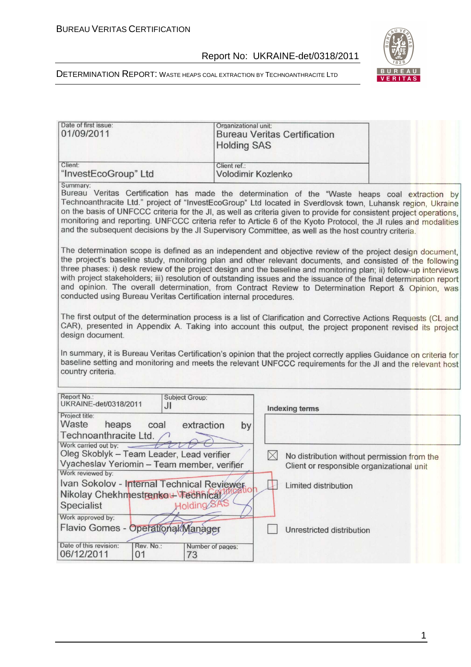

DETERMINATION REPORT: WASTE HEAPS COAL EXTRACTION BY TECHNOANTHRACITE LTD

|                                                                                                                                                                | Organizational unit:<br><b>Bureau Veritas Certification</b><br><b>Holding SAS</b>                                                                                                                                                                                                                                                                                                                                                                                                                                                                                                                                                                                                                                                                                                                                                                                                                                                                                                                                                                                                                                                                                                                                                                               |
|----------------------------------------------------------------------------------------------------------------------------------------------------------------|-----------------------------------------------------------------------------------------------------------------------------------------------------------------------------------------------------------------------------------------------------------------------------------------------------------------------------------------------------------------------------------------------------------------------------------------------------------------------------------------------------------------------------------------------------------------------------------------------------------------------------------------------------------------------------------------------------------------------------------------------------------------------------------------------------------------------------------------------------------------------------------------------------------------------------------------------------------------------------------------------------------------------------------------------------------------------------------------------------------------------------------------------------------------------------------------------------------------------------------------------------------------|
| Client:<br>"InvestEcoGroup" Ltd                                                                                                                                | Client ref.:<br>Volodimir Kozlenko                                                                                                                                                                                                                                                                                                                                                                                                                                                                                                                                                                                                                                                                                                                                                                                                                                                                                                                                                                                                                                                                                                                                                                                                                              |
| Summary:<br>conducted using Bureau Veritas Certification internal procedures.                                                                                  | Bureau Veritas Certification has made the determination of the "Waste heaps coal extraction by<br>Technoanthracite Ltd." project of "InvestEcoGroup" Ltd located in Sverdlovsk town, Luhansk region, Ukraine<br>on the basis of UNFCCC criteria for the JI, as well as criteria given to provide for consistent project operations,<br>monitoring and reporting. UNFCCC criteria refer to Article 6 of the Kyoto Protocol, the JI rules and modalities<br>and the subsequent decisions by the JI Supervisory Committee, as well as the host country criteria.<br>The determination scope is defined as an independent and objective review of the project design document,<br>the project's baseline study, monitoring plan and other relevant documents, and consisted of the following<br>three phases: i) desk review of the project design and the baseline and monitoring plan; ii) follow-up interviews<br>with project stakeholders; iii) resolution of outstanding issues and the issuance of the final determination report<br>and opinion. The overall determination, from Contract Review to Determination Report & Opinion, was<br>The first output of the determination process is a list of Clarification and Corrective Actions Requests (CL and |
| design document.<br>country criteria.                                                                                                                          | CAR), presented in Appendix A. Taking into account this output, the project proponent revised its project<br>In summary, it is Bureau Veritas Certification's opinion that the project correctly applies Guidance on criteria for<br>baseline setting and monitoring and meets the relevant UNFCCC requirements for the JI and the relevant host                                                                                                                                                                                                                                                                                                                                                                                                                                                                                                                                                                                                                                                                                                                                                                                                                                                                                                                |
|                                                                                                                                                                |                                                                                                                                                                                                                                                                                                                                                                                                                                                                                                                                                                                                                                                                                                                                                                                                                                                                                                                                                                                                                                                                                                                                                                                                                                                                 |
| Report No.:<br><b>Subject Group:</b><br>UKRAINE-det/0318/2011<br>JI                                                                                            | <b>Indexing terms</b>                                                                                                                                                                                                                                                                                                                                                                                                                                                                                                                                                                                                                                                                                                                                                                                                                                                                                                                                                                                                                                                                                                                                                                                                                                           |
| Project title:<br>Waste<br>heaps<br>coal<br>extraction<br>Technoanthracite Ltd.                                                                                | by                                                                                                                                                                                                                                                                                                                                                                                                                                                                                                                                                                                                                                                                                                                                                                                                                                                                                                                                                                                                                                                                                                                                                                                                                                                              |
| Work carried out by:<br>Oleg Skoblyk - Team Leader, Lead verifier<br>Vyacheslav Yeriomin - Team member, verifier                                               | $\boxtimes$<br>No distribution without permission from the<br>Client or responsible organizational unit                                                                                                                                                                                                                                                                                                                                                                                                                                                                                                                                                                                                                                                                                                                                                                                                                                                                                                                                                                                                                                                                                                                                                         |
| Work reviewed by:<br>Ivan Sokolov - Internal Technical Reviewer.<br>Nikolay Chekhmestrenkau Vechnical<br>Holding SAS<br><b>Specialist</b><br>Work approved by: | Limited distribution                                                                                                                                                                                                                                                                                                                                                                                                                                                                                                                                                                                                                                                                                                                                                                                                                                                                                                                                                                                                                                                                                                                                                                                                                                            |

1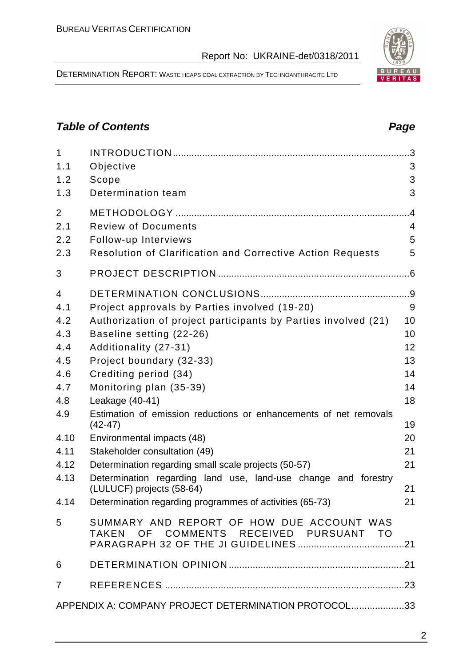DETERMINATION REPORT: WASTE HEAPS COAL EXTRACTION BY TECHNOANTHRACITE LTD

# **Table of Contents Page 2014**

| $\mathbf{1}$   |                                                                                     |                |
|----------------|-------------------------------------------------------------------------------------|----------------|
| 1.1            | Objective                                                                           | 3              |
| 1.2            | Scope                                                                               | 3              |
| 1.3            | Determination team                                                                  | 3              |
| 2              |                                                                                     | $\overline{A}$ |
| 2.1            | <b>Review of Documents</b>                                                          | 4              |
| 2.2            | Follow-up Interviews                                                                | 5              |
| 2.3            | Resolution of Clarification and Corrective Action Requests                          | 5              |
| 3              |                                                                                     |                |
| $\overline{4}$ |                                                                                     |                |
| 4.1            | Project approvals by Parties involved (19-20)                                       | 9              |
| 4.2            | Authorization of project participants by Parties involved (21)                      | 10             |
| 4.3            | Baseline setting (22-26)                                                            | 10             |
| 4.4            | Additionality (27-31)                                                               | 12             |
| 4.5            | Project boundary (32-33)                                                            | 13             |
| 4.6            | Crediting period (34)                                                               | 14             |
| 4.7            | Monitoring plan (35-39)                                                             | 14             |
| 4.8            | Leakage (40-41)                                                                     | 18             |
| 4.9            | Estimation of emission reductions or enhancements of net removals<br>$(42-47)$      | 19             |
| 4.10           | Environmental impacts (48)                                                          | 20             |
| 4.11           | Stakeholder consultation (49)                                                       | 21             |
| 4.12           | Determination regarding small scale projects (50-57)                                | 21             |
| 4.13           | Determination regarding land use, land-use change and forestry                      |                |
|                | (LULUCF) projects (58-64)                                                           | 21             |
|                | 4.14 Determination regarding programmes of activities (65-73)                       | 21             |
| 5              | SUMMARY AND REPORT OF HOW DUE ACCOUNT WAS<br>TAKEN OF COMMENTS RECEIVED PURSUANT TO |                |
| 6              |                                                                                     |                |
| $7^{\circ}$    |                                                                                     |                |
|                | APPENDIX A: COMPANY PROJECT DETERMINATION PROTOCOL33                                |                |

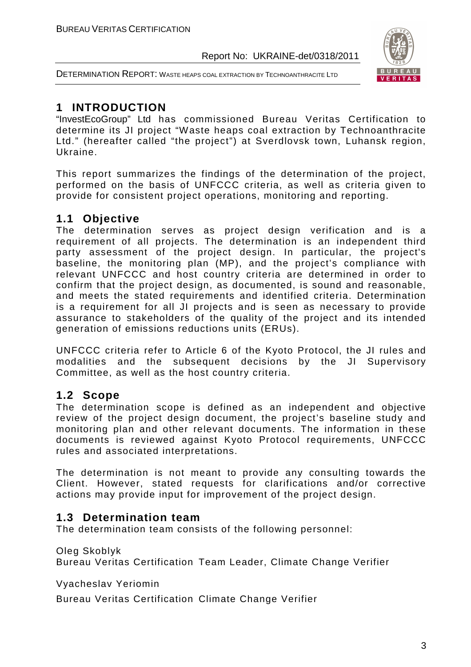



# **1 INTRODUCTION**

"InvestEcoGroup" Ltd has commissioned Bureau Veritas Certification to determine its JI project "Waste heaps coal extraction by Technoanthracite Ltd." (hereafter called "the project") at Sverdlovsk town, Luhansk region, Ukraine.

This report summarizes the findings of the determination of the project, performed on the basis of UNFCCC criteria, as well as criteria given to provide for consistent project operations, monitoring and reporting.

# **1.1 Objective**

The determination serves as project design verification and is a requirement of all projects. The determination is an independent third party assessment of the project design. In particular, the project's baseline, the monitoring plan (MP), and the project's compliance with relevant UNFCCC and host country criteria are determined in order to confirm that the project design, as documented, is sound and reasonable, and meets the stated requirements and identified criteria. Determination is a requirement for all JI projects and is seen as necessary to provide assurance to stakeholders of the quality of the project and its intended generation of emissions reductions units (ERUs).

UNFCCC criteria refer to Article 6 of the Kyoto Protocol, the JI rules and modalities and the subsequent decisions by the JI Supervisory Committee, as well as the host country criteria.

# **1.2 Scope**

The determination scope is defined as an independent and objective review of the project design document, the project's baseline study and monitoring plan and other relevant documents. The information in these documents is reviewed against Kyoto Protocol requirements, UNFCCC rules and associated interpretations.

The determination is not meant to provide any consulting towards the Client. However, stated requests for clarifications and/or corrective actions may provide input for improvement of the project design.

# **1.3 Determination team**

The determination team consists of the following personnel:

Oleg Skoblyk

Bureau Veritas Certification Team Leader, Climate Change Verifier

Vyacheslav Yeriomin

Bureau Veritas Certification Climate Change Verifier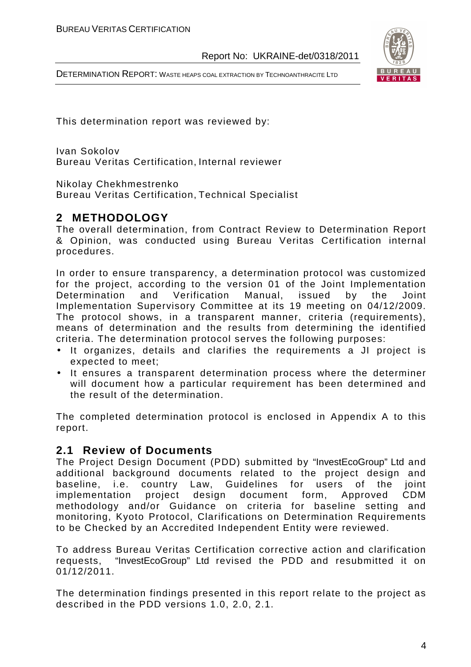DETERMINATION REPORT: WASTE HEAPS COAL EXTRACTION BY TECHNOANTHRACITE LTD



This determination report was reviewed by:

Ivan Sokolov Bureau Veritas Certification, Internal reviewer

Nikolay Chekhmestrenko

Bureau Veritas Certification, Technical Specialist

# **2 METHODOLOGY**

The overall determination, from Contract Review to Determination Report & Opinion, was conducted using Bureau Veritas Certification internal procedures.

In order to ensure transparency, a determination protocol was customized for the project, according to the version 01 of the Joint Implementation Determination and Verification Manual, issued by the Joint Implementation Supervisory Committee at its 19 meeting on 04/12/2009. The protocol shows, in a transparent manner, criteria (requirements), means of determination and the results from determining the identified criteria. The determination protocol serves the following purposes:

- It organizes, details and clarifies the requirements a JI project is expected to meet;
- It ensures a transparent determination process where the determiner will document how a particular requirement has been determined and the result of the determination.

The completed determination protocol is enclosed in Appendix A to this report.

#### **2.1 Review of Documents**

The Project Design Document (PDD) submitted by "InvestEcoGroup" Ltd and additional background documents related to the project design and baseline, i.e. country Law, Guidelines for users of the joint implementation project design document form, Approved CDM methodology and/or Guidance on criteria for baseline setting and monitoring, Kyoto Protocol, Clarifications on Determination Requirements to be Checked by an Accredited Independent Entity were reviewed.

To address Bureau Veritas Certification corrective action and clarification requests, "InvestEcoGroup" Ltd revised the PDD and resubmitted it on 01/12/2011.

The determination findings presented in this report relate to the project as described in the PDD versions 1.0, 2.0, 2.1.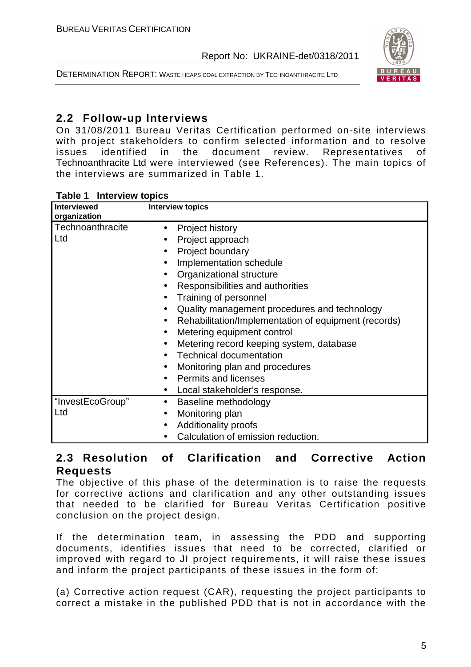



# **2.2 Follow-up Interviews**

On 31/08/2011 Bureau Veritas Certification performed on-site interviews with project stakeholders to confirm selected information and to resolve issues identified in the document review. Representatives of Technoanthracite Ltd were interviewed (see References). The main topics of the interviews are summarized in Table 1.

| <b>Interviewed</b><br>organization | <b>Interview topics</b>                                                                                                                                                                                                                                                                                                                                                                                                                                                                                                                                                                                                                                       |
|------------------------------------|---------------------------------------------------------------------------------------------------------------------------------------------------------------------------------------------------------------------------------------------------------------------------------------------------------------------------------------------------------------------------------------------------------------------------------------------------------------------------------------------------------------------------------------------------------------------------------------------------------------------------------------------------------------|
| Technoanthracite<br>Ltd            | Project history<br>$\bullet$<br>Project approach<br>Project boundary<br>$\bullet$<br>Implementation schedule<br>$\bullet$<br>Organizational structure<br>$\bullet$<br>Responsibilities and authorities<br>$\bullet$<br>Training of personnel<br>$\bullet$<br>Quality management procedures and technology<br>$\bullet$<br>Rehabilitation/Implementation of equipment (records)<br>$\bullet$<br>Metering equipment control<br>$\bullet$<br>Metering record keeping system, database<br>$\bullet$<br><b>Technical documentation</b><br>Monitoring plan and procedures<br>$\bullet$<br><b>Permits and licenses</b><br>Local stakeholder's response.<br>$\bullet$ |
| "InvestEcoGroup"<br>Ltd            | Baseline methodology<br>$\bullet$<br>Monitoring plan<br>$\bullet$<br><b>Additionality proofs</b><br>$\bullet$<br>Calculation of emission reduction.                                                                                                                                                                                                                                                                                                                                                                                                                                                                                                           |

#### **Table 1 Interview topics**

## **2.3 Resolution of Clarification and Corrective Action Requests**

The objective of this phase of the determination is to raise the requests for corrective actions and clarification and any other outstanding issues that needed to be clarified for Bureau Veritas Certification positive conclusion on the project design.

If the determination team, in assessing the PDD and supporting documents, identifies issues that need to be corrected, clarified or improved with regard to JI project requirements, it will raise these issues and inform the project participants of these issues in the form of:

(a) Corrective action request (CAR), requesting the project participants to correct a mistake in the published PDD that is not in accordance with the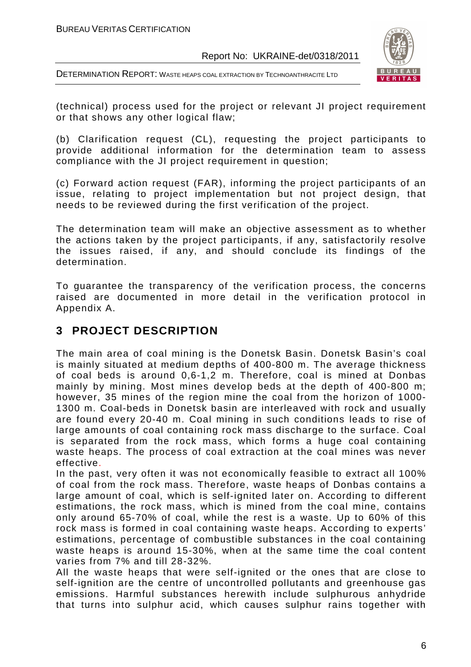DETERMINATION REPORT: WASTE HEAPS COAL EXTRACTION BY TECHNOANTHRACITE LTD



(technical) process used for the project or relevant JI project requirement or that shows any other logical flaw;

(b) Clarification request (CL), requesting the project participants to provide additional information for the determination team to assess compliance with the JI project requirement in question;

(c) Forward action request (FAR), informing the project participants of an issue, relating to project implementation but not project design, that needs to be reviewed during the first verification of the project.

The determination team will make an objective assessment as to whether the actions taken by the project participants, if any, satisfactorily resolve the issues raised, if any, and should conclude its findings of the determination.

To guarantee the transparency of the verification process, the concerns raised are documented in more detail in the verification protocol in Appendix A.

# **3 PROJECT DESCRIPTION**

The main area of coal mining is the Donetsk Basin. Donetsk Basin's coal is mainly situated at medium depths of 400-800 m. The average thickness of coal beds is around 0,6-1,2 m. Therefore, coal is mined at Donbas mainly by mining. Most mines develop beds at the depth of 400-800 m; however, 35 mines of the region mine the coal from the horizon of 1000- 1300 m. Coal-beds in Donetsk basin are interleaved with rock and usually are found every 20-40 m. Coal mining in such conditions leads to rise of large amounts of coal containing rock mass discharge to the surface. Coal is separated from the rock mass, which forms a huge coal containing waste heaps. The process of coal extraction at the coal mines was never effective.

In the past, very often it was not economically feasible to extract all 100% of coal from the rock mass. Therefore, waste heaps of Donbas contains a large amount of coal, which is self-ignited later on. According to different estimations, the rock mass, which is mined from the coal mine, contains only around 65-70% of coal, while the rest is a waste. Up to 60% of this rock mass is formed in coal containing waste heaps. According to experts' estimations, percentage of combustible substances in the coal containing waste heaps is around 15-30%, when at the same time the coal content varies from 7% and till 28-32%.

All the waste heaps that were self-ignited or the ones that are close to self-ignition are the centre of uncontrolled pollutants and greenhouse gas emissions. Harmful substances herewith include sulphurous anhydride that turns into sulphur acid, which causes sulphur rains together with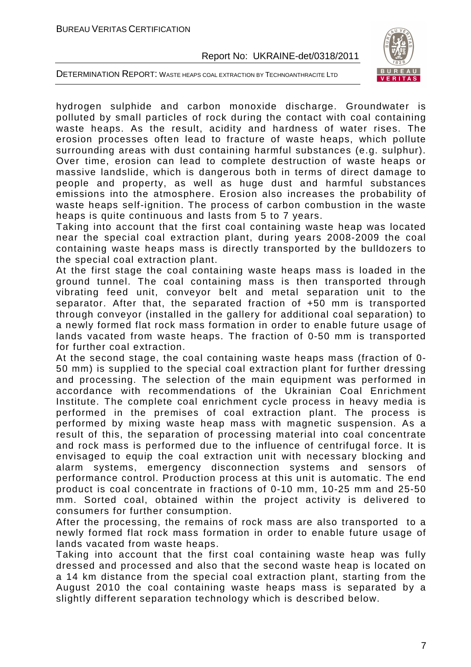

DETERMINATION REPORT: WASTE HEAPS COAL EXTRACTION BY TECHNOANTHRACITE LTD

hydrogen sulphide and carbon monoxide discharge. Groundwater is polluted by small particles of rock during the contact with coal containing waste heaps. As the result, acidity and hardness of water rises. The erosion processes often lead to fracture of waste heaps, which pollute surrounding areas with dust containing harmful substances (e.g. sulphur). Over time, erosion can lead to complete destruction of waste heaps or massive landslide, which is dangerous both in terms of direct damage to people and property, as well as huge dust and harmful substances emissions into the atmosphere. Erosion also increases the probability of waste heaps self-ignition. The process of carbon combustion in the waste heaps is quite continuous and lasts from 5 to 7 years.

Taking into account that the first coal containing waste heap was located near the special coal extraction plant, during years 2008-2009 the coal containing waste heaps mass is directly transported by the bulldozers to the special coal extraction plant.

At the first stage the coal containing waste heaps mass is loaded in the ground tunnel. The coal containing mass is then transported through vibrating feed unit, conveyor belt and metal separation unit to the separator. After that, the separated fraction of +50 mm is transported through conveyor (installed in the gallery for additional coal separation) to a newly formed flat rock mass formation in order to enable future usage of lands vacated from waste heaps. The fraction of 0-50 mm is transported for further coal extraction.

At the second stage, the coal containing waste heaps mass (fraction of 0- 50 mm) is supplied to the special coal extraction plant for further dressing and processing. The selection of the main equipment was performed in accordance with recommendations of the Ukrainian Coal Enrichment Institute. The complete coal enrichment cycle process in heavy media is performed in the premises of coal extraction plant. The process is performed by mixing waste heap mass with magnetic suspension. As a result of this, the separation of processing material into coal concentrate and rock mass is performed due to the influence of centrifugal force. It is envisaged to equip the coal extraction unit with necessary blocking and alarm systems, emergency disconnection systems and sensors of performance control. Production process at this unit is automatic. The end product is coal concentrate in fractions of 0-10 mm, 10-25 mm and 25-50 mm. Sorted coal, obtained within the project activity is delivered to consumers for further consumption.

After the processing, the remains of rock mass are also transported to a newly formed flat rock mass formation in order to enable future usage of lands vacated from waste heaps.

Taking into account that the first coal containing waste heap was fully dressed and processed and also that the second waste heap is located on a 14 km distance from the special coal extraction plant, starting from the August 2010 the coal containing waste heaps mass is separated by a slightly different separation technology which is described below.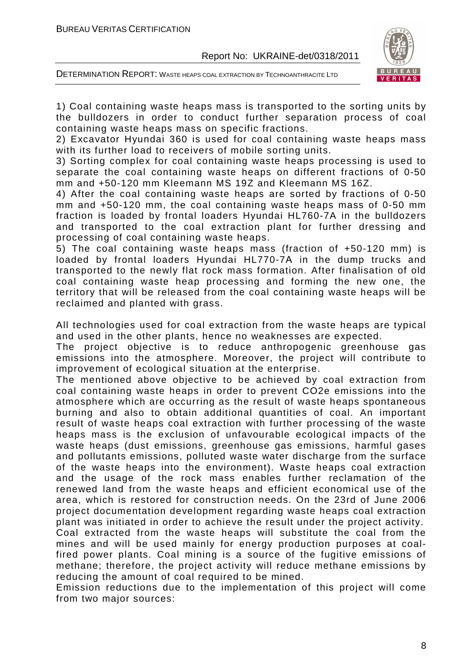

DETERMINATION REPORT: WASTE HEAPS COAL EXTRACTION BY TECHNOANTHRACITE LTD

1) Coal containing waste heaps mass is transported to the sorting units by the bulldozers in order to conduct further separation process of coal containing waste heaps mass on specific fractions.

2) Excavator Hyundai 360 is used for coal containing waste heaps mass with its further load to receivers of mobile sorting units.

3) Sorting complex for coal containing waste heaps processing is used to separate the coal containing waste heaps on different fractions of 0-50 mm and +50-120 mm Kleemann MS 19Z and Kleemann MS 16Z.

4) After the coal containing waste heaps are sorted by fractions of 0-50 mm and +50-120 mm, the coal containing waste heaps mass of 0-50 mm fraction is loaded by frontal loaders Hyundai HL760-7A in the bulldozers and transported to the coal extraction plant for further dressing and processing of coal containing waste heaps.

5) The coal containing waste heaps mass (fraction of +50-120 mm) is loaded by frontal loaders Hyundai HL770-7А in the dump trucks and transported to the newly flat rock mass formation. After finalisation of old coal containing waste heap processing and forming the new one, the territory that will be released from the coal containing waste heaps will be reclaimed and planted with grass.

All technologies used for coal extraction from the waste heaps are typical and used in the other plants, hence no weaknesses are expected.

The project objective is to reduce anthropogenic greenhouse gas emissions into the atmosphere. Moreover, the project will contribute to improvement of ecological situation at the enterprise.

The mentioned above objective to be achieved by coal extraction from coal containing waste heaps in order to prevent CO2e emissions into the atmosphere which are occurring as the result of waste heaps spontaneous burning and also to obtain additional quantities of coal. An important result of waste heaps coal extraction with further processing of the waste heaps mass is the exclusion of unfavourable ecological impacts of the waste heaps (dust emissions, greenhouse gas emissions, harmful gases and pollutants emissions, polluted waste water discharge from the surface of the waste heaps into the environment). Waste heaps coal extraction and the usage of the rock mass enables further reclamation of the renewed land from the waste heaps and efficient economical use of the area, which is restored for construction needs. On the 23rd of June 2006 project documentation development regarding waste heaps coal extraction plant was initiated in order to achieve the result under the project activity.

Coal extracted from the waste heaps will substitute the coal from the mines and will be used mainly for energy production purposes at coalfired power plants. Coal mining is a source of the fugitive emissions of methane; therefore, the project activity will reduce methane emissions by reducing the amount of coal required to be mined.

Emission reductions due to the implementation of this project will come from two major sources: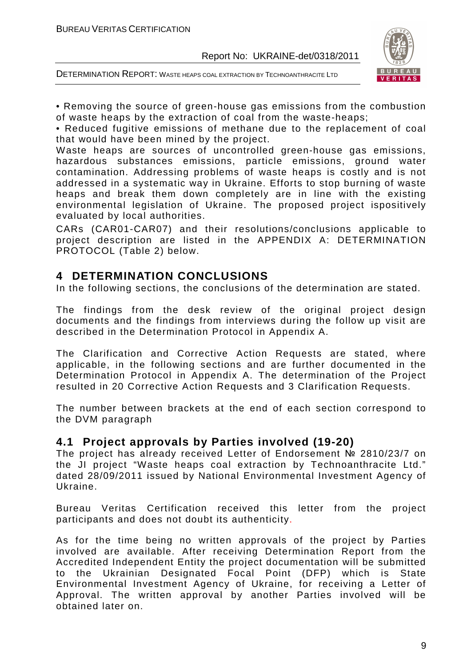



• Removing the source of green-house gas emissions from the combustion of waste heaps by the extraction of coal from the waste-heaps;

• Reduced fugitive emissions of methane due to the replacement of coal that would have been mined by the project.

Waste heaps are sources of uncontrolled green-house gas emissions, hazardous substances emissions, particle emissions, ground water contamination. Addressing problems of waste heaps is costly and is not addressed in a systematic way in Ukraine. Efforts to stop burning of waste heaps and break them down completely are in line with the existing environmental legislation of Ukraine. The proposed project ispositively evaluated by local authorities.

CARs (CAR01-CAR07) and their resolutions/conclusions applicable to project description are listed in the APPENDIX A: DETERMINATION PROTOCOL (Table 2) below.

## **4 DETERMINATION CONCLUSIONS**

In the following sections, the conclusions of the determination are stated.

The findings from the desk review of the original project design documents and the findings from interviews during the follow up visit are described in the Determination Protocol in Appendix A.

The Clarification and Corrective Action Requests are stated, where applicable, in the following sections and are further documented in the Determination Protocol in Appendix A. The determination of the Project resulted in 20 Corrective Action Requests and 3 Clarification Requests.

The number between brackets at the end of each section correspond to the DVM paragraph

#### **4.1 Project approvals by Parties involved (19-20)**

The project has already received Letter of Endorsement № 2810/23/7 on the JI project "Waste heaps coal extraction by Technoanthracite Ltd." dated 28/09/2011 issued by National Environmental Investment Agency of Ukraine.

Bureau Veritas Certification received this letter from the project participants and does not doubt its authenticity.

As for the time being no written approvals of the project by Parties involved are available. After receiving Determination Report from the Accredited Independent Entity the project documentation will be submitted to the Ukrainian Designated Focal Point (DFP) which is State Environmental Investment Agency of Ukraine, for receiving a Letter of Approval. The written approval by another Parties involved will be obtained later on.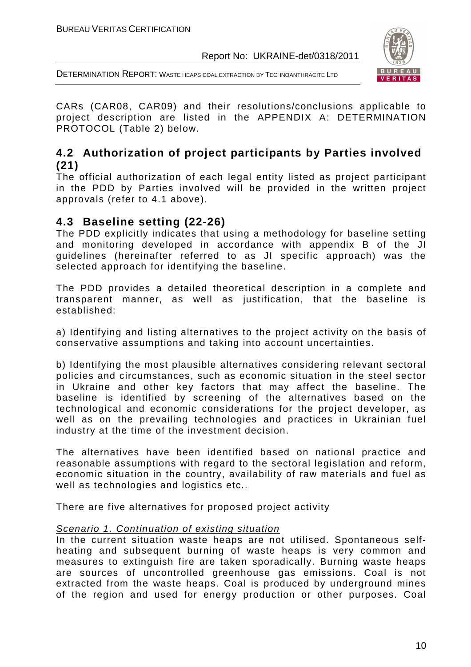DETERMINATION REPORT: WASTE HEAPS COAL EXTRACTION BY TECHNOANTHRACITE LTD



CARs (CAR08, CAR09) and their resolutions/conclusions applicable to project description are listed in the APPENDIX A: DETERMINATION PROTOCOL (Table 2) below.

# **4.2 Authorization of project participants by Parties involved (21)**

The official authorization of each legal entity listed as project participant in the PDD by Parties involved will be provided in the written project approvals (refer to 4.1 above).

## **4.3 Baseline setting (22-26)**

The PDD explicitly indicates that using a methodology for baseline setting and monitoring developed in accordance with appendix B of the JI guidelines (hereinafter referred to as JI specific approach) was the selected approach for identifying the baseline.

The PDD provides a detailed theoretical description in a complete and transparent manner, as well as justification, that the baseline is established:

a) Identifying and listing alternatives to the project activity on the basis of conservative assumptions and taking into account uncertainties.

b) Identifying the most plausible alternatives considering relevant sectoral policies and circumstances, such as economic situation in the steel sector in Ukraine and other key factors that may affect the baseline. The baseline is identified by screening of the alternatives based on the technological and economic considerations for the project developer, as well as on the prevailing technologies and practices in Ukrainian fuel industry at the time of the investment decision.

The alternatives have been identified based on national practice and reasonable assumptions with regard to the sectoral legislation and reform, economic situation in the country, availability of raw materials and fuel as well as technologies and logistics etc..

There are five alternatives for proposed project activity

#### Scenario 1. Continuation of existing situation

In the current situation waste heaps are not utilised. Spontaneous selfheating and subsequent burning of waste heaps is very common and measures to extinguish fire are taken sporadically. Burning waste heaps are sources of uncontrolled greenhouse gas emissions. Coal is not extracted from the waste heaps. Coal is produced by underground mines of the region and used for energy production or other purposes. Coal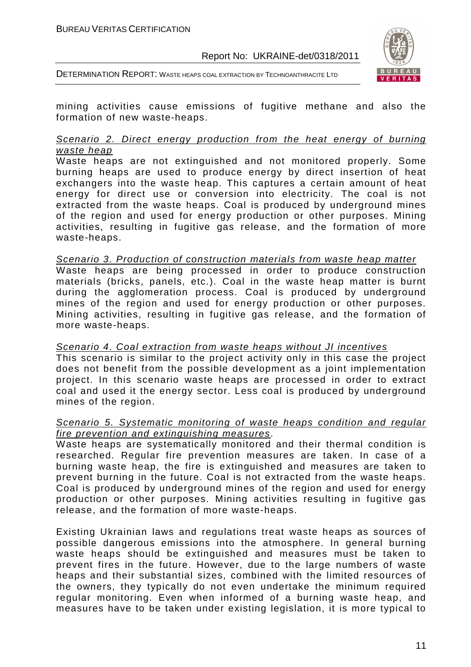



mining activities cause emissions of fugitive methane and also the formation of new waste-heaps.

#### Scenario 2. Direct energy production from the heat energy of burning waste heap

Waste heaps are not extinguished and not monitored properly. Some burning heaps are used to produce energy by direct insertion of heat exchangers into the waste heap. This captures a certain amount of heat energy for direct use or conversion into electricity. The coal is not extracted from the waste heaps. Coal is produced by underground mines of the region and used for energy production or other purposes. Mining activities, resulting in fugitive gas release, and the formation of more waste-heaps.

#### Scenario 3. Production of construction materials from waste heap matter

Waste heaps are being processed in order to produce construction materials (bricks, panels, etc.). Coal in the waste heap matter is burnt during the agglomeration process. Coal is produced by underground mines of the region and used for energy production or other purposes. Mining activities, resulting in fugitive gas release, and the formation of more waste-heaps.

#### Scenario 4. Coal extraction from waste heaps without JI incentives

This scenario is similar to the project activity only in this case the project does not benefit from the possible development as a joint implementation project. In this scenario waste heaps are processed in order to extract coal and used it the energy sector. Less coal is produced by underground mines of the region.

#### Scenario 5. Systematic monitoring of waste heaps condition and regular fire prevention and extinguishing measures.

Waste heaps are systematically monitored and their thermal condition is researched. Regular fire prevention measures are taken. In case of a burning waste heap, the fire is extinguished and measures are taken to prevent burning in the future. Coal is not extracted from the waste heaps. Coal is produced by underground mines of the region and used for energy production or other purposes. Mining activities resulting in fugitive gas release, and the formation of more waste-heaps.

Existing Ukrainian laws and regulations treat waste heaps as sources of possible dangerous emissions into the atmosphere. In general burning waste heaps should be extinguished and measures must be taken to prevent fires in the future. However, due to the large numbers of waste heaps and their substantial sizes, combined with the limited resources of the owners, they typically do not even undertake the minimum required regular monitoring. Even when informed of a burning waste heap, and measures have to be taken under existing legislation, it is more typical to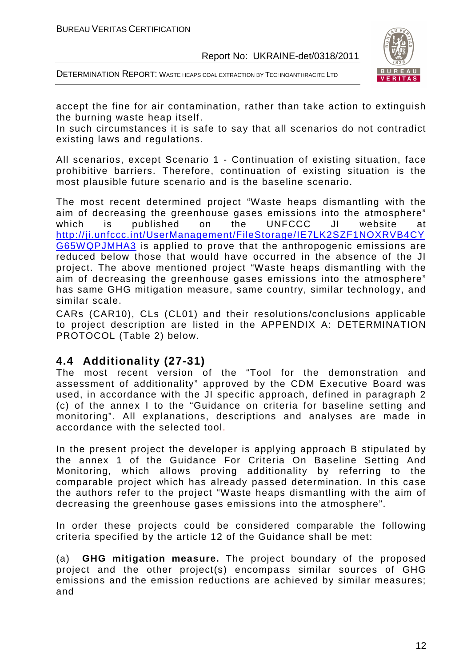DETERMINATION REPORT: WASTE HEAPS COAL EXTRACTION BY TECHNOANTHRACITE LTD



accept the fine for air contamination, rather than take action to extinguish the burning waste heap itself.

In such circumstances it is safe to say that all scenarios do not contradict existing laws and regulations.

All scenarios, except Scenario 1 - Continuation of existing situation, face prohibitive barriers. Therefore, continuation of existing situation is the most plausible future scenario and is the baseline scenario.

The most recent determined project "Waste heaps dismantling with the aim of decreasing the greenhouse gases emissions into the atmosphere" which is published on the UNFCCC JI website at http://ji.unfccc.int/UserManagement/FileStorage/IE7LK2SZF1NOXRVB4CY G65WQPJMHA3 is applied to prove that the anthropogenic emissions are reduced below those that would have occurred in the absence of the JI project. The above mentioned project "Waste heaps dismantling with the aim of decreasing the greenhouse gases emissions into the atmosphere" has same GHG mitigation measure, same country, similar technology, and similar scale.

CARs (CAR10), CLs (CL01) and their resolutions/conclusions applicable to project description are listed in the APPENDIX A: DETERMINATION PROTOCOL (Table 2) below.

## **4.4 Additionality (27-31)**

The most recent version of the "Tool for the demonstration and assessment of additionality" approved by the CDM Executive Board was used, in accordance with the JI specific approach, defined in paragraph 2 (c) of the annex I to the "Guidance on criteria for baseline setting and monitoring". All explanations, descriptions and analyses are made in accordance with the selected tool.

In the present project the developer is applying approach B stipulated by the annex 1 of the Guidance For Criteria On Baseline Setting And Monitoring, which allows proving additionality by referring to the comparable project which has already passed determination. In this case the authors refer to the project "Waste heaps dismantling with the aim of decreasing the greenhouse gases emissions into the atmosphere".

In order these projects could be considered comparable the following criteria specified by the article 12 of the Guidance shall be met:

(a) **GHG mitigation measure.** The project boundary of the proposed project and the other project(s) encompass similar sources of GHG emissions and the emission reductions are achieved by similar measures; and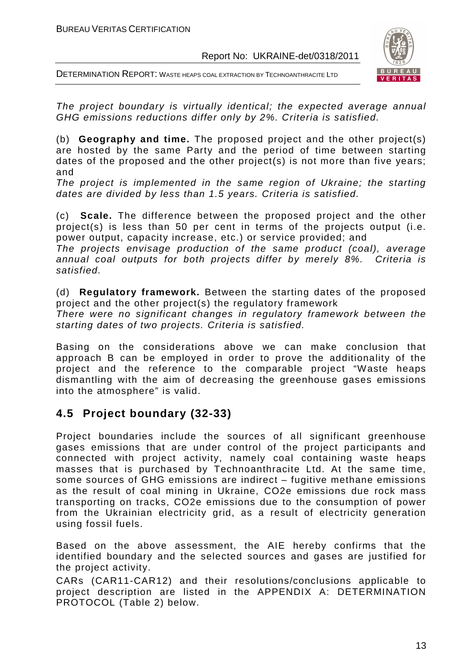DETERMINATION REPORT: WASTE HEAPS COAL EXTRACTION BY TECHNOANTHRACITE LTD



The project boundary is virtually identical; the expected average annual GHG emissions reductions differ only by 2%. Criteria is satisfied.

(b) **Geography and time.** The proposed project and the other project(s) are hosted by the same Party and the period of time between starting dates of the proposed and the other project(s) is not more than five years; and

The project is implemented in the same region of Ukraine; the starting dates are divided by less than 1.5 years. Criteria is satisfied.

(c) **Scale.** The difference between the proposed project and the other project(s) is less than 50 per cent in terms of the projects output (i.e. power output, capacity increase, etc.) or service provided; and

The projects envisage production of the same product (coal), average annual coal outputs for both projects differ by merely 8%. Criteria is satisfied.

(d) **Regulatory framework.** Between the starting dates of the proposed project and the other project(s) the regulatory framework

There were no significant changes in regulatory framework between the starting dates of two projects. Criteria is satisfied.

Basing on the considerations above we can make conclusion that approach B can be employed in order to prove the additionality of the project and the reference to the comparable project "Waste heaps dismantling with the aim of decreasing the greenhouse gases emissions into the atmosphere" is valid.

# **4.5 Project boundary (32-33)**

Project boundaries include the sources of all significant greenhouse gases emissions that are under control of the project participants and connected with project activity, namely coal containing waste heaps masses that is purchased by Technoanthracite Ltd. At the same time, some sources of GHG emissions are indirect – fugitive methane emissions as the result of coal mining in Ukraine, CO2e emissions due rock mass transporting on tracks, CO2e emissions due to the consumption of power from the Ukrainian electricity grid, as a result of electricity generation using fossil fuels.

Based on the above assessment, the AIE hereby confirms that the identified boundary and the selected sources and gases are justified for the project activity.

CARs (CAR11-CAR12) and their resolutions/conclusions applicable to project description are listed in the APPENDIX A: DETERMINATION PROTOCOL (Table 2) below.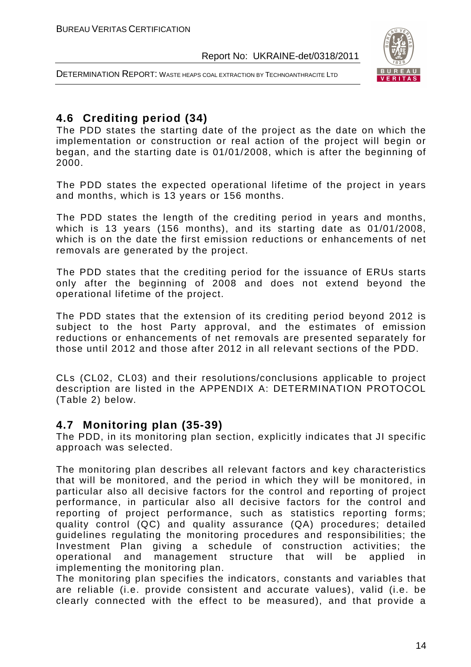



# **4.6 Crediting period (34)**

The PDD states the starting date of the project as the date on which the implementation or construction or real action of the project will begin or began, and the starting date is 01/01/2008, which is after the beginning of 2000.

The PDD states the expected operational lifetime of the project in years and months, which is 13 years or 156 months.

The PDD states the length of the crediting period in years and months, which is 13 years (156 months), and its starting date as 01/01/2008, which is on the date the first emission reductions or enhancements of net removals are generated by the project.

The PDD states that the crediting period for the issuance of ERUs starts only after the beginning of 2008 and does not extend beyond the operational lifetime of the project.

The PDD states that the extension of its crediting period beyond 2012 is subject to the host Party approval, and the estimates of emission reductions or enhancements of net removals are presented separately for those until 2012 and those after 2012 in all relevant sections of the PDD.

CLs (CL02, CL03) and their resolutions/conclusions applicable to project description are listed in the APPENDIX A: DETERMINATION PROTOCOL (Table 2) below.

## **4.7 Monitoring plan (35-39)**

The PDD, in its monitoring plan section, explicitly indicates that JI specific approach was selected.

The monitoring plan describes all relevant factors and key characteristics that will be monitored, and the period in which they will be monitored, in particular also all decisive factors for the control and reporting of project performance, in particular also all decisive factors for the control and reporting of project performance, such as statistics reporting forms; quality control (QC) and quality assurance (QA) procedures; detailed guidelines regulating the monitoring procedures and responsibilities; the Investment Plan giving a schedule of construction activities; the operational and management structure that will be applied in implementing the monitoring plan.

The monitoring plan specifies the indicators, constants and variables that are reliable (i.e. provide consistent and accurate values), valid (i.e. be clearly connected with the effect to be measured), and that provide a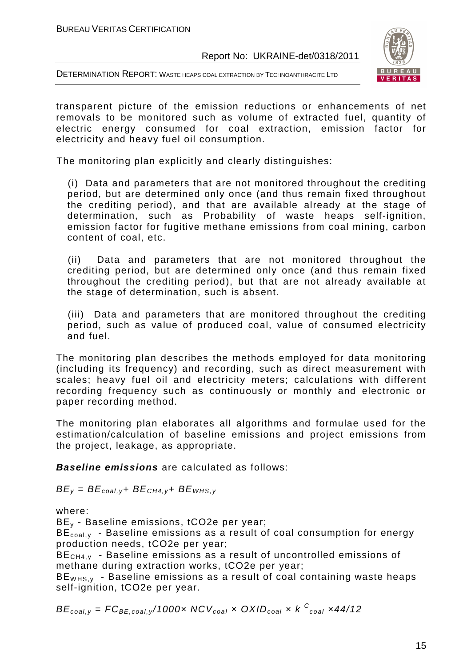



transparent picture of the emission reductions or enhancements of net removals to be monitored such as volume of extracted fuel, quantity of electric energy consumed for coal extraction, emission factor for electricity and heavy fuel oil consumption.

The monitoring plan explicitly and clearly distinguishes:

(i) Data and parameters that are not monitored throughout the crediting period, but are determined only once (and thus remain fixed throughout the crediting period), and that are available already at the stage of determination, such as Probability of waste heaps self-ignition, emission factor for fugitive methane emissions from coal mining, carbon content of coal, etc.

(ii) Data and parameters that are not monitored throughout the crediting period, but are determined only once (and thus remain fixed throughout the crediting period), but that are not already available at the stage of determination, such is absent.

(iii) Data and parameters that are monitored throughout the crediting period, such as value of produced coal, value of consumed electricity and fuel.

The monitoring plan describes the methods employed for data monitoring (including its frequency) and recording, such as direct measurement with scales; heavy fuel oil and electricity meters; calculations with different recording frequency such as continuously or monthly and electronic or paper recording method.

The monitoring plan elaborates all algorithms and formulae used for the estimation/calculation of baseline emissions and project emissions from the project, leakage, as appropriate.

**Baseline emissions** are calculated as follows:

 $BE_v = BE_{coal,v} + BE_{CH4,v} + BE_{WHS,v}$ 

where:

BEy - Baseline emissions, tCO2e per year;

 $BE_{\text{coal}}$ , - Baseline emissions as a result of coal consumption for energy production needs, tCO2e per year;

BE<sub>CH4, y</sub> - Baseline emissions as a result of uncontrolled emissions of methane during extraction works, tCO2e per year;

 $BE<sub>WHS,y</sub>$  - Baseline emissions as a result of coal containing waste heaps self-ignition, tCO2e per year.

 $BE_{coal,y}$  =  $FC_{BE, coal,y}$ /1000x  $NCV_{coal}$  x  $OXID_{coal}$  x  $k$   $^C_{coal}$  x44/12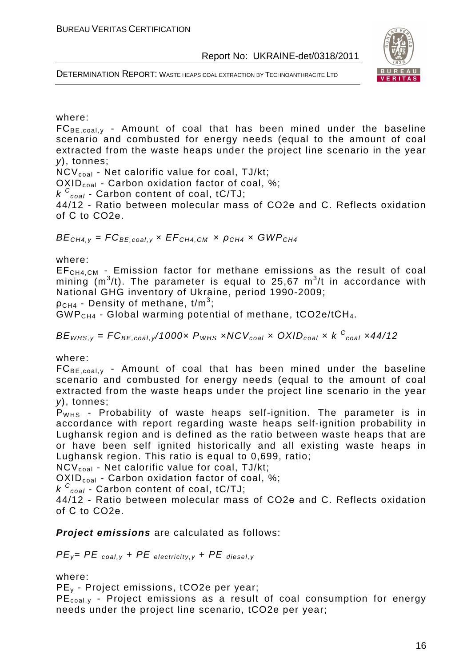



#### where:

 $FC_{BE, coal,v}$  - Amount of coal that has been mined under the baseline scenario and combusted for energy needs (equal to the amount of coal extracted from the waste heaps under the project line scenario in the year y), tonnes;

 $NCV_{coal}$  - Net calorific value for coal, TJ/kt;

OXID<sub>coal</sub> - Carbon oxidation factor of coal, %;

 $k \frac{C_{coal}}{C_{coal}}$  Carbon content of coal, tC/TJ;

44/12 - Ratio between molecular mass of CO2е and C. Reflects oxidation of С to CO2е.

 $BE<sub>CH4,V</sub> = FC<sub>BE.coal,V</sub> × EF<sub>CH4,CM</sub> × \rho<sub>CH4</sub> × GWP<sub>CH4</sub>$ 

where:

EFCH4,CM - Emission factor for methane emissions as the result of coal mining (m<sup>3</sup>/t). The parameter is equal to 25,67 m<sup>3</sup>/t in accordance with National GHG inventory of Ukraine, period 1990-2009;

 $\rho_{\texttt{CH4}}$  - Density of methane, t/m $^3;$ 

GWP<sub>CH4</sub> - Global warming potential of methane, tCO2e/tCH<sub>4</sub>.

 $BE_{WHS, y}$  =  $FC_{BE, coal, y}$ /1000x  $P_{WHS}$  xNCV $_{coal}$  x OXID $_{coal}$  x k  $^{\text{C}}_{\text{coal}}$  x44/12

where:

 $FC_{BE, coal,y}$  - Amount of coal that has been mined under the baseline scenario and combusted for energy needs (equal to the amount of coal extracted from the waste heaps under the project line scenario in the year y), tonnes;

 $P<sub>WHS</sub>$  - Probability of waste heaps self-ignition. The parameter is in accordance with report regarding waste heaps self-ignition probability in Lughansk region and is defined as the ratio between waste heaps that are or have been self ignited historically and all existing waste heaps in Lughansk region. This ratio is equal to 0,699, ratio;

 $NCV_{coal}$  - Net calorific value for coal, TJ/kt;

 $OXID_{coal}$  - Carbon oxidation factor of coal, %;

 $k\textsuperscript{c}_{\text{coal}}$  - Carbon content of coal, tC/TJ;

44/12 - Ratio between molecular mass of CO2е and C. Reflects oxidation of С to CO2е.

#### **Project emissions** are calculated as follows:

 $PE_y = PE$   $_{coal,y} + PE$  electricity,y +  $PE$  diesel,y

where:

PEy - Project emissions, tCO2e per year;

 $PE<sub>coal,v</sub>$  - Project emissions as a result of coal consumption for energy needs under the project line scenario, tCO2e per year;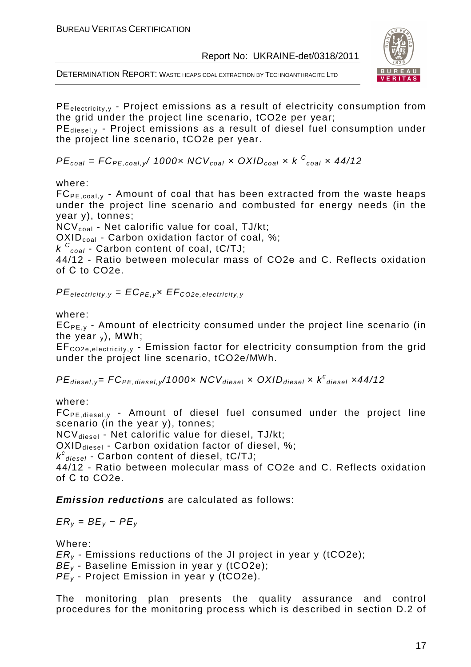



 $PE<sub>electricity,y</sub>$  - Project emissions as a result of electricity consumption from the grid under the project line scenario, tCO2e per year;

 $PE_{\text{diesel,v}}$  - Project emissions as a result of diesel fuel consumption under the project line scenario, tCO2e per year.

 $PE_{coal} = FC_{PE, coal,y}$ / 1000x NCV<sub>coal</sub> x OXID<sub>coal</sub> x k  $C_{coal}$  x 44/12

#### where:

 $FC_{PE, coal, y}$  - Amount of coal that has been extracted from the waste heaps under the project line scenario and combusted for energy needs (in the year y), tonnes;

 $NCV_{coal}$  - Net calorific value for coal, TJ/kt;

OXID<sub>coal</sub> - Carbon oxidation factor of coal, %;

 $k \frac{C_{coal}}{C_{coal}}$  Carbon content of coal, tC/TJ;

44/12 - Ratio between molecular mass of CO2е and C. Reflects oxidation of С to CO2е.

 $PE_{\text{electricity},y} = EC_{PE,y} \times EF_{CO2e, \text{electricity},y}$ 

#### where:

 $EC_{PF, y}$  - Amount of electricity consumed under the project line scenario (in the year  $\sqrt{ }$ ), MWh;

EF<sub>CO2e,electricity, y</sub> - Emission factor for electricity consumption from the grid under the project line scenario, tCO2e/MWh.

 $PE_{\text{diesel}, y}$ = FC $_{PE, \text{diesel}, y}$ /1000 $x$  NC $V_{\text{diesel}}$   $x$  OXID $_{\text{diesel}}$   $x$   $k^c_{\text{diesel}}$   $x$ 44/12

where:

 $FC_{PE, diesel,v}$  - Amount of diesel fuel consumed under the project line scenario (in the year y), tonnes;

NCV<sub>diesel</sub> - Net calorific value for diesel, TJ/kt;

 $OXID_{\text{diesel}}$  - Carbon oxidation factor of diesel, %;

 $k^{c}$ <sub>diesel</sub> - Carbon content of diesel, tC/TJ;

44/12 - Ratio between molecular mass of CO2е and C. Reflects oxidation of С to CO2е.

**Emission reductions** are calculated as follows:

 $ER_v = BE_v - PE_v$ 

Where:

 $ER<sub>v</sub>$  - Emissions reductions of the JI project in year y (tCO2e);

 $BE_v$  - Baseline Emission in year y (tCO2e);

 $PE_v$  - Project Emission in year y (tCO2e).

The monitoring plan presents the quality assurance and control procedures for the monitoring process which is described in section D.2 of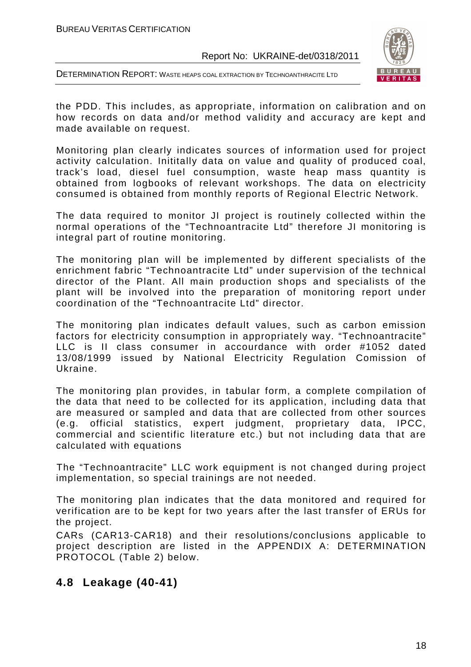DETERMINATION REPORT: WASTE HEAPS COAL EXTRACTION BY TECHNOANTHRACITE LTD



the PDD. This includes, as appropriate, information on calibration and on how records on data and/or method validity and accuracy are kept and made available on request.

Monitoring plan clearly indicates sources of information used for project activity calculation. Inititally data on value and quality of produced coal, track's load, diesel fuel consumption, waste heap mass quantity is obtained from logbooks of relevant workshops. The data on electricity consumed is obtained from monthly reports of Regional Electric Network.

The data required to monitor JI project is routinely collected within the normal operations of the "Technoantracite Ltd" therefore JI monitoring is integral part of routine monitoring.

The monitoring plan will be implemented by different specialists of the enrichment fabric "Technoantracite Ltd" under supervision of the technical director of the Plant. All main production shops and specialists of the plant will be involved into the preparation of monitoring report under coordination of the "Technoantracite Ltd" director.

The monitoring plan indicates default values, such as carbon emission factors for electricity consumption in appropriately way. "Technoantracite" LLC is II class consumer in accourdance with order #1052 dated 13/08/1999 issued by National Electricity Regulation Comission of Ukraine.

The monitoring plan provides, in tabular form, a complete compilation of the data that need to be collected for its application, including data that are measured or sampled and data that are collected from other sources (e.g. official statistics, expert judgment, proprietary data, IPCC, commercial and scientific literature etc.) but not including data that are calculated with equations

The "Technoantracite" LLC work equipment is not changed during project implementation, so special trainings are not needed.

The monitoring plan indicates that the data monitored and required for verification are to be kept for two years after the last transfer of ERUs for the project.

CARs (CAR13-CAR18) and their resolutions/conclusions applicable to project description are listed in the APPENDIX A: DETERMINATION PROTOCOL (Table 2) below.

# **4.8 Leakage (40-41)**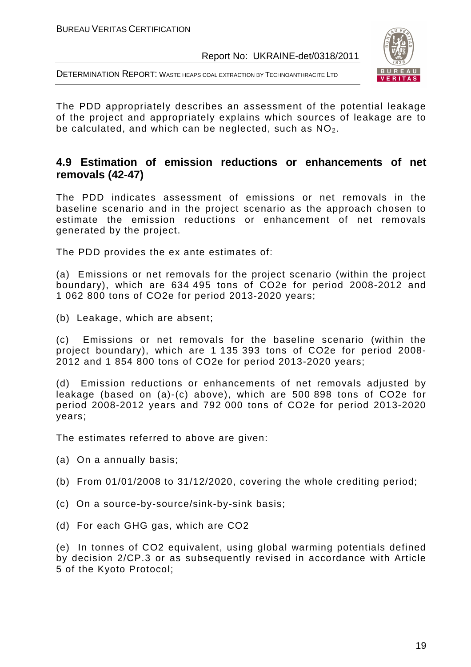DETERMINATION REPORT: WASTE HEAPS COAL EXTRACTION BY TECHNOANTHRACITE LTD



The PDD appropriately describes an assessment of the potential leakage of the project and appropriately explains which sources of leakage are to be calculated, and which can be neglected, such as  $NO<sub>2</sub>$ .

# **4.9 Estimation of emission reductions or enhancements of net removals (42-47)**

The PDD indicates assessment of emissions or net removals in the baseline scenario and in the project scenario as the approach chosen to estimate the emission reductions or enhancement of net removals generated by the project.

The PDD provides the ex ante estimates of:

(a) Emissions or net removals for the project scenario (within the project boundary), which are 634 495 tons of CO2e for period 2008-2012 and 1 062 800 tons of CO2e for period 2013-2020 years;

(b) Leakage, which are absent;

(c) Emissions or net removals for the baseline scenario (within the project boundary), which are 1 135 393 tons of CO2e for period 2008- 2012 and 1 854 800 tons of CO2e for period 2013-2020 years;

(d) Emission reductions or enhancements of net removals adjusted by leakage (based on (a)-(c) above), which are 500 898 tons of CO2e for period 2008-2012 years and 792 000 tons of CO2e for period 2013-2020 years;

The estimates referred to above are given:

(a) On a annually basis;

- (b) From 01/01/2008 to 31/12/2020, covering the whole crediting period;
- (c) On a source-by-source/sink-by-sink basis;
- (d) For each GHG gas, which are CO2

(e) In tonnes of CO2 equivalent, using global warming potentials defined by decision 2/CP.3 or as subsequently revised in accordance with Article 5 of the Kyoto Protocol;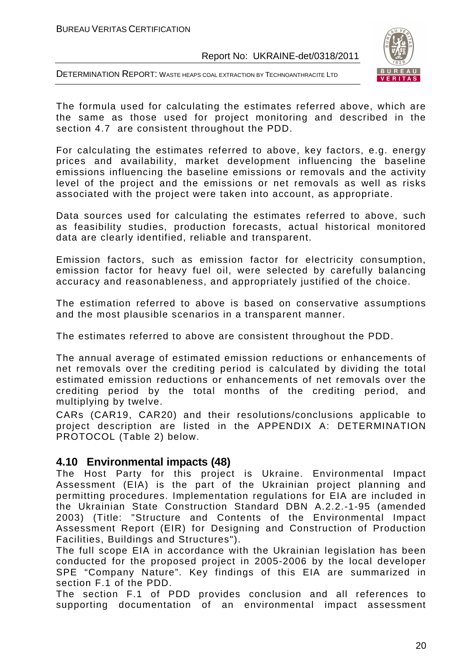

DETERMINATION REPORT: WASTE HEAPS COAL EXTRACTION BY TECHNOANTHRACITE LTD

The formula used for calculating the estimates referred above, which are the same as those used for project monitoring and described in the section 4.7 are consistent throughout the PDD.

For calculating the estimates referred to above, key factors, e.g. energy prices and availability, market development influencing the baseline emissions influencing the baseline emissions or removals and the activity level of the project and the emissions or net removals as well as risks associated with the project were taken into account, as appropriate.

Data sources used for calculating the estimates referred to above, such as feasibility studies, production forecasts, actual historical monitored data are clearly identified, reliable and transparent.

Emission factors, such as emission factor for electricity consumption, emission factor for heavy fuel oil, were selected by carefully balancing accuracy and reasonableness, and appropriately justified of the choice.

The estimation referred to above is based on conservative assumptions and the most plausible scenarios in a transparent manner.

The estimates referred to above are consistent throughout the PDD.

The annual average of estimated emission reductions or enhancements of net removals over the crediting period is calculated by dividing the total estimated emission reductions or enhancements of net removals over the crediting period by the total months of the crediting period, and multiplying by twelve.

CARs (CAR19, CAR20) and their resolutions/conclusions applicable to project description are listed in the APPENDIX A: DETERMINATION PROTOCOL (Table 2) below.

## **4.10 Environmental impacts (48)**

The Host Party for this project is Ukraine. Environmental Impact Assessment (EIA) is the part of the Ukrainian project planning and permitting procedures. Implementation regulations for EIA are included in the Ukrainian State Construction Standard DBN A.2.2.-1-95 (amended 2003) (Title: "Structure and Contents of the Environmental Impact Assessment Report (EIR) for Designing and Construction of Production Facilities, Buildings and Structures").

The full scope EIA in accordance with the Ukrainian legislation has been conducted for the proposed project in 2005-2006 by the local developer SPE "Company Nature". Key findings of this EIA are summarized in section F.1 of the PDD.

The section F.1 of PDD provides conclusion and all references to supporting documentation of an environmental impact assessment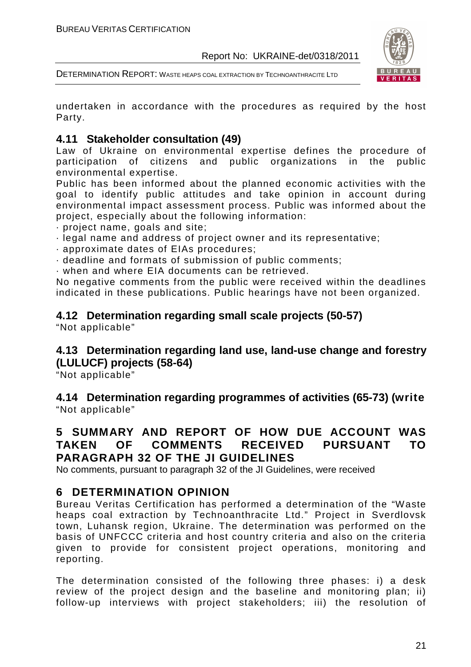



undertaken in accordance with the procedures as required by the host Party.

## **4.11 Stakeholder consultation (49)**

Law of Ukraine on environmental expertise defines the procedure of participation of citizens and public organizations in the public environmental expertise.

Public has been informed about the planned economic activities with the goal to identify public attitudes and take opinion in account during environmental impact assessment process. Public was informed about the project, especially about the following information:

· project name, goals and site;

- · legal name and address of project owner and its representative;
- · approximate dates of EIAs procedures;
- · deadline and formats of submission of public comments;

· when and where EIA documents can be retrieved.

No negative comments from the public were received within the deadlines indicated in these publications. Public hearings have not been organized.

# **4.12 Determination regarding small scale projects (50-57)**

"Not applicable"

# **4.13 Determination regarding land use, land-use change and forestry (LULUCF) projects (58-64)**

"Not applicable"

**4.14 Determination regarding programmes of activities (65-73) (write**  "Not applicable"

## **5 SUMMARY AND REPORT OF HOW DUE ACCOUNT WAS TAKEN OF COMMENTS RECEIVED PURSUANT TO PARAGRAPH 32 OF THE JI GUIDELINES**

No comments, pursuant to paragraph 32 of the JI Guidelines, were received

## **6 DETERMINATION OPINION**

Bureau Veritas Certification has performed a determination of the "Waste heaps coal extraction by Technoanthracite Ltd." Project in Sverdlovsk town, Luhansk region, Ukraine. The determination was performed on the basis of UNFCCC criteria and host country criteria and also on the criteria given to provide for consistent project operations, monitoring and reporting.

The determination consisted of the following three phases: i) a desk review of the project design and the baseline and monitoring plan; ii) follow-up interviews with project stakeholders; iii) the resolution of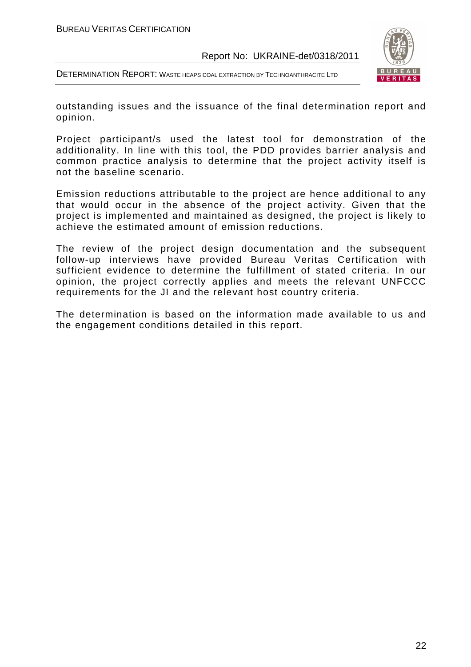



outstanding issues and the issuance of the final determination report and opinion.

Project participant/s used the latest tool for demonstration of the additionality. In line with this tool, the PDD provides barrier analysis and common practice analysis to determine that the project activity itself is not the baseline scenario.

Emission reductions attributable to the project are hence additional to any that would occur in the absence of the project activity. Given that the project is implemented and maintained as designed, the project is likely to achieve the estimated amount of emission reductions.

The review of the project design documentation and the subsequent follow-up interviews have provided Bureau Veritas Certification with sufficient evidence to determine the fulfillment of stated criteria. In our opinion, the project correctly applies and meets the relevant UNFCCC requirements for the JI and the relevant host country criteria.

The determination is based on the information made available to us and the engagement conditions detailed in this report.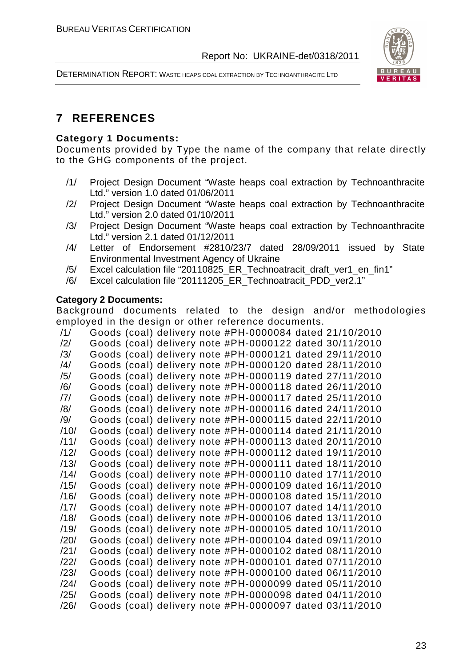DETERMINATION REPORT: WASTE HEAPS COAL EXTRACTION BY TECHNOANTHRACITE LTD



# **7 REFERENCES**

#### **Category 1 Documents:**

Documents provided by Type the name of the company that relate directly to the GHG components of the project.

- /1/ Project Design Document "Waste heaps coal extraction by Technoanthracite Ltd." version 1.0 dated 01/06/2011
- /2/ Project Design Document "Waste heaps coal extraction by Technoanthracite Ltd." version 2.0 dated 01/10/2011
- /3/ Project Design Document "Waste heaps coal extraction by Technoanthracite Ltd." version 2.1 dated 01/12/2011
- /4/ Letter of Endorsement #2810/23/7 dated 28/09/2011 issued by State Environmental Investment Agency of Ukraine
- /5/ Excel calculation file "20110825\_ER\_Technoatracit\_draft\_ver1\_en\_fin1"
- /6/ Excel calculation file "20111205\_ER\_Technoatracit\_PDD\_ver2.1"

#### **Category 2 Documents:**

Background documents related to the design and/or methodologies employed in the design or other reference documents.

| /1/            | Goods (coal) delivery note #PH-0000084 dated 21/10/2010 |  |  |  |
|----------------|---------------------------------------------------------|--|--|--|
| $\frac{12}{1}$ | Goods (coal) delivery note #PH-0000122 dated 30/11/2010 |  |  |  |
| /3/            | Goods (coal) delivery note #PH-0000121 dated 29/11/2010 |  |  |  |
| $\frac{14}{3}$ | Goods (coal) delivery note #PH-0000120 dated 28/11/2010 |  |  |  |
| /5/            | Goods (coal) delivery note #PH-0000119 dated 27/11/2010 |  |  |  |
| /6/            | Goods (coal) delivery note #PH-0000118 dated 26/11/2010 |  |  |  |
| 7              | Goods (coal) delivery note #PH-0000117 dated 25/11/2010 |  |  |  |
| /8/            | Goods (coal) delivery note #PH-0000116 dated 24/11/2010 |  |  |  |
| /9/            | Goods (coal) delivery note #PH-0000115 dated 22/11/2010 |  |  |  |
| /10/           | Goods (coal) delivery note #PH-0000114 dated 21/11/2010 |  |  |  |
| /11/           | Goods (coal) delivery note #PH-0000113 dated 20/11/2010 |  |  |  |
| /12/           | Goods (coal) delivery note #PH-0000112 dated 19/11/2010 |  |  |  |
| /13/           | Goods (coal) delivery note #PH-0000111 dated 18/11/2010 |  |  |  |
| /14/           | Goods (coal) delivery note #PH-0000110 dated 17/11/2010 |  |  |  |
| /15/           | Goods (coal) delivery note #PH-0000109 dated 16/11/2010 |  |  |  |
| /16/           | Goods (coal) delivery note #PH-0000108 dated 15/11/2010 |  |  |  |
| /17/           | Goods (coal) delivery note #PH-0000107 dated 14/11/2010 |  |  |  |
| /18/           | Goods (coal) delivery note #PH-0000106 dated 13/11/2010 |  |  |  |
| /19/           | Goods (coal) delivery note #PH-0000105 dated 10/11/2010 |  |  |  |
| /20/           | Goods (coal) delivery note #PH-0000104 dated 09/11/2010 |  |  |  |
| /21/           | Goods (coal) delivery note #PH-0000102 dated 08/11/2010 |  |  |  |
| /22/           | Goods (coal) delivery note #PH-0000101 dated 07/11/2010 |  |  |  |
| /23/           | Goods (coal) delivery note #PH-0000100 dated 06/11/2010 |  |  |  |
| /24/           | Goods (coal) delivery note #PH-0000099 dated 05/11/2010 |  |  |  |
| /25/           | Goods (coal) delivery note #PH-0000098 dated 04/11/2010 |  |  |  |
| /26/           | Goods (coal) delivery note #PH-0000097 dated 03/11/2010 |  |  |  |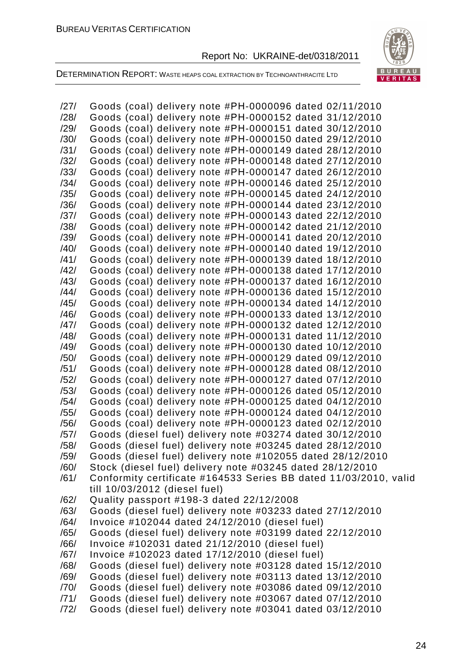

DETERMINATION REPORT: WASTE HEAPS COAL EXTRACTION BY TECHNOANTHRACITE LTD

/27/ Goods (coal) delivery note #РН-0000096 dated 02/11/2010 /28/ Goods (coal) delivery note #РН-0000152 dated 31/12/2010 /29/ Goods (coal) delivery note #РН-0000151 dated 30/12/2010 /30/ Goods (coal) delivery note #РН-0000150 dated 29/12/2010 /31/ Goods (coal) delivery note #РН-0000149 dated 28/12/2010 /32/ Goods (coal) delivery note #РН-0000148 dated 27/12/2010 /33/ Goods (coal) delivery note #РН-0000147 dated 26/12/2010 /34/ Goods (coal) delivery note #РН-0000146 dated 25/12/2010 /35/ Goods (coal) delivery note #РН-0000145 dated 24/12/2010 /36/ Goods (coal) delivery note #РН-0000144 dated 23/12/2010 /37/ Goods (coal) delivery note #РН-0000143 dated 22/12/2010 /38/ Goods (coal) delivery note #РН-0000142 dated 21/12/2010 /39/ Goods (coal) delivery note #РН-0000141 dated 20/12/2010 /40/ Goods (coal) delivery note #РН-0000140 dated 19/12/2010 /41/ Goods (coal) delivery note #РН-0000139 dated 18/12/2010 /42/ Goods (coal) delivery note #РН-0000138 dated 17/12/2010 /43/ Goods (coal) delivery note #РН-0000137 dated 16/12/2010 /44/ Goods (coal) delivery note #РН-0000136 dated 15/12/2010 /45/ Goods (coal) delivery note #РН-0000134 dated 14/12/2010 /46/ Goods (coal) delivery note #РН-0000133 dated 13/12/2010 /47/ Goods (coal) delivery note #РН-0000132 dated 12/12/2010 /48/ Goods (coal) delivery note #РН-0000131 dated 11/12/2010 /49/ Goods (coal) delivery note #РН-0000130 dated 10/12/2010 /50/ Goods (coal) delivery note #РН-0000129 dated 09/12/2010 /51/ Goods (coal) delivery note #РН-0000128 dated 08/12/2010 /52/ Goods (coal) delivery note #РН-0000127 dated 07/12/2010 /53/ Goods (coal) delivery note #РН-0000126 dated 05/12/2010 /54/ Goods (coal) delivery note #РН-0000125 dated 04/12/2010 /55/ Goods (coal) delivery note #РН-0000124 dated 04/12/2010 /56/ Goods (coal) delivery note #РН-0000123 dated 02/12/2010 /57/ Goods (diesel fuel) delivery note #03274 dated 30/12/2010 /58/ Goods (diesel fuel) delivery note #03245 dated 28/12/2010 /59/ Goods (diesel fuel) delivery note #102055 dated 28/12/2010 /60/ Stock (diesel fuel) delivery note #03245 dated 28/12/2010 /61/ Conformity certificate #164533 Series BB dated 11/03/2010, valid till 10/03/2012 (diesel fuel) /62/ Quality passport #198-3 dated 22/12/2008 /63/ Goods (diesel fuel) delivery note #03233 dated 27/12/2010 /64/ Invoice #102044 dated 24/12/2010 (diesel fuel) /65/ Goods (diesel fuel) delivery note #03199 dated 22/12/2010 /66/ Invoice #102031 dated 21/12/2010 (diesel fuel) /67/ Invoice #102023 dated 17/12/2010 (diesel fuel) /68/ Goods (diesel fuel) delivery note #03128 dated 15/12/2010 /69/ Goods (diesel fuel) delivery note #03113 dated 13/12/2010 /70/ Goods (diesel fuel) delivery note #03086 dated 09/12/2010 /71/ Goods (diesel fuel) delivery note #03067 dated 07/12/2010 /72/ Goods (diesel fuel) delivery note #03041 dated 03/12/2010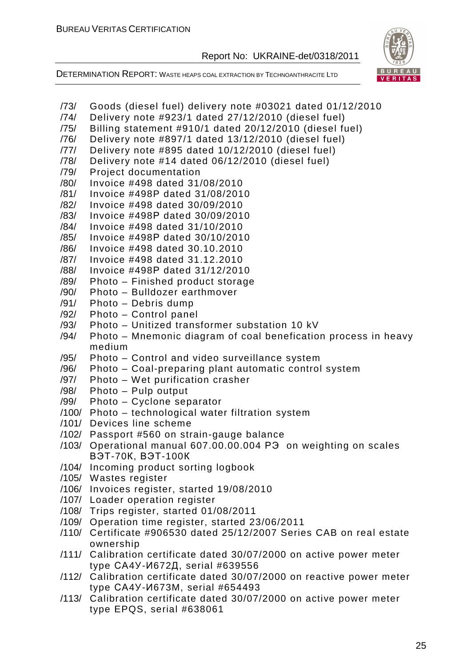

DETERMINATION REPORT: WASTE HEAPS COAL EXTRACTION BY TECHNOANTHRACITE LTD

/74/ Delivery note #923/1 dated 27/12/2010 (diesel fuel) /75/ Billing statement #910/1 dated 20/12/2010 (diesel fuel) /76/ Delivery note #897/1 dated 13/12/2010 (diesel fuel) /77/ Delivery note #895 dated 10/12/2010 (diesel fuel)

/73/ Goods (diesel fuel) delivery note #03021 dated 01/12/2010

- /78/ Delivery note #14 dated 06/12/2010 (diesel fuel) /79/ Project documentation /80/ Invoice #498 dated 31/08/2010 /81/ Invoice #498P dated 31/08/2010 /82/ Invoice #498 dated 30/09/2010 /83/ Invoice #498Р dated 30/09/2010 /84/ Invoice #498 dated 31/10/2010 /85/ Invoice #498Р dated 30/10/2010 /86/ Invoice #498 dated 30.10.2010 /87/ Invoice #498 dated 31.12.2010 /88/ Invoice #498Р dated 31/12/2010 /89/ Photo – Finished product storage /90/ Photo – Bulldozer earthmover /91/ Photo – Debris dump /92/ Photo – Control panel /93/ Photo – Unitized transformer substation 10 kV /94/ Photo – Mnemonic diagram of coal benefication process in heavy medium
- /95/ Photo Control and video surveillance system
- /96/ Photo Coal-preparing plant automatic control system
- /97/ Photo Wet purification crasher
- /98/ Photo Pulp output
- /99/ Photo Cyclone separator
- /100/ Photo technological water filtration system
- /101/ Devices line scheme
- /102/ Passport #560 on strain-gauge balance
- /103/ Operational manual 607.00.00.004 РЭ on weighting on scales ВЭТ-70К, ВЭТ-100К
- /104/ Incoming product sorting logbook
- /105/ Wastes register
- /106/ Invoices register, started 19/08/2010
- /107/ Loader operation register
- /108/ Trips register, started 01/08/2011
- /109/ Operation time register, started 23/06/2011
- /110/ Certificate #906530 dated 25/12/2007 Series CAB on real estate ownership
- /111/ Calibration certificate dated 30/07/2000 on active power meter type СА4У-И672Д, serial #639556
- /112/ Calibration certificate dated 30/07/2000 on reactive power meter type СА4У-И673M, serial #654493
- /113/ Calibration certificate dated 30/07/2000 on active power meter type EPQS, serial #638061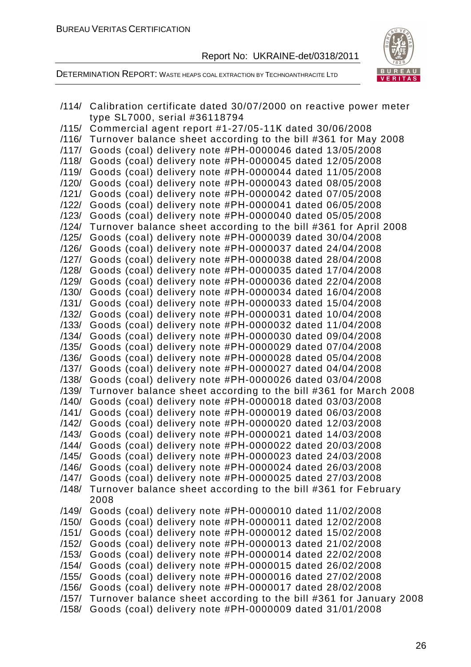



|                | /114/ Calibration certificate dated 30/07/2000 on reactive power meter                                             |
|----------------|--------------------------------------------------------------------------------------------------------------------|
|                | type SL7000, serial #36118794                                                                                      |
| /115/          | Commercial agent report #1-27/05-11K dated 30/06/2008                                                              |
|                | /116/ Turnover balance sheet according to the bill #361 for May 2008                                               |
| /117/          | Goods (coal) delivery note #PH-0000046 dated 13/05/2008                                                            |
| /118/          | Goods (coal) delivery note #PH-0000045 dated 12/05/2008                                                            |
| /119/          | Goods (coal) delivery note #PH-0000044 dated 11/05/2008                                                            |
| /120/          | Goods (coal) delivery note #PH-0000043 dated 08/05/2008                                                            |
| /121/          | Goods (coal) delivery note #PH-0000042 dated 07/05/2008                                                            |
| /122/          | Goods (coal) delivery note #PH-0000041 dated 06/05/2008                                                            |
| /123/          | Goods (coal) delivery note #PH-0000040 dated 05/05/2008                                                            |
| /124/          | Turnover balance sheet according to the bill #361 for April 2008                                                   |
| /125/          | Goods (coal) delivery note #PH-0000039 dated 30/04/2008                                                            |
| /126/          | Goods (coal) delivery note #PH-0000037 dated 24/04/2008                                                            |
| /127/          | Goods (coal) delivery note #PH-0000038 dated 28/04/2008                                                            |
| /128/          | Goods (coal) delivery note #PH-0000035 dated 17/04/2008                                                            |
| /129/          | Goods (coal) delivery note #PH-0000036 dated 22/04/2008                                                            |
| /130/          | Goods (coal) delivery note #PH-0000034 dated 16/04/2008                                                            |
| /131/          | Goods (coal) delivery note #PH-0000033 dated 15/04/2008                                                            |
| /132/          | Goods (coal) delivery note #PH-0000031 dated 10/04/2008                                                            |
| /133/          | Goods (coal) delivery note #PH-0000032 dated 11/04/2008                                                            |
| /134/          | Goods (coal) delivery note #PH-0000030 dated 09/04/2008                                                            |
| /135/          | Goods (coal) delivery note #PH-0000029 dated 07/04/2008                                                            |
| /136/          | Goods (coal) delivery note #PH-0000028 dated 05/04/2008                                                            |
| /137/          | Goods (coal) delivery note #PH-0000027 dated 04/04/2008                                                            |
| /138/          | Goods (coal) delivery note #PH-0000026 dated 03/04/2008                                                            |
| /139/          | Turnover balance sheet according to the bill #361 for March 2008                                                   |
| /140/          | Goods (coal) delivery note #PH-0000018 dated 03/03/2008                                                            |
|                |                                                                                                                    |
| /141/          | Goods (coal) delivery note #PH-0000019 dated 06/03/2008                                                            |
| /142/<br>/143/ | Goods (coal) delivery note #PH-0000020 dated 12/03/2008                                                            |
|                | Goods (coal) delivery note #PH-0000021 dated 14/03/2008<br>Goods (coal) delivery note #PH-0000022 dated 20/03/2008 |
| /144/          |                                                                                                                    |
| /145/          | Goods (coal) delivery note #PH-0000023 dated 24/03/2008                                                            |
| /146/          | Goods (coal) delivery note #PH-0000024 dated 26/03/2008                                                            |
| /147/          | Goods (coal) delivery note #PH-0000025 dated 27/03/2008                                                            |
| /148/          | Turnover balance sheet according to the bill #361 for February                                                     |
|                | 2008                                                                                                               |
| /149/          | Goods (coal) delivery note #PH-0000010 dated 11/02/2008                                                            |
| /150/          | Goods (coal) delivery note #PH-0000011 dated 12/02/2008                                                            |
| /151/          | Goods (coal) delivery note #PH-0000012 dated 15/02/2008                                                            |
| /152/          | Goods (coal) delivery note #PH-0000013 dated 21/02/2008                                                            |
| /153/          | Goods (coal) delivery note #PH-0000014 dated 22/02/2008                                                            |
| /154/          | Goods (coal) delivery note #PH-0000015 dated 26/02/2008                                                            |
| /155/          | Goods (coal) delivery note #PH-0000016 dated 27/02/2008                                                            |
| /156/          | Goods (coal) delivery note #PH-0000017 dated 28/02/2008                                                            |
| /157/          | Turnover balance sheet according to the bill #361 for January 2008                                                 |
| /158/          | Goods (coal) delivery note #PH-0000009 dated 31/01/2008                                                            |
|                |                                                                                                                    |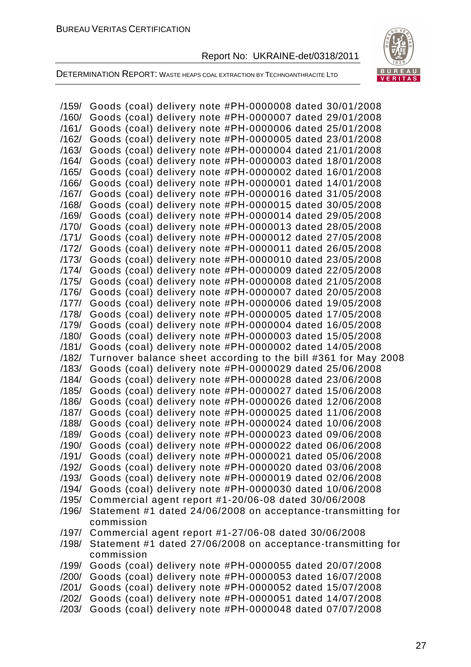

DETERMINATION REPORT: WASTE HEAPS COAL EXTRACTION BY TECHNOANTHRACITE LTD

/159/ Goods (coal) delivery note #РН-0000008 dated 30/01/2008 /160/ Goods (coal) delivery note #РН-0000007 dated 29/01/2008 /161/ Goods (coal) delivery note #РН-0000006 dated 25/01/2008 /162/ Goods (coal) delivery note #РН-0000005 dated 23/01/2008 /163/ Goods (coal) delivery note #РН-0000004 dated 21/01/2008 /164/ Goods (coal) delivery note #РН-0000003 dated 18/01/2008 /165/ Goods (coal) delivery note #РН-0000002 dated 16/01/2008 /166/ Goods (coal) delivery note #РН-0000001 dated 14/01/2008 /167/ Goods (coal) delivery note #РН-0000016 dated 31/05/2008 /168/ Goods (coal) delivery note #РН-0000015 dated 30/05/2008 /169/ Goods (coal) delivery note #РН-0000014 dated 29/05/2008 /170/ Goods (coal) delivery note #РН-0000013 dated 28/05/2008 /171/ Goods (coal) delivery note #РН-0000012 dated 27/05/2008 /172/ Goods (coal) delivery note #РН-0000011 dated 26/05/2008 /173/ Goods (coal) delivery note #РН-0000010 dated 23/05/2008 /174/ Goods (coal) delivery note #РН-0000009 dated 22/05/2008 /175/ Goods (coal) delivery note #РН-0000008 dated 21/05/2008 /176/ Goods (coal) delivery note #РН-0000007 dated 20/05/2008 /177/ Goods (coal) delivery note #РН-0000006 dated 19/05/2008 /178/ Goods (coal) delivery note #РН-0000005 dated 17/05/2008 /179/ Goods (coal) delivery note #РН-0000004 dated 16/05/2008 /180/ Goods (coal) delivery note #РН-0000003 dated 15/05/2008 /181/ Goods (coal) delivery note #РН-0000002 dated 14/05/2008 /182/ Turnover balance sheet according to the bill #361 for May 2008 /183/ Goods (coal) delivery note #РН-0000029 dated 25/06/2008 /184/ Goods (coal) delivery note #РН-0000028 dated 23/06/2008 /185/ Goods (coal) delivery note #РН-0000027 dated 15/06/2008 /186/ Goods (coal) delivery note #РН-0000026 dated 12/06/2008 /187/ Goods (coal) delivery note #РН-0000025 dated 11/06/2008 /188/ Goods (coal) delivery note #РН-0000024 dated 10/06/2008 /189/ Goods (coal) delivery note #РН-0000023 dated 09/06/2008 /190/ Goods (coal) delivery note #РН-0000022 dated 06/06/2008 /191/ Goods (coal) delivery note #РН-0000021 dated 05/06/2008 /192/ Goods (coal) delivery note #РН-0000020 dated 03/06/2008 /193/ Goods (coal) delivery note #РН-0000019 dated 02/06/2008 /194/ Goods (coal) delivery note #РН-0000030 dated 10/06/2008 /195/ Commercial agent report #1-20/06-08 dated 30/06/2008 /196/ Statement #1 dated 24/06/2008 on acceptance-transmitting for commission /197/ Commercial agent report #1-27/06-08 dated 30/06/2008 /198/ Statement #1 dated 27/06/2008 on acceptance-transmitting for commission /199/ Goods (coal) delivery note #РН-0000055 dated 20/07/2008 /200/ Goods (coal) delivery note #РН-0000053 dated 16/07/2008 /201/ Goods (coal) delivery note #РН-0000052 dated 15/07/2008 /202/ Goods (coal) delivery note #РН-0000051 dated 14/07/2008 /203/ Goods (coal) delivery note #РН-0000048 dated 07/07/2008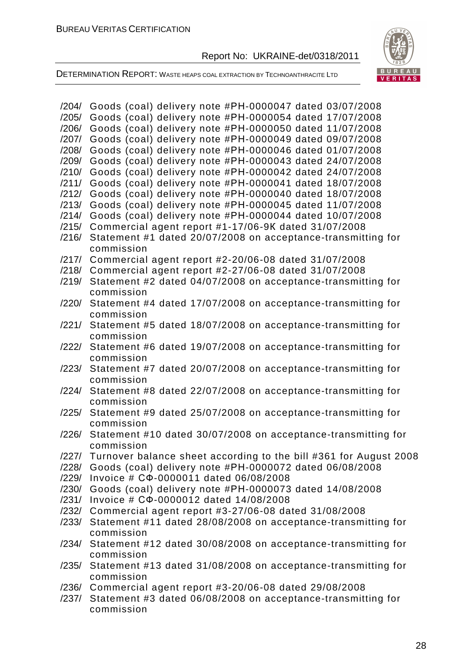

DETERMINATION REPORT: WASTE HEAPS COAL EXTRACTION BY TECHNOANTHRACITE LTD

| /204/ | Goods (coal) delivery note #PH-0000047 dated 03/07/2008                 |
|-------|-------------------------------------------------------------------------|
| /205/ | Goods (coal) delivery note #PH-0000054 dated 17/07/2008                 |
| /206/ | Goods (coal) delivery note #PH-0000050 dated 11/07/2008                 |
| /207/ | Goods (coal) delivery note #PH-0000049 dated 09/07/2008                 |
| /208/ | Goods (coal) delivery note #PH-0000046 dated 01/07/2008                 |
|       |                                                                         |
| /209/ | Goods (coal) delivery note #PH-0000043 dated 24/07/2008                 |
| /210/ | Goods (coal) delivery note #PH-0000042 dated 24/07/2008                 |
| /211/ | Goods (coal) delivery note #PH-0000041 dated 18/07/2008                 |
| /212/ | Goods (coal) delivery note #PH-0000040 dated 18/07/2008                 |
| /213/ | Goods (coal) delivery note #PH-0000045 dated 11/07/2008                 |
| /214/ | Goods (coal) delivery note #PH-0000044 dated 10/07/2008                 |
| /215/ | Commercial agent report #1-17/06-9K dated 31/07/2008                    |
| /216/ | Statement #1 dated 20/07/2008 on acceptance-transmitting for            |
|       | commission                                                              |
|       | /217/ Commercial agent report #2-20/06-08 dated 31/07/2008              |
|       |                                                                         |
| /218/ | Commercial agent report #2-27/06-08 dated 31/07/2008                    |
| /219/ | Statement #2 dated 04/07/2008 on acceptance-transmitting for            |
|       | commission                                                              |
| /220/ | Statement #4 dated 17/07/2008 on acceptance-transmitting for            |
|       | commission                                                              |
| /221/ | Statement #5 dated 18/07/2008 on acceptance-transmitting for            |
|       | commission                                                              |
| /222/ | Statement #6 dated 19/07/2008 on acceptance-transmitting for            |
|       | commission                                                              |
| /223/ | Statement #7 dated 20/07/2008 on acceptance-transmitting for            |
|       | commission                                                              |
| /224/ |                                                                         |
|       | Statement #8 dated 22/07/2008 on acceptance-transmitting for            |
|       | commission                                                              |
| /225/ | Statement #9 dated 25/07/2008 on acceptance-transmitting for            |
|       | commission                                                              |
| /226/ | Statement #10 dated 30/07/2008 on acceptance-transmitting for           |
|       | commission                                                              |
|       | /227/ Turnover balance sheet according to the bill #361 for August 2008 |
|       | /228/ Goods (coal) delivery note #PH-0000072 dated 06/08/2008           |
|       | /229/ Invoice # CФ-0000011 dated 06/08/2008                             |
|       | /230/ Goods (coal) delivery note #PH-0000073 dated 14/08/2008           |
| /231/ | Invoice # C $\Phi$ -0000012 dated 14/08/2008                            |
|       | /232/ Commercial agent report #3-27/06-08 dated 31/08/2008              |
| /233/ |                                                                         |
|       | Statement #11 dated 28/08/2008 on acceptance-transmitting for           |
|       | commission                                                              |
|       | /234/ Statement #12 dated 30/08/2008 on acceptance-transmitting for     |
|       | commission                                                              |
| /235/ | Statement #13 dated 31/08/2008 on acceptance-transmitting for           |
|       | commission                                                              |
|       | /236/ Commercial agent report #3-20/06-08 dated 29/08/2008              |
|       | /237/ Statement #3 dated 06/08/2008 on acceptance-transmitting for      |
|       | commission                                                              |
|       |                                                                         |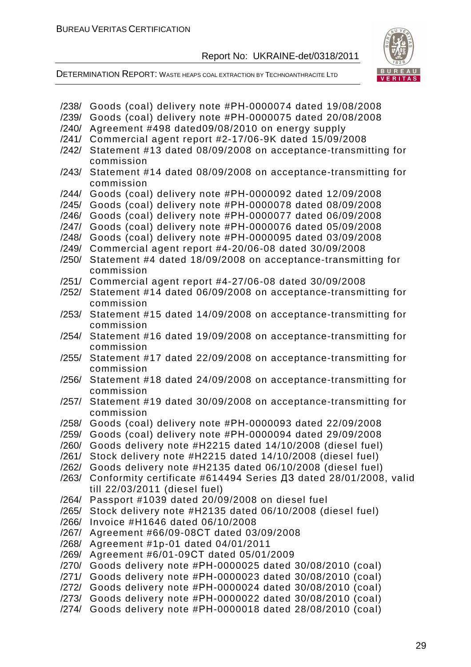DETERMINATION REPORT: WASTE HEAPS COAL EXTRACTION BY TECHNOANTHRACITE LTD



| /238/ | Goods (coal) delivery note #PH-0000074 dated 19/08/2008                                           |
|-------|---------------------------------------------------------------------------------------------------|
| /239/ | Goods (coal) delivery note #PH-0000075 dated 20/08/2008                                           |
| /240/ | Agreement #498 dated09/08/2010 on energy supply                                                   |
| /241/ | Commercial agent report #2-17/06-9K dated 15/09/2008                                              |
| /242/ | Statement #13 dated 08/09/2008 on acceptance-transmitting for<br>commission                       |
| /243/ | Statement #14 dated 08/09/2008 on acceptance-transmitting for<br>commission                       |
| /244/ | Goods (coal) delivery note #PH-0000092 dated 12/09/2008                                           |
| /245/ | Goods (coal) delivery note #PH-0000078 dated 08/09/2008                                           |
| /246/ | Goods (coal) delivery note #PH-0000077 dated 06/09/2008                                           |
| /247/ | Goods (coal) delivery note #PH-0000076 dated 05/09/2008                                           |
| /248/ | Goods (coal) delivery note #PH-0000095 dated 03/09/2008                                           |
| /249/ | Commercial agent report #4-20/06-08 dated 30/09/2008                                              |
| /250/ | Statement #4 dated 18/09/2008 on acceptance-transmitting for<br>commission                        |
| /251/ | Commercial agent report #4-27/06-08 dated 30/09/2008                                              |
| /252/ | Statement #14 dated 06/09/2008 on acceptance-transmitting for<br>commission                       |
| /253/ | Statement #15 dated 14/09/2008 on acceptance-transmitting for<br>commission                       |
| /254/ | Statement #16 dated 19/09/2008 on acceptance-transmitting for<br>commission                       |
| /255/ | Statement #17 dated 22/09/2008 on acceptance-transmitting for<br>commission                       |
| /256/ | Statement #18 dated 24/09/2008 on acceptance-transmitting for<br>commission                       |
| /257/ | Statement #19 dated 30/09/2008 on acceptance-transmitting for<br>commission                       |
| /258/ | Goods (coal) delivery note #PH-0000093 dated 22/09/2008                                           |
| /259/ | Goods (coal) delivery note #PH-0000094 dated 29/09/2008                                           |
| /260/ | Goods delivery note #H2215 dated 14/10/2008 (diesel fuel)                                         |
| /261/ | Stock delivery note #H2215 dated 14/10/2008 (diesel fuel)                                         |
| /262/ | Goods delivery note #H2135 dated 06/10/2008 (diesel fuel)                                         |
| /263/ | Conformity certificate #614494 Series ДЗ dated 28/01/2008, valid<br>till 22/03/2011 (diesel fuel) |
| /264/ | Passport #1039 dated 20/09/2008 on diesel fuel                                                    |
| /265/ | Stock delivery note #H2135 dated 06/10/2008 (diesel fuel)                                         |
| /266/ | Invoice #H1646 dated 06/10/2008                                                                   |
| /267/ | Agreement #66/09-08CT dated 03/09/2008                                                            |
| /268/ | Agreement #1p-01 dated 04/01/2011                                                                 |
| /269/ | Agreement #6/01-09CT dated 05/01/2009                                                             |
| /270/ | Goods delivery note #PH-0000025 dated 30/08/2010 (coal)                                           |
| /271/ | Goods delivery note #PH-0000023 dated 30/08/2010 (coal)                                           |
| /272/ | Goods delivery note #PH-0000024 dated 30/08/2010 (coal)                                           |
| /273/ | Goods delivery note #PH-0000022 dated 30/08/2010 (coal)                                           |
| /274/ | Goods delivery note #PH-0000018 dated 28/08/2010 (coal)                                           |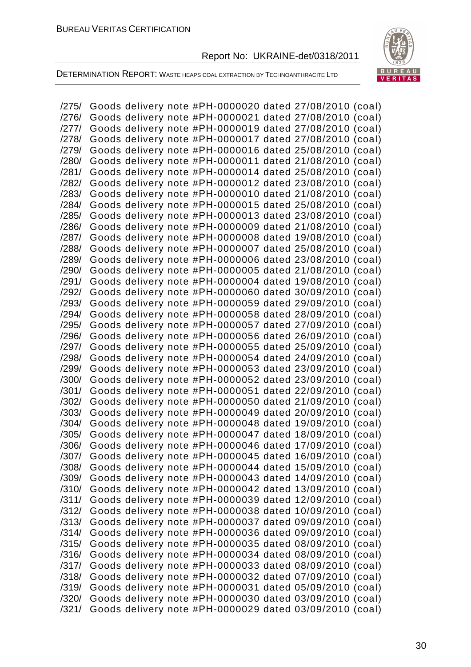

DETERMINATION REPORT: WASTE HEAPS COAL EXTRACTION BY TECHNOANTHRACITE LTD

/275/ Goods delivery note #РН-0000020 dated 27/08/2010 (coal) /276/ Goods delivery note #РН-0000021 dated 27/08/2010 (coal) /277/ Goods delivery note #РН-0000019 dated 27/08/2010 (coal) /278/ Goods delivery note #РН-0000017 dated 27/08/2010 (coal) /279/ Goods delivery note #РН-0000016 dated 25/08/2010 (coal) /280/ Goods delivery note #РН-0000011 dated 21/08/2010 (coal) /281/ Goods delivery note #РН-0000014 dated 25/08/2010 (coal) /282/ Goods delivery note #РН-0000012 dated 23/08/2010 (coal) /283/ Goods delivery note #РН-0000010 dated 21/08/2010 (coal) /284/ Goods delivery note #РН-0000015 dated 25/08/2010 (coal) /285/ Goods delivery note #РН-0000013 dated 23/08/2010 (coal) /286/ Goods delivery note #РН-0000009 dated 21/08/2010 (coal) /287/ Goods delivery note #РН-0000008 dated 19/08/2010 (coal) /288/ Goods delivery note #РН-0000007 dated 25/08/2010 (coal) /289/ Goods delivery note #РН-0000006 dated 23/08/2010 (coal) /290/ Goods delivery note #РН-0000005 dated 21/08/2010 (coal) /291/ Goods delivery note #РН-0000004 dated 19/08/2010 (coal) /292/ Goods delivery note #РН-0000060 dated 30/09/2010 (coal) /293/ Goods delivery note #РН-0000059 dated 29/09/2010 (coal) /294/ Goods delivery note #РН-0000058 dated 28/09/2010 (coal) /295/ Goods delivery note #РН-0000057 dated 27/09/2010 (coal) /296/ Goods delivery note #РН-0000056 dated 26/09/2010 (coal) /297/ Goods delivery note #РН-0000055 dated 25/09/2010 (coal) /298/ Goods delivery note #РН-0000054 dated 24/09/2010 (coal) /299/ Goods delivery note #РН-0000053 dated 23/09/2010 (coal) /300/ Goods delivery note #РН-0000052 dated 23/09/2010 (coal) /301/ Goods delivery note #РН-0000051 dated 22/09/2010 (coal) /302/ Goods delivery note #РН-0000050 dated 21/09/2010 (coal) /303/ Goods delivery note #РН-0000049 dated 20/09/2010 (coal) /304/ Goods delivery note #РН-0000048 dated 19/09/2010 (coal) /305/ Goods delivery note #РН-0000047 dated 18/09/2010 (coal) /306/ Goods delivery note #РН-0000046 dated 17/09/2010 (coal) /307/ Goods delivery note #РН-0000045 dated 16/09/2010 (coal) /308/ Goods delivery note #РН-0000044 dated 15/09/2010 (coal) /309/ Goods delivery note #РН-0000043 dated 14/09/2010 (coal) /310/ Goods delivery note #РН-0000042 dated 13/09/2010 (coal) /311/ Goods delivery note #РН-0000039 dated 12/09/2010 (coal) /312/ Goods delivery note #РН-0000038 dated 10/09/2010 (coal) /313/ Goods delivery note #РН-0000037 dated 09/09/2010 (coal) /314/ Goods delivery note #РН-0000036 dated 09/09/2010 (coal) /315/ Goods delivery note #РН-0000035 dated 08/09/2010 (coal) /316/ Goods delivery note #РН-0000034 dated 08/09/2010 (coal) /317/ Goods delivery note #РН-0000033 dated 08/09/2010 (coal) /318/ Goods delivery note #РН-0000032 dated 07/09/2010 (coal) /319/ Goods delivery note #РН-0000031 dated 05/09/2010 (coal) /320/ Goods delivery note #РН-0000030 dated 03/09/2010 (coal) /321/ Goods delivery note #РН-0000029 dated 03/09/2010 (coal)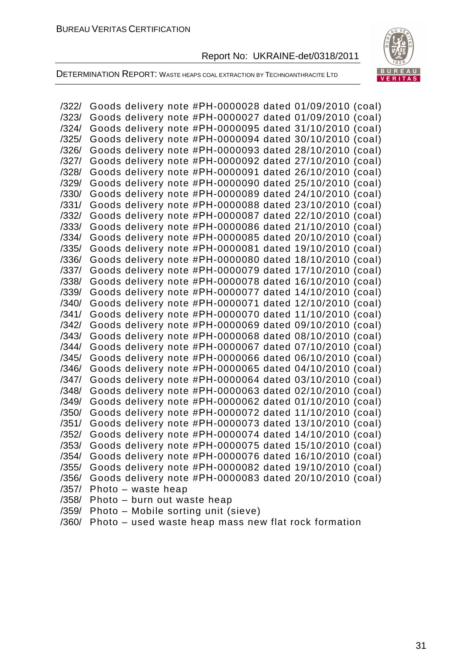

DETERMINATION REPORT: WASTE HEAPS COAL EXTRACTION BY TECHNOANTHRACITE LTD

/322/ Goods delivery note #РН-0000028 dated 01/09/2010 (coal) /323/ Goods delivery note #РН-0000027 dated 01/09/2010 (coal) /324/ Goods delivery note #РН-0000095 dated 31/10/2010 (coal) /325/ Goods delivery note #РН-0000094 dated 30/10/2010 (coal) /326/ Goods delivery note #РН-0000093 dated 28/10/2010 (coal) /327/ Goods delivery note #РН-0000092 dated 27/10/2010 (coal) /328/ Goods delivery note #РН-0000091 dated 26/10/2010 (coal) /329/ Goods delivery note #РН-0000090 dated 25/10/2010 (coal) /330/ Goods delivery note #РН-0000089 dated 24/10/2010 (coal) /331/ Goods delivery note #РН-0000088 dated 23/10/2010 (coal) /332/ Goods delivery note #РН-0000087 dated 22/10/2010 (coal) /333/ Goods delivery note #РН-0000086 dated 21/10/2010 (coal) /334/ Goods delivery note #РН-0000085 dated 20/10/2010 (coal) /335/ Goods delivery note #РН-0000081 dated 19/10/2010 (coal) /336/ Goods delivery note #РН-0000080 dated 18/10/2010 (coal) /337/ Goods delivery note #РН-0000079 dated 17/10/2010 (coal) /338/ Goods delivery note #РН-0000078 dated 16/10/2010 (coal) /339/ Goods delivery note #РН-0000077 dated 14/10/2010 (coal) /340/ Goods delivery note #РН-0000071 dated 12/10/2010 (coal) /341/ Goods delivery note #РН-0000070 dated 11/10/2010 (coal) /342/ Goods delivery note #РН-0000069 dated 09/10/2010 (coal) /343/ Goods delivery note #РН-0000068 dated 08/10/2010 (coal) /344/ Goods delivery note #РН-0000067 dated 07/10/2010 (coal) /345/ Goods delivery note #РН-0000066 dated 06/10/2010 (coal) /346/ Goods delivery note #РН-0000065 dated 04/10/2010 (coal) /347/ Goods delivery note #РН-0000064 dated 03/10/2010 (coal) /348/ Goods delivery note #РН-0000063 dated 02/10/2010 (coal) /349/ Goods delivery note #РН-0000062 dated 01/10/2010 (coal) /350/ Goods delivery note #РН-0000072 dated 11/10/2010 (coal) /351/ Goods delivery note #РН-0000073 dated 13/10/2010 (coal) /352/ Goods delivery note #РН-0000074 dated 14/10/2010 (coal) /353/ Goods delivery note #РН-0000075 dated 15/10/2010 (coal) /354/ Goods delivery note #РН-0000076 dated 16/10/2010 (coal) /355/ Goods delivery note #РН-0000082 dated 19/10/2010 (coal) /356/ Goods delivery note #РН-0000083 dated 20/10/2010 (coal) /357/ Photo – waste heap /358/ Photo – burn out waste heap /359/ Photo – Mobile sorting unit (sieve) /360/ Photo – used waste heap mass new flat rock formation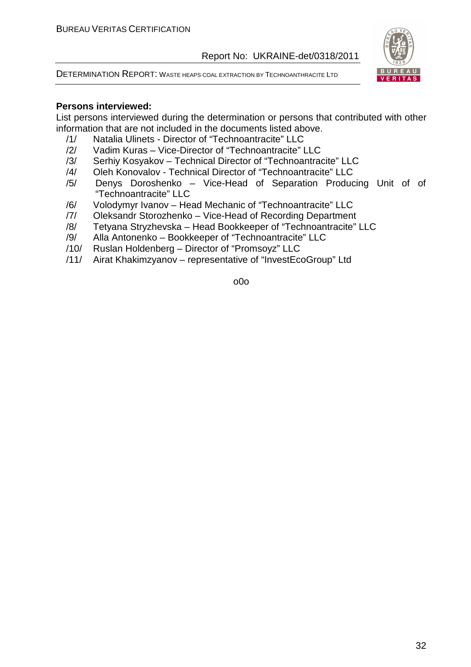DETERMINATION REPORT: WASTE HEAPS COAL EXTRACTION BY TECHNOANTHRACITE LTD



#### **Persons interviewed:**

List persons interviewed during the determination or persons that contributed with other information that are not included in the documents listed above.

- /1/ Natalia Ulinets Director of "Technoantracite" LLC
- /2/ Vadim Kuras Vice-Director of "Technoantracite" LLC
- /3/ Serhiy Kosyakov Technical Director of "Technoantracite" LLC
- /4/ Oleh Konovalov Technical Director of "Technoantracite" LLC
- /5/ Denys Doroshenko Vice-Head of Separation Producing Unit of of "Technoantracite" LLC
- /6/ Volodymyr Ivanov Head Mechanic of "Technoantracite" LLC
- /7/ Oleksandr Storozhenko Vice-Head of Recording Department
- /8/ Tetyana Stryzhevska Head Bookkeeper of "Technoantracite" LLC
- /9/ Alla Antonenko Bookkeeper of "Technoantracite" LLC
- /10/ Ruslan Holdenberg Director of "Promsoyz" LLC
- /11/ Airat Khakimzyanov representative of "InvestEcoGroup" Ltd

o0o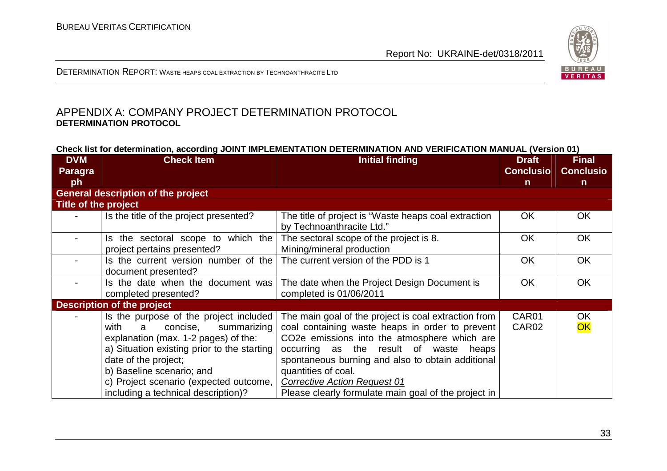

DETERMINATION REPORT: <sup>W</sup>ASTE HEAPS COAL EXTRACTION BY TECHNOANTHRACITE LTD

#### APPENDIX A: COMPANY PROJECT DETERMINATION PROTOCOL **DETERMINATION PROTOCOL**

| Check list for determination, according JOINT IMPLEMENTATION DETERMINATION AND VERIFICATION MANUAL (Version 01) |  |
|-----------------------------------------------------------------------------------------------------------------|--|
|-----------------------------------------------------------------------------------------------------------------|--|

| <b>DVM</b>               | <b>Check Item</b>                                                                                                                                                                                                                                                                                           | <b>Initial finding</b>                                                                                                                                                                                                                                                                                                                                                       |                  | <b>Final</b>     |
|--------------------------|-------------------------------------------------------------------------------------------------------------------------------------------------------------------------------------------------------------------------------------------------------------------------------------------------------------|------------------------------------------------------------------------------------------------------------------------------------------------------------------------------------------------------------------------------------------------------------------------------------------------------------------------------------------------------------------------------|------------------|------------------|
| <b>Paragra</b>           |                                                                                                                                                                                                                                                                                                             |                                                                                                                                                                                                                                                                                                                                                                              | <b>Conclusio</b> | <b>Conclusio</b> |
| ph                       |                                                                                                                                                                                                                                                                                                             |                                                                                                                                                                                                                                                                                                                                                                              | $\mathsf{n}$     | $\mathsf{n}$     |
|                          | <b>General description of the project</b>                                                                                                                                                                                                                                                                   |                                                                                                                                                                                                                                                                                                                                                                              |                  |                  |
| Title of the project     |                                                                                                                                                                                                                                                                                                             |                                                                                                                                                                                                                                                                                                                                                                              |                  |                  |
|                          | Is the title of the project presented?                                                                                                                                                                                                                                                                      | The title of project is "Waste heaps coal extraction<br>by Technoanthracite Ltd."                                                                                                                                                                                                                                                                                            | <b>OK</b>        | OK               |
|                          | Is the sectoral scope to which the<br>project pertains presented?                                                                                                                                                                                                                                           | The sectoral scope of the project is 8.<br>Mining/mineral production                                                                                                                                                                                                                                                                                                         | <b>OK</b>        | <b>OK</b>        |
| $\overline{\phantom{0}}$ | Is the current version number of the<br>document presented?                                                                                                                                                                                                                                                 | The current version of the PDD is 1                                                                                                                                                                                                                                                                                                                                          | <b>OK</b>        | <b>OK</b>        |
|                          | Is the date when the document was<br>completed presented?                                                                                                                                                                                                                                                   | The date when the Project Design Document is<br>completed is 01/06/2011                                                                                                                                                                                                                                                                                                      | <b>OK</b>        | <b>OK</b>        |
|                          | <b>Description of the project</b>                                                                                                                                                                                                                                                                           |                                                                                                                                                                                                                                                                                                                                                                              |                  |                  |
|                          | Is the purpose of the project included<br>concise,<br>with<br>summarizing<br>a<br>explanation (max. 1-2 pages) of the:<br>a) Situation existing prior to the starting<br>date of the project;<br>b) Baseline scenario; and<br>c) Project scenario (expected outcome,<br>including a technical description)? | The main goal of the project is coal extraction from<br>coal containing waste heaps in order to prevent<br>CO2e emissions into the atmosphere which are<br>occurring as the result of waste heaps<br>spontaneous burning and also to obtain additional<br>quantities of coal.<br><b>Corrective Action Request 01</b><br>Please clearly formulate main goal of the project in | CAR01<br>CAR02   | <b>OK</b><br>OK  |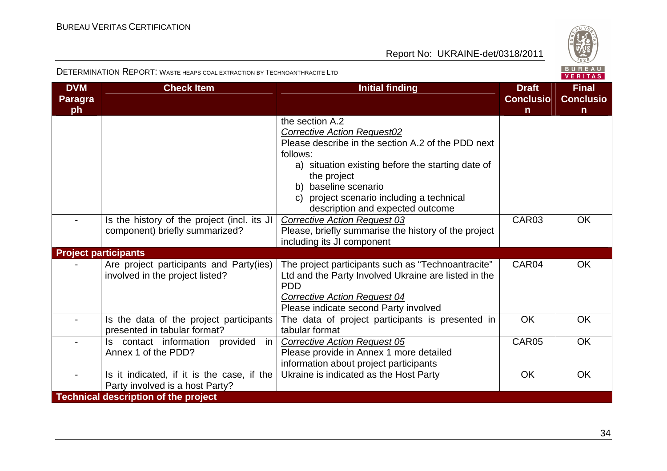

DETERMINATION REPORT: <sup>W</sup>ASTE HEAPS COAL EXTRACTION BY TECHNOANTHRACITE LTD

| <b>DVM</b><br><b>Paragra</b> | <b>Check Item</b>                           | <b>Initial finding</b>                                             | <b>Draft</b><br><b>Conclusio</b> | <b>Final</b><br><b>Conclusio</b> |
|------------------------------|---------------------------------------------|--------------------------------------------------------------------|----------------------------------|----------------------------------|
| ph                           |                                             |                                                                    | $\mathsf{n}$                     | $\mathsf{n}$                     |
|                              |                                             | the section A.2                                                    |                                  |                                  |
|                              |                                             | <b>Corrective Action Request02</b>                                 |                                  |                                  |
|                              |                                             | Please describe in the section A.2 of the PDD next                 |                                  |                                  |
|                              |                                             | follows:                                                           |                                  |                                  |
|                              |                                             | a) situation existing before the starting date of                  |                                  |                                  |
|                              |                                             | the project                                                        |                                  |                                  |
|                              |                                             | b) baseline scenario                                               |                                  |                                  |
|                              |                                             | c) project scenario including a technical                          |                                  |                                  |
|                              |                                             | description and expected outcome                                   |                                  |                                  |
|                              | Is the history of the project (incl. its JI | <b>Corrective Action Request 03</b>                                | CAR <sub>03</sub>                | <b>OK</b>                        |
|                              | component) briefly summarized?              | Please, briefly summarise the history of the project               |                                  |                                  |
|                              |                                             | including its JI component                                         |                                  |                                  |
| <b>Project participants</b>  |                                             |                                                                    |                                  |                                  |
|                              | Are project participants and Party(ies)     | The project participants such as "Technoantracite"                 | CAR04                            | <b>OK</b>                        |
|                              | involved in the project listed?             | Ltd and the Party Involved Ukraine are listed in the<br><b>PDD</b> |                                  |                                  |
|                              |                                             | <b>Corrective Action Request 04</b>                                |                                  |                                  |
|                              |                                             | Please indicate second Party involved                              |                                  |                                  |
|                              | Is the data of the project participants     | The data of project participants is presented in                   | OK                               | <b>OK</b>                        |
|                              | presented in tabular format?                | tabular format                                                     |                                  |                                  |
|                              | contact information provided<br>in<br>ls.   | <b>Corrective Action Request 05</b>                                | CAR05                            | <b>OK</b>                        |
|                              | Annex 1 of the PDD?                         | Please provide in Annex 1 more detailed                            |                                  |                                  |
|                              |                                             | information about project participants                             |                                  |                                  |
|                              | Is it indicated, if it is the case, if the  | Ukraine is indicated as the Host Party                             | OK                               | <b>OK</b>                        |
|                              | Party involved is a host Party?             |                                                                    |                                  |                                  |
|                              | <b>Technical description of the project</b> |                                                                    |                                  |                                  |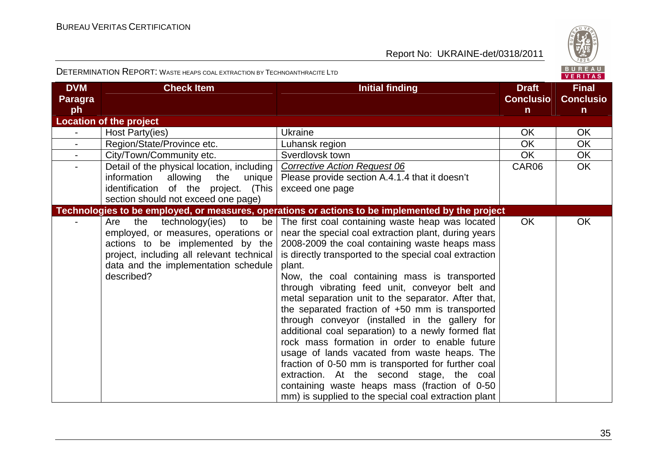

#### DETERMINATION REPORT: <sup>W</sup>ASTE HEAPS COAL EXTRACTION BY TECHNOANTHRACITE LTD

|  |  | .   |  |  |  |
|--|--|-----|--|--|--|
|  |  | FR. |  |  |  |

| <b>DVM</b><br><b>Paragra</b> | <b>Check Item</b>                                                                                                                                                                                                                     | <b>Initial finding</b>                                                                                                                                                                                                                                                                                                                                                                                                                                                                                                                                                                                                                                                                                                                                                                                                                                           | <b>Draft</b><br><b>Conclusio</b> | <b>Final</b><br><b>Conclusio</b> |
|------------------------------|---------------------------------------------------------------------------------------------------------------------------------------------------------------------------------------------------------------------------------------|------------------------------------------------------------------------------------------------------------------------------------------------------------------------------------------------------------------------------------------------------------------------------------------------------------------------------------------------------------------------------------------------------------------------------------------------------------------------------------------------------------------------------------------------------------------------------------------------------------------------------------------------------------------------------------------------------------------------------------------------------------------------------------------------------------------------------------------------------------------|----------------------------------|----------------------------------|
| ph                           |                                                                                                                                                                                                                                       |                                                                                                                                                                                                                                                                                                                                                                                                                                                                                                                                                                                                                                                                                                                                                                                                                                                                  | $\mathsf{n}$                     | $\mathsf{n}$                     |
|                              | <b>Location of the project</b>                                                                                                                                                                                                        |                                                                                                                                                                                                                                                                                                                                                                                                                                                                                                                                                                                                                                                                                                                                                                                                                                                                  |                                  |                                  |
|                              | Host Party(ies)                                                                                                                                                                                                                       | <b>Ukraine</b>                                                                                                                                                                                                                                                                                                                                                                                                                                                                                                                                                                                                                                                                                                                                                                                                                                                   | <b>OK</b>                        | <b>OK</b>                        |
| $\overline{\phantom{a}}$     | Region/State/Province etc.                                                                                                                                                                                                            | Luhansk region                                                                                                                                                                                                                                                                                                                                                                                                                                                                                                                                                                                                                                                                                                                                                                                                                                                   | <b>OK</b>                        | <b>OK</b>                        |
| $\blacksquare$               | City/Town/Community etc.                                                                                                                                                                                                              | Sverdlovsk town                                                                                                                                                                                                                                                                                                                                                                                                                                                                                                                                                                                                                                                                                                                                                                                                                                                  | OK.                              | <b>OK</b>                        |
| $\blacksquare$               | Detail of the physical location, including                                                                                                                                                                                            | <b>Corrective Action Request 06</b>                                                                                                                                                                                                                                                                                                                                                                                                                                                                                                                                                                                                                                                                                                                                                                                                                              | CAR06                            | <b>OK</b>                        |
|                              | information<br>allowing<br>the<br>unique                                                                                                                                                                                              | Please provide section A.4.1.4 that it doesn't                                                                                                                                                                                                                                                                                                                                                                                                                                                                                                                                                                                                                                                                                                                                                                                                                   |                                  |                                  |
|                              | identification of the project. (This                                                                                                                                                                                                  | exceed one page                                                                                                                                                                                                                                                                                                                                                                                                                                                                                                                                                                                                                                                                                                                                                                                                                                                  |                                  |                                  |
|                              | section should not exceed one page)                                                                                                                                                                                                   |                                                                                                                                                                                                                                                                                                                                                                                                                                                                                                                                                                                                                                                                                                                                                                                                                                                                  |                                  |                                  |
|                              |                                                                                                                                                                                                                                       | Technologies to be employed, or measures, operations or actions to be implemented by the project                                                                                                                                                                                                                                                                                                                                                                                                                                                                                                                                                                                                                                                                                                                                                                 |                                  |                                  |
|                              | technology(ies)<br>be <sub>l</sub><br>the<br>to<br>Are<br>employed, or measures, operations or<br>actions to be implemented by the<br>project, including all relevant technical<br>data and the implementation schedule<br>described? | The first coal containing waste heap was located<br>near the special coal extraction plant, during years<br>2008-2009 the coal containing waste heaps mass<br>is directly transported to the special coal extraction<br>plant.<br>Now, the coal containing mass is transported<br>through vibrating feed unit, conveyor belt and<br>metal separation unit to the separator. After that,<br>the separated fraction of +50 mm is transported<br>through conveyor (installed in the gallery for<br>additional coal separation) to a newly formed flat<br>rock mass formation in order to enable future<br>usage of lands vacated from waste heaps. The<br>fraction of 0-50 mm is transported for further coal<br>extraction. At the second stage, the coal<br>containing waste heaps mass (fraction of 0-50<br>mm) is supplied to the special coal extraction plant | <b>OK</b>                        | OK                               |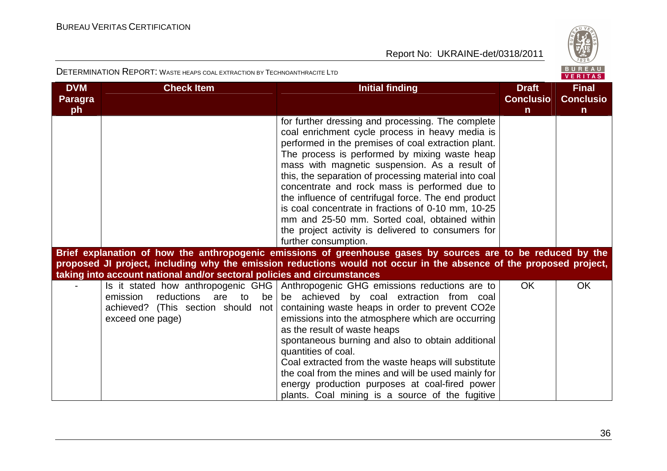

| <b>DVM</b><br><b>Paragra</b> | <b>Check Item</b>                                                                                                                   | <b>Initial finding</b>                                                                                                                                                                                                                                                                                                                                                                                                                                                                                                                                                                                              | <b>Draft</b><br><b>Conclusio</b> | <b>Final</b><br><b>Conclusio</b> |
|------------------------------|-------------------------------------------------------------------------------------------------------------------------------------|---------------------------------------------------------------------------------------------------------------------------------------------------------------------------------------------------------------------------------------------------------------------------------------------------------------------------------------------------------------------------------------------------------------------------------------------------------------------------------------------------------------------------------------------------------------------------------------------------------------------|----------------------------------|----------------------------------|
| ph                           |                                                                                                                                     | for further dressing and processing. The complete<br>coal enrichment cycle process in heavy media is<br>performed in the premises of coal extraction plant.<br>The process is performed by mixing waste heap<br>mass with magnetic suspension. As a result of<br>this, the separation of processing material into coal<br>concentrate and rock mass is performed due to<br>the influence of centrifugal force. The end product<br>is coal concentrate in fractions of 0-10 mm, 10-25<br>mm and 25-50 mm. Sorted coal, obtained within<br>the project activity is delivered to consumers for<br>further consumption. | $\mathsf{n}$                     | $\mathbf n$                      |
|                              |                                                                                                                                     | Brief explanation of how the anthropogenic emissions of greenhouse gases by sources are to be reduced by the<br>proposed JI project, including why the emission reductions would not occur in the absence of the proposed project,                                                                                                                                                                                                                                                                                                                                                                                  |                                  |                                  |
|                              | taking into account national and/or sectoral policies and circumstances                                                             |                                                                                                                                                                                                                                                                                                                                                                                                                                                                                                                                                                                                                     |                                  |                                  |
|                              | Is it stated how anthropogenic GHG<br>emission<br>reductions are to<br>be<br>achieved? (This section should not<br>exceed one page) | Anthropogenic GHG emissions reductions are to<br>be achieved by coal extraction from coal<br>containing waste heaps in order to prevent CO2e<br>emissions into the atmosphere which are occurring<br>as the result of waste heaps<br>spontaneous burning and also to obtain additional<br>quantities of coal.<br>Coal extracted from the waste heaps will substitute<br>the coal from the mines and will be used mainly for<br>energy production purposes at coal-fired power<br>plants. Coal mining is a source of the fugitive                                                                                    | <b>OK</b>                        | <b>OK</b>                        |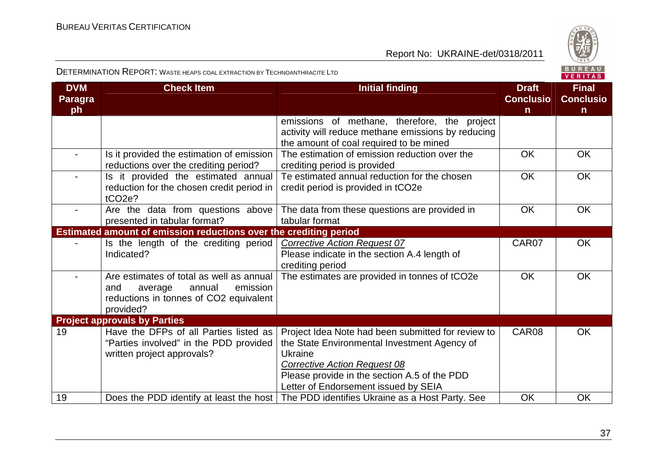

| <b>DVM</b><br><b>Paragra</b><br>ph | <b>Check Item</b>                                                                                                                       | <b>Initial finding</b><br><b>Conclusio</b>                                                                                                           |           | <b>Final</b><br><b>Conclusio</b><br>n |
|------------------------------------|-----------------------------------------------------------------------------------------------------------------------------------------|------------------------------------------------------------------------------------------------------------------------------------------------------|-----------|---------------------------------------|
|                                    |                                                                                                                                         | emissions of methane, therefore, the project<br>activity will reduce methane emissions by reducing<br>the amount of coal required to be mined        |           |                                       |
|                                    | Is it provided the estimation of emission<br>reductions over the crediting period?                                                      | The estimation of emission reduction over the<br>crediting period is provided                                                                        | <b>OK</b> | <b>OK</b>                             |
|                                    | Is it provided the estimated annual<br>reduction for the chosen credit period in<br>tCO <sub>2</sub> e?                                 | Te estimated annual reduction for the chosen<br>credit period is provided in tCO2e                                                                   | OK        | <b>OK</b>                             |
|                                    | Are the data from questions above<br>presented in tabular format?                                                                       | The data from these questions are provided in<br>tabular format                                                                                      | OK        | <b>OK</b>                             |
|                                    | Estimated amount of emission reductions over the crediting period                                                                       |                                                                                                                                                      |           |                                       |
|                                    | Is the length of the crediting period<br>Indicated?                                                                                     | <b>Corrective Action Request 07</b><br>Please indicate in the section A.4 length of<br>crediting period                                              | CAR07     | <b>OK</b>                             |
|                                    | Are estimates of total as well as annual<br>annual<br>emission<br>and<br>average<br>reductions in tonnes of CO2 equivalent<br>provided? | The estimates are provided in tonnes of tCO2e                                                                                                        | <b>OK</b> | <b>OK</b>                             |
|                                    | <b>Project approvals by Parties</b>                                                                                                     |                                                                                                                                                      |           |                                       |
| 19                                 | Have the DFPs of all Parties listed as<br>"Parties involved" in the PDD provided<br>written project approvals?                          | Project Idea Note had been submitted for review to<br>the State Environmental Investment Agency of<br>Ukraine<br><b>Corrective Action Request 08</b> | CAR08     | <b>OK</b>                             |
|                                    |                                                                                                                                         | Please provide in the section A.5 of the PDD<br>Letter of Endorsement issued by SEIA                                                                 |           |                                       |
| 19                                 | Does the PDD identify at least the host                                                                                                 | The PDD identifies Ukraine as a Host Party. See                                                                                                      | <b>OK</b> | <b>OK</b>                             |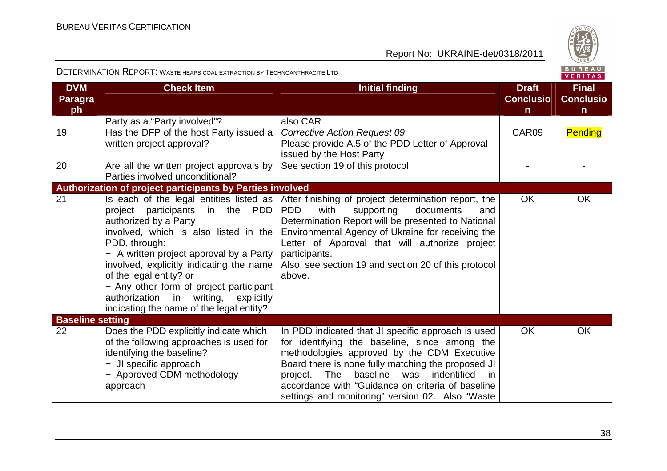

| <b>DVM</b><br><b>Paragra</b><br>ph | <b>Check Item</b>                                                                                                                                                                                                                                                                                                                                                                                                                     | <b>Initial finding</b>                                                                                                                                                                                                                                                                                                                                                               | <b>Draft</b><br><b>Conclusio</b><br>$\mathsf{n}$ | <b>Final</b><br><b>Conclusio</b><br>$\mathsf{n}$ |
|------------------------------------|---------------------------------------------------------------------------------------------------------------------------------------------------------------------------------------------------------------------------------------------------------------------------------------------------------------------------------------------------------------------------------------------------------------------------------------|--------------------------------------------------------------------------------------------------------------------------------------------------------------------------------------------------------------------------------------------------------------------------------------------------------------------------------------------------------------------------------------|--------------------------------------------------|--------------------------------------------------|
|                                    | Party as a "Party involved"?                                                                                                                                                                                                                                                                                                                                                                                                          | also CAR                                                                                                                                                                                                                                                                                                                                                                             |                                                  |                                                  |
| 19                                 | Has the DFP of the host Party issued a                                                                                                                                                                                                                                                                                                                                                                                                | <b>Corrective Action Request 09</b>                                                                                                                                                                                                                                                                                                                                                  | CAR09                                            | <b>Pending</b>                                   |
|                                    | written project approval?                                                                                                                                                                                                                                                                                                                                                                                                             | Please provide A.5 of the PDD Letter of Approval                                                                                                                                                                                                                                                                                                                                     |                                                  |                                                  |
|                                    |                                                                                                                                                                                                                                                                                                                                                                                                                                       | issued by the Host Party                                                                                                                                                                                                                                                                                                                                                             |                                                  |                                                  |
| 20                                 | Are all the written project approvals by                                                                                                                                                                                                                                                                                                                                                                                              | See section 19 of this protocol                                                                                                                                                                                                                                                                                                                                                      |                                                  |                                                  |
|                                    | Parties involved unconditional?                                                                                                                                                                                                                                                                                                                                                                                                       |                                                                                                                                                                                                                                                                                                                                                                                      |                                                  |                                                  |
|                                    | Authorization of project participants by Parties involved                                                                                                                                                                                                                                                                                                                                                                             |                                                                                                                                                                                                                                                                                                                                                                                      |                                                  |                                                  |
| 21                                 | Is each of the legal entities listed as $ $<br>in the PDD<br>participants<br>project<br>authorized by a Party<br>involved, which is also listed in the  <br>PDD, through:<br>- A written project approval by a Party  <br>involved, explicitly indicating the name<br>of the legal entity? or<br>- Any other form of project participant<br>writing,<br>authorization<br>in<br>explicitly<br>indicating the name of the legal entity? | After finishing of project determination report, the<br>with<br>PD <sub>D</sub><br>supporting<br>documents<br>and<br>Determination Report will be presented to National<br>Environmental Agency of Ukraine for receiving the<br>Letter of Approval that will authorize project<br>participants.<br>Also, see section 19 and section 20 of this protocol<br>above.                    | <b>OK</b>                                        | <b>OK</b>                                        |
| <b>Baseline setting</b>            |                                                                                                                                                                                                                                                                                                                                                                                                                                       |                                                                                                                                                                                                                                                                                                                                                                                      |                                                  |                                                  |
| 22                                 | Does the PDD explicitly indicate which<br>of the following approaches is used for<br>identifying the baseline?<br>- JI specific approach<br>- Approved CDM methodology<br>approach                                                                                                                                                                                                                                                    | In PDD indicated that JI specific approach is used<br>for identifying the baseline, since among the<br>methodologies approved by the CDM Executive<br>Board there is none fully matching the proposed JI<br>indentified<br>baseline<br><b>The</b><br>was<br>project.<br>-in<br>accordance with "Guidance on criteria of baseline<br>settings and monitoring" version 02. Also "Waste | <b>OK</b>                                        | <b>OK</b>                                        |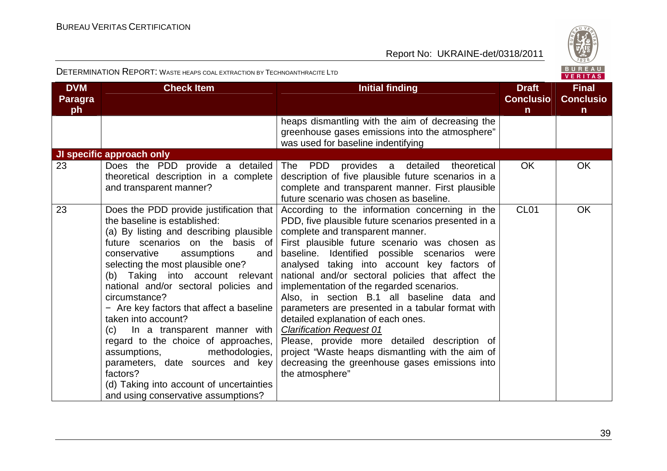

| <b>DVM</b><br><b>Paragra</b><br>ph | <b>Check Item</b>                                                                                                                                                                                                                                                                                                                                                                                                                                                                                                                                                                                                                                     | <b>Initial finding</b>                                                                                                                                                                                                                                                                                                                                                                                                                                                                                                                                                                                                                                                                                                                           | <b>Draft</b><br><b>Conclusio</b><br>$\mathsf{n}$ | <b>Final</b><br><b>Conclusio</b><br>$\mathsf{n}$ |
|------------------------------------|-------------------------------------------------------------------------------------------------------------------------------------------------------------------------------------------------------------------------------------------------------------------------------------------------------------------------------------------------------------------------------------------------------------------------------------------------------------------------------------------------------------------------------------------------------------------------------------------------------------------------------------------------------|--------------------------------------------------------------------------------------------------------------------------------------------------------------------------------------------------------------------------------------------------------------------------------------------------------------------------------------------------------------------------------------------------------------------------------------------------------------------------------------------------------------------------------------------------------------------------------------------------------------------------------------------------------------------------------------------------------------------------------------------------|--------------------------------------------------|--------------------------------------------------|
|                                    |                                                                                                                                                                                                                                                                                                                                                                                                                                                                                                                                                                                                                                                       | heaps dismantling with the aim of decreasing the<br>greenhouse gases emissions into the atmosphere"<br>was used for baseline indentifying                                                                                                                                                                                                                                                                                                                                                                                                                                                                                                                                                                                                        |                                                  |                                                  |
| 23                                 | JI specific approach only<br>Does the PDD provide a detailed<br>theoretical description in a complete<br>and transparent manner?                                                                                                                                                                                                                                                                                                                                                                                                                                                                                                                      | The PDD<br>provides a detailed theoretical<br>description of five plausible future scenarios in a<br>complete and transparent manner. First plausible<br>future scenario was chosen as baseline.                                                                                                                                                                                                                                                                                                                                                                                                                                                                                                                                                 | OK.                                              | <b>OK</b>                                        |
| 23                                 | Does the PDD provide justification that<br>the baseline is established:<br>(a) By listing and describing plausible<br>future scenarios on the basis of<br>conservative<br>assumptions<br>and<br>selecting the most plausible one?<br>(b) Taking into account relevant<br>national and/or sectoral policies and<br>circumstance?<br>- Are key factors that affect a baseline<br>taken into account?<br>In a transparent manner with<br>(c)<br>regard to the choice of approaches,<br>assumptions,<br>methodologies,<br>parameters, date sources and key<br>factors?<br>(d) Taking into account of uncertainties<br>and using conservative assumptions? | According to the information concerning in the<br>PDD, five plausible future scenarios presented in a<br>complete and transparent manner.<br>First plausible future scenario was chosen as<br>baseline. Identified possible scenarios were<br>analysed taking into account key factors of<br>national and/or sectoral policies that affect the<br>implementation of the regarded scenarios.<br>Also, in section B.1 all baseline data and<br>parameters are presented in a tabular format with<br>detailed explanation of each ones.<br><b>Clarification Request 01</b><br>Please, provide more detailed description of<br>project "Waste heaps dismantling with the aim of<br>decreasing the greenhouse gases emissions into<br>the atmosphere" | CL <sub>01</sub>                                 | <b>OK</b>                                        |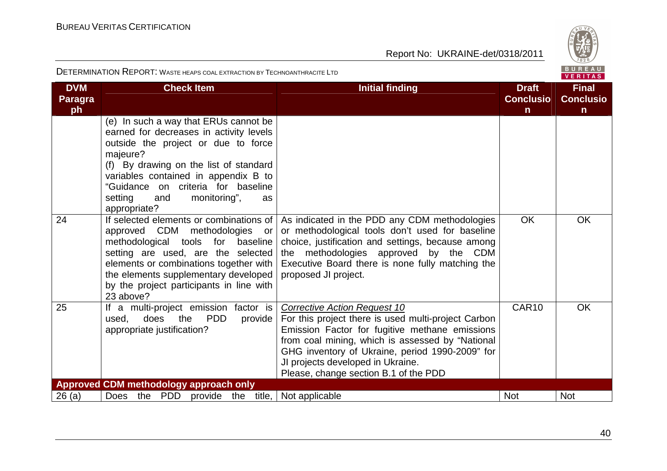

| <b>DVM</b><br><b>Paragra</b><br>ph | <b>Check Item</b>                                                                                                                                                                                                                                                                                                    | <b>Initial finding</b>                                                                                                                                                                                                                                                                                                            | <b>Draft</b><br><b>Conclusio</b><br>$\mathsf{n}$ | <b>Final</b><br><b>Conclusio</b><br>$\mathsf{n}$ |
|------------------------------------|----------------------------------------------------------------------------------------------------------------------------------------------------------------------------------------------------------------------------------------------------------------------------------------------------------------------|-----------------------------------------------------------------------------------------------------------------------------------------------------------------------------------------------------------------------------------------------------------------------------------------------------------------------------------|--------------------------------------------------|--------------------------------------------------|
|                                    | (e) In such a way that ERUs cannot be<br>earned for decreases in activity levels<br>outside the project or due to force<br>majeure?<br>(f) By drawing on the list of standard<br>variables contained in appendix B to<br>"Guidance on criteria for baseline<br>monitoring",<br>setting<br>and<br>as.<br>appropriate? |                                                                                                                                                                                                                                                                                                                                   |                                                  |                                                  |
| 24                                 | If selected elements or combinations of<br>approved CDM methodologies<br>or<br>methodological tools for baseline<br>setting are used, are the selected<br>elements or combinations together with<br>the elements supplementary developed<br>by the project participants in line with<br>23 above?                    | As indicated in the PDD any CDM methodologies<br>or methodological tools don't used for baseline<br>choice, justification and settings, because among<br>methodologies approved by the CDM<br>the<br>Executive Board there is none fully matching the<br>proposed JI project.                                                     | <b>OK</b>                                        | <b>OK</b>                                        |
| 25                                 | If a multi-project emission factor is<br><b>PDD</b><br>does<br>the<br>used,<br>provide<br>appropriate justification?                                                                                                                                                                                                 | <b>Corrective Action Request 10</b><br>For this project there is used multi-project Carbon<br>Emission Factor for fugitive methane emissions<br>from coal mining, which is assessed by "National<br>GHG inventory of Ukraine, period 1990-2009" for<br>JI projects developed in Ukraine.<br>Please, change section B.1 of the PDD | CAR <sub>10</sub>                                | <b>OK</b>                                        |
|                                    | Approved CDM methodology approach only                                                                                                                                                                                                                                                                               |                                                                                                                                                                                                                                                                                                                                   |                                                  |                                                  |
| 26(a)                              | Does the PDD<br>provide the title,                                                                                                                                                                                                                                                                                   | Not applicable                                                                                                                                                                                                                                                                                                                    | <b>Not</b>                                       | <b>Not</b>                                       |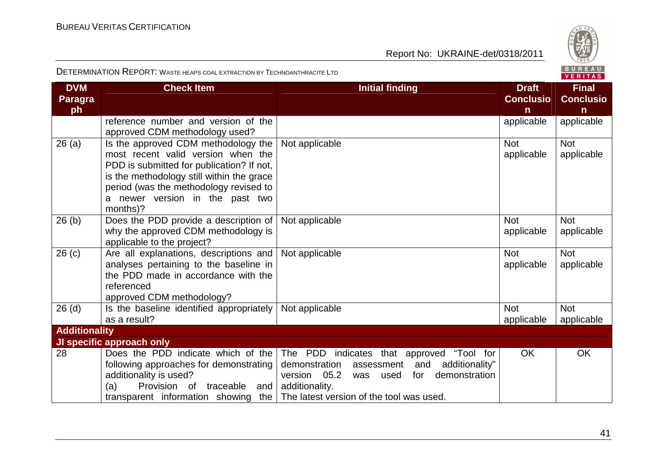

| <b>DVM</b>           | <b>Check Item</b>                         | <b>Initial finding</b>                               | <b>Draft</b>     | <b>Final</b>     |
|----------------------|-------------------------------------------|------------------------------------------------------|------------------|------------------|
| <b>Paragra</b>       |                                           |                                                      | <b>Conclusio</b> | <b>Conclusio</b> |
| ph                   |                                           |                                                      | n                | n                |
|                      | reference number and version of the       |                                                      | applicable       | applicable       |
|                      | approved CDM methodology used?            |                                                      |                  |                  |
| 26(a)                | Is the approved CDM methodology the       | Not applicable                                       | <b>Not</b>       | <b>Not</b>       |
|                      | most recent valid version when the        |                                                      | applicable       | applicable       |
|                      | PDD is submitted for publication? If not, |                                                      |                  |                  |
|                      | is the methodology still within the grace |                                                      |                  |                  |
|                      | period (was the methodology revised to    |                                                      |                  |                  |
|                      | a newer version in the past two           |                                                      |                  |                  |
|                      | months)?                                  |                                                      |                  |                  |
| 26(b)                | Does the PDD provide a description of     | Not applicable                                       | <b>Not</b>       | <b>Not</b>       |
|                      | why the approved CDM methodology is       |                                                      | applicable       | applicable       |
|                      | applicable to the project?                |                                                      |                  |                  |
| 26(c)                | Are all explanations, descriptions and    | Not applicable                                       | <b>Not</b>       | <b>Not</b>       |
|                      | analyses pertaining to the baseline in    |                                                      | applicable       | applicable       |
|                      | the PDD made in accordance with the       |                                                      |                  |                  |
|                      | referenced                                |                                                      |                  |                  |
|                      | approved CDM methodology?                 |                                                      |                  |                  |
| 26(d)                | Is the baseline identified appropriately  | Not applicable                                       | <b>Not</b>       | <b>Not</b>       |
|                      | as a result?                              |                                                      | applicable       | applicable       |
| <b>Additionality</b> |                                           |                                                      |                  |                  |
|                      | JI specific approach only                 |                                                      |                  |                  |
| 28                   | Does the PDD indicate which of the        | The PDD indicates that approved "Tool for            | <b>OK</b>        | <b>OK</b>        |
|                      | following approaches for demonstrating    | demonstration<br>additionality"<br>and<br>assessment |                  |                  |
|                      | additionality is used?                    | version 05.2<br>demonstration<br>was<br>used<br>for  |                  |                  |
|                      | (a)<br>Provision of traceable and         | additionality.                                       |                  |                  |
|                      | transparent information showing the       | The latest version of the tool was used.             |                  |                  |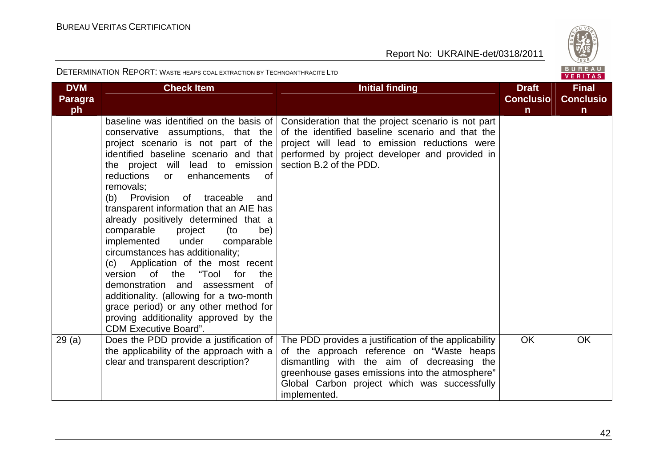

| <b>DVM</b><br><b>Paragra</b> | <b>Check Item</b><br><b>Initial finding</b>                                                                                                                                                                                                                                                                                                                                                                                                                                                                                                                                                                                                                                                                                                                                                      |                                                                                                                                                                                                                                                                     | <b>Draft</b><br><b>Conclusio</b> | <b>Final</b><br><b>Conclusio</b> |
|------------------------------|--------------------------------------------------------------------------------------------------------------------------------------------------------------------------------------------------------------------------------------------------------------------------------------------------------------------------------------------------------------------------------------------------------------------------------------------------------------------------------------------------------------------------------------------------------------------------------------------------------------------------------------------------------------------------------------------------------------------------------------------------------------------------------------------------|---------------------------------------------------------------------------------------------------------------------------------------------------------------------------------------------------------------------------------------------------------------------|----------------------------------|----------------------------------|
| ph                           |                                                                                                                                                                                                                                                                                                                                                                                                                                                                                                                                                                                                                                                                                                                                                                                                  |                                                                                                                                                                                                                                                                     | $\mathsf{n}$                     | $\mathsf{n}$                     |
|                              | baseline was identified on the basis of<br>conservative assumptions, that the<br>project scenario is not part of the<br>identified baseline scenario and that<br>the project will lead to emission<br>reductions<br>enhancements<br><sub>of</sub><br>or<br>removals:<br>(b) Provision<br>of traceable<br>and<br>transparent information that an AIE has<br>already positively determined that a<br>comparable<br>project<br>(to<br>be)<br>implemented<br>under<br>comparable<br>circumstances has additionality;<br>(c) Application of the most recent<br>version of the<br>"Tool for<br>the<br>demonstration and<br>assessment of<br>additionality. (allowing for a two-month<br>grace period) or any other method for<br>proving additionality approved by the<br><b>CDM Executive Board".</b> | Consideration that the project scenario is not part<br>of the identified baseline scenario and that the<br>project will lead to emission reductions were<br>performed by project developer and provided in<br>section B.2 of the PDD.                               |                                  |                                  |
| 29(a)                        | Does the PDD provide a justification of<br>the applicability of the approach with a<br>clear and transparent description?                                                                                                                                                                                                                                                                                                                                                                                                                                                                                                                                                                                                                                                                        | The PDD provides a justification of the applicability<br>of the approach reference on "Waste heaps<br>dismantling with the aim of decreasing the<br>greenhouse gases emissions into the atmosphere"<br>Global Carbon project which was successfully<br>implemented. | <b>OK</b>                        | <b>OK</b>                        |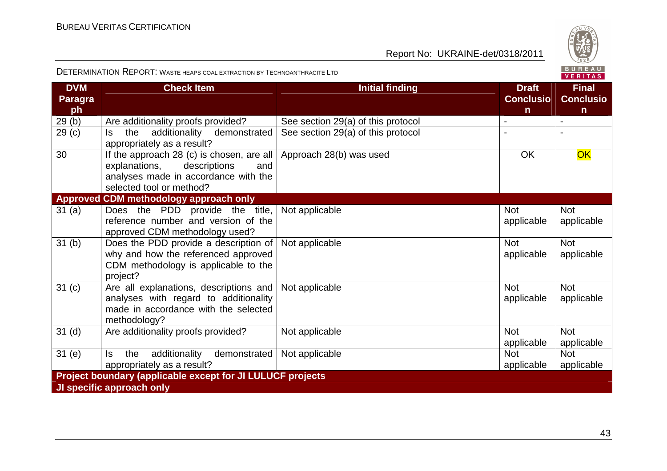

| <b>DVM</b><br><b>Paragra</b><br>ph | <b>Check Item</b>                                                                                                                                     | <b>Initial finding</b>             | <b>Draft</b><br><b>Conclusio</b><br>$\mathsf{n}$ | <b>Final</b><br><b>Conclusio</b><br>$\mathsf{n}$ |
|------------------------------------|-------------------------------------------------------------------------------------------------------------------------------------------------------|------------------------------------|--------------------------------------------------|--------------------------------------------------|
| 29(b)                              | Are additionality proofs provided?                                                                                                                    | See section 29(a) of this protocol | $\blacksquare$                                   | $\blacksquare$                                   |
| 29 <sub>(c)</sub>                  | additionality demonstrated<br>the<br>ls.<br>appropriately as a result?                                                                                | See section 29(a) of this protocol |                                                  |                                                  |
| 30                                 | If the approach 28 (c) is chosen, are all<br>descriptions<br>explanations,<br>and<br>analyses made in accordance with the<br>selected tool or method? | Approach 28(b) was used            | <b>OK</b>                                        | OK                                               |
|                                    | Approved CDM methodology approach only                                                                                                                |                                    |                                                  |                                                  |
| 31(a)                              | Does the PDD provide the title,<br>reference number and version of the<br>approved CDM methodology used?                                              | Not applicable                     | <b>Not</b><br>applicable                         | <b>Not</b><br>applicable                         |
| 31 <sub>(b)</sub>                  | Does the PDD provide a description of<br>why and how the referenced approved<br>CDM methodology is applicable to the<br>project?                      | Not applicable                     | <b>Not</b><br>applicable                         | <b>Not</b><br>applicable                         |
| 31 <sub>(c)</sub>                  | Are all explanations, descriptions and<br>analyses with regard to additionality<br>made in accordance with the selected<br>methodology?               | Not applicable                     | <b>Not</b><br>applicable                         | <b>Not</b><br>applicable                         |
| 31 <sub>(d)</sub>                  | Are additionality proofs provided?                                                                                                                    | Not applicable                     | <b>Not</b><br>applicable                         | <b>Not</b><br>applicable                         |
| 31(e)                              | additionality<br>ls.<br>the<br>demonstrated<br>appropriately as a result?                                                                             | Not applicable                     | <b>Not</b><br>applicable                         | <b>Not</b><br>applicable                         |
|                                    | <b>Project boundary (applicable except for JI LULUCF projects</b>                                                                                     |                                    |                                                  |                                                  |
|                                    | JI specific approach only                                                                                                                             |                                    |                                                  |                                                  |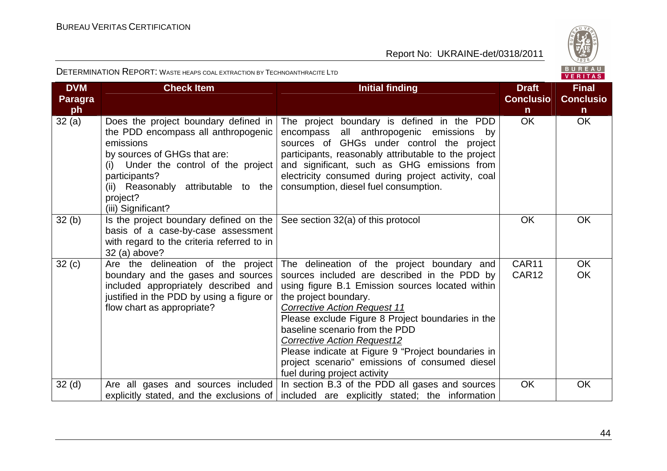

| <b>DVM</b><br><b>Paragra</b> | <b>Check Item</b>                                                                                                                                                                                                                                          | <b>Initial finding</b>                                                                                                                                                                                                                                                                                                                                                                                                                                                               | <b>Draft</b><br><b>Conclusio</b> | <b>Final</b><br><b>Conclusio</b> |
|------------------------------|------------------------------------------------------------------------------------------------------------------------------------------------------------------------------------------------------------------------------------------------------------|--------------------------------------------------------------------------------------------------------------------------------------------------------------------------------------------------------------------------------------------------------------------------------------------------------------------------------------------------------------------------------------------------------------------------------------------------------------------------------------|----------------------------------|----------------------------------|
| ph<br>32(a)                  | Does the project boundary defined in<br>the PDD encompass all anthropogenic<br>emissions<br>by sources of GHGs that are:<br>(i) Under the control of the project<br>participants?<br>(ii) Reasonably attributable to the<br>project?<br>(iii) Significant? | The project boundary is defined in the PDD<br>encompass all anthropogenic emissions by<br>sources of GHGs under control the project<br>participants, reasonably attributable to the project<br>and significant, such as GHG emissions from<br>electricity consumed during project activity, coal<br>consumption, diesel fuel consumption.                                                                                                                                            | $\mathsf{n}$<br><b>OK</b>        | $\mathsf{n}$<br><b>OK</b>        |
| 32(b)                        | Is the project boundary defined on the<br>basis of a case-by-case assessment<br>with regard to the criteria referred to in<br>32 (a) above?                                                                                                                | See section 32(a) of this protocol                                                                                                                                                                                                                                                                                                                                                                                                                                                   | <b>OK</b>                        | <b>OK</b>                        |
| 32(c)                        | Are the delineation of the project<br>boundary and the gases and sources<br>included appropriately described and<br>justified in the PDD by using a figure or<br>flow chart as appropriate?                                                                | The delineation of the project boundary and<br>sources included are described in the PDD by<br>using figure B.1 Emission sources located within<br>the project boundary.<br><b>Corrective Action Request 11</b><br>Please exclude Figure 8 Project boundaries in the<br>baseline scenario from the PDD<br><b>Corrective Action Request12</b><br>Please indicate at Figure 9 "Project boundaries in<br>project scenario" emissions of consumed diesel<br>fuel during project activity | CAR11<br>CAR12                   | <b>OK</b><br>OK                  |
| 32 <sub>(d)</sub>            | Are all gases and sources included<br>explicitly stated, and the exclusions of                                                                                                                                                                             | In section B.3 of the PDD all gases and sources<br>included are explicitly stated; the information                                                                                                                                                                                                                                                                                                                                                                                   | <b>OK</b>                        | <b>OK</b>                        |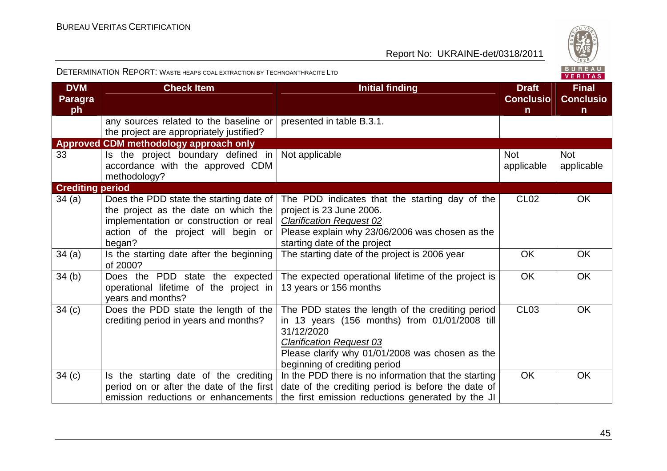

| <b>DVM</b><br><b>Paragra</b><br>ph | <b>Check Item</b>                                                                                                                                                          | <b>Initial finding</b>                                                                                                                                                                                                                  | <b>Draft</b><br><b>Conclusio</b><br>$\mathsf{n}$ | <b>Final</b><br><b>Conclusio</b><br>$\mathsf{n}$ |
|------------------------------------|----------------------------------------------------------------------------------------------------------------------------------------------------------------------------|-----------------------------------------------------------------------------------------------------------------------------------------------------------------------------------------------------------------------------------------|--------------------------------------------------|--------------------------------------------------|
|                                    | any sources related to the baseline or<br>the project are appropriately justified?                                                                                         | presented in table B.3.1.                                                                                                                                                                                                               |                                                  |                                                  |
|                                    | Approved CDM methodology approach only                                                                                                                                     |                                                                                                                                                                                                                                         |                                                  |                                                  |
| 33                                 | Is the project boundary defined in<br>accordance with the approved CDM<br>methodology?                                                                                     | Not applicable                                                                                                                                                                                                                          | <b>Not</b><br>applicable                         | <b>Not</b><br>applicable                         |
| <b>Crediting period</b>            |                                                                                                                                                                            |                                                                                                                                                                                                                                         |                                                  |                                                  |
| 34(a)                              | Does the PDD state the starting date of<br>the project as the date on which the<br>implementation or construction or real<br>action of the project will begin or<br>began? | The PDD indicates that the starting day of the<br>project is 23 June 2006.<br><b>Clarification Request 02</b><br>Please explain why 23/06/2006 was chosen as the<br>starting date of the project                                        | CL <sub>02</sub>                                 | OK.                                              |
| 34(a)                              | Is the starting date after the beginning<br>of 2000?                                                                                                                       | The starting date of the project is 2006 year                                                                                                                                                                                           | <b>OK</b>                                        | <b>OK</b>                                        |
| 34(b)                              | Does the PDD state the expected<br>operational lifetime of the project in<br>years and months?                                                                             | The expected operational lifetime of the project is<br>13 years or 156 months                                                                                                                                                           | <b>OK</b>                                        | <b>OK</b>                                        |
| 34 <sub>(c)</sub>                  | Does the PDD state the length of the<br>crediting period in years and months?                                                                                              | The PDD states the length of the crediting period<br>in 13 years (156 months) from 01/01/2008 till<br>31/12/2020<br><b>Clarification Request 03</b><br>Please clarify why 01/01/2008 was chosen as the<br>beginning of crediting period | CL <sub>03</sub>                                 | <b>OK</b>                                        |
| 34(c)                              | Is the starting date of the crediting<br>period on or after the date of the first<br>emission reductions or enhancements                                                   | In the PDD there is no information that the starting<br>date of the crediting period is before the date of<br>the first emission reductions generated by the JI                                                                         | <b>OK</b>                                        | <b>OK</b>                                        |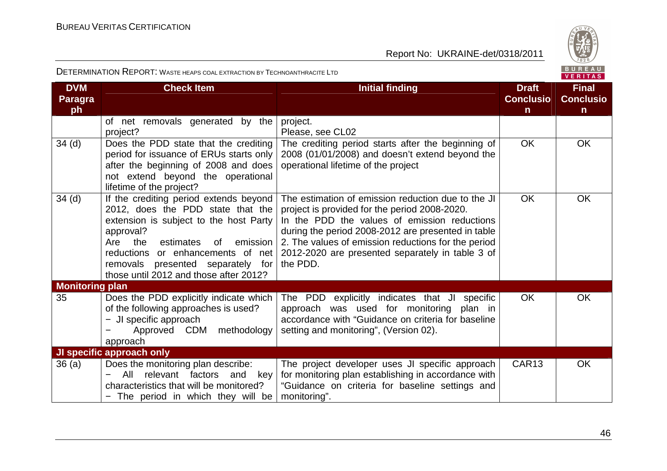

|  |  | BUREAU         |  |  |  |
|--|--|----------------|--|--|--|
|  |  | <b>VERITAS</b> |  |  |  |

| <b>DVM</b><br><b>Paragra</b> | <b>Check Item</b>                                                                                                                                                                                                                                                                                   | <b>Initial finding</b>                                                                                                                                                                                                                                                                                                           | <b>Draft</b><br><b>Conclusio</b> | <b>Final</b><br><b>Conclusio</b> |
|------------------------------|-----------------------------------------------------------------------------------------------------------------------------------------------------------------------------------------------------------------------------------------------------------------------------------------------------|----------------------------------------------------------------------------------------------------------------------------------------------------------------------------------------------------------------------------------------------------------------------------------------------------------------------------------|----------------------------------|----------------------------------|
| ph                           |                                                                                                                                                                                                                                                                                                     |                                                                                                                                                                                                                                                                                                                                  | $\mathsf{n}$                     | $\mathsf{n}$                     |
|                              | of net removals generated by the<br>project?                                                                                                                                                                                                                                                        | project.<br>Please, see CL02                                                                                                                                                                                                                                                                                                     |                                  |                                  |
| $34$ (d)                     | Does the PDD state that the crediting<br>period for issuance of ERUs starts only<br>after the beginning of 2008 and does<br>not extend beyond the operational<br>lifetime of the project?                                                                                                           | The crediting period starts after the beginning of<br>2008 (01/01/2008) and doesn't extend beyond the<br>operational lifetime of the project                                                                                                                                                                                     | <b>OK</b>                        | <b>OK</b>                        |
| 34 (d)                       | If the crediting period extends beyond<br>2012, does the PDD state that the<br>extension is subject to the host Party<br>approval?<br>emission<br>Are<br>the<br>estimates<br>0f<br>reductions or enhancements of net<br>removals presented separately for<br>those until 2012 and those after 2012? | The estimation of emission reduction due to the JI<br>project is provided for the period 2008-2020.<br>In the PDD the values of emission reductions<br>during the period 2008-2012 are presented in table<br>2. The values of emission reductions for the period<br>2012-2020 are presented separately in table 3 of<br>the PDD. | <b>OK</b>                        | <b>OK</b>                        |
| <b>Monitoring plan</b>       |                                                                                                                                                                                                                                                                                                     |                                                                                                                                                                                                                                                                                                                                  |                                  |                                  |
| 35                           | Does the PDD explicitly indicate which<br>of the following approaches is used?<br>- JI specific approach<br>Approved CDM methodology<br>approach                                                                                                                                                    | The PDD explicitly indicates that JI specific<br>approach was used for monitoring plan in<br>accordance with "Guidance on criteria for baseline<br>setting and monitoring", (Version 02).                                                                                                                                        | <b>OK</b>                        | <b>OK</b>                        |
|                              | JI specific approach only                                                                                                                                                                                                                                                                           |                                                                                                                                                                                                                                                                                                                                  |                                  |                                  |
| 36(a)                        | Does the monitoring plan describe:<br>All<br>relevant factors and<br>key<br>$\overline{\phantom{0}}$<br>characteristics that will be monitored?<br>- The period in which they will be                                                                                                               | The project developer uses JI specific approach<br>for monitoring plan establishing in accordance with<br>"Guidance on criteria for baseline settings and<br>monitoring".                                                                                                                                                        | CAR <sub>13</sub>                | <b>OK</b>                        |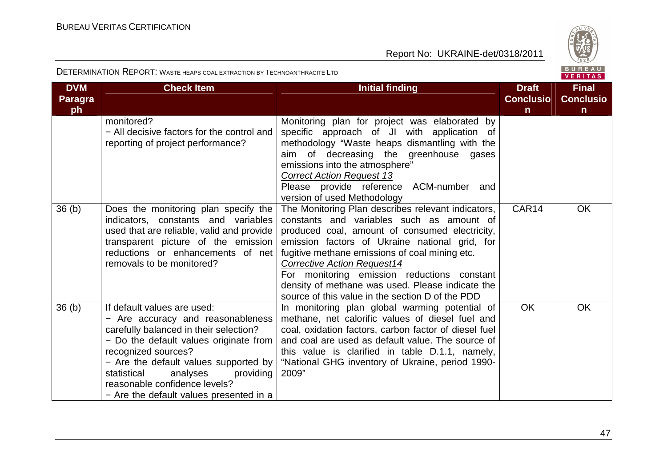

| <b>DVM</b><br><b>Paragra</b><br>ph | <b>Check Item</b>                                                                                                                                                                                                                                                                                                                        | <b>Initial finding</b>                                                                                                                                                                                                                                                                                                                                                                                                                             | <b>Draft</b><br><b>Conclusio</b><br>$\mathsf{n}$ | <b>Final</b><br><b>Conclusio</b><br>$\mathsf{n}$ |
|------------------------------------|------------------------------------------------------------------------------------------------------------------------------------------------------------------------------------------------------------------------------------------------------------------------------------------------------------------------------------------|----------------------------------------------------------------------------------------------------------------------------------------------------------------------------------------------------------------------------------------------------------------------------------------------------------------------------------------------------------------------------------------------------------------------------------------------------|--------------------------------------------------|--------------------------------------------------|
|                                    | monitored?<br>- All decisive factors for the control and<br>reporting of project performance?                                                                                                                                                                                                                                            | Monitoring plan for project was elaborated by<br>specific approach of JI with application of<br>methodology "Waste heaps dismantling with the<br>aim of decreasing the greenhouse gases<br>emissions into the atmosphere"<br><b>Correct Action Request 13</b><br>ACM-number and<br>Please provide reference<br>version of used Methodology                                                                                                         |                                                  |                                                  |
| 36 <sub>(b)</sub>                  | Does the monitoring plan specify the<br>indicators, constants and variables<br>used that are reliable, valid and provide<br>transparent picture of the emission<br>reductions or enhancements of net<br>removals to be monitored?                                                                                                        | The Monitoring Plan describes relevant indicators,<br>constants and variables such as amount of<br>produced coal, amount of consumed electricity,<br>emission factors of Ukraine national grid, for<br>fugitive methane emissions of coal mining etc.<br><b>Corrective Action Request14</b><br>For monitoring emission reductions constant<br>density of methane was used. Please indicate the<br>source of this value in the section D of the PDD | CAR14                                            | <b>OK</b>                                        |
| 36 <sub>(b)</sub>                  | If default values are used:<br>- Are accuracy and reasonableness<br>carefully balanced in their selection?<br>- Do the default values originate from<br>recognized sources?<br>- Are the default values supported by<br>statistical<br>analyses<br>providing<br>reasonable confidence levels?<br>- Are the default values presented in a | In monitoring plan global warming potential of<br>methane, net calorific values of diesel fuel and<br>coal, oxidation factors, carbon factor of diesel fuel<br>and coal are used as default value. The source of<br>this value is clarified in table D.1.1, namely,<br>"National GHG inventory of Ukraine, period 1990-<br>2009"                                                                                                                   | <b>OK</b>                                        | <b>OK</b>                                        |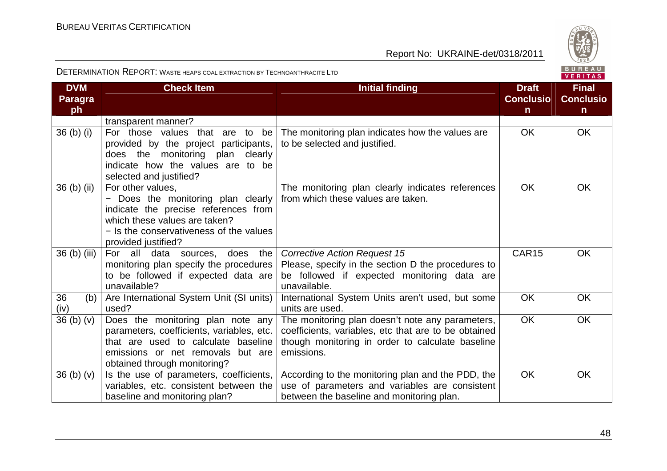

| <b>DVM</b><br><b>Paragra</b><br>ph | <b>Check Item</b>                                                                                                                                                                                  | <b>Initial finding</b>                                                                                                                                                     | <b>Draft</b><br><b>Conclusio</b><br>$\mathsf{n}$ | <b>Final</b><br><b>Conclusio</b><br>$\mathsf{n}$ |
|------------------------------------|----------------------------------------------------------------------------------------------------------------------------------------------------------------------------------------------------|----------------------------------------------------------------------------------------------------------------------------------------------------------------------------|--------------------------------------------------|--------------------------------------------------|
|                                    | transparent manner?                                                                                                                                                                                |                                                                                                                                                                            |                                                  |                                                  |
| 36 <sub>(b)</sub> <sub>(i)</sub>   | For those values that are to be<br>provided by the project participants,<br>does the monitoring plan clearly<br>indicate how the values are to be<br>selected and justified?                       | The monitoring plan indicates how the values are<br>to be selected and justified.                                                                                          | <b>OK</b>                                        | OK                                               |
| 36 (b) (ii)                        | For other values,<br>- Does the monitoring plan clearly<br>indicate the precise references from<br>which these values are taken?<br>- Is the conservativeness of the values<br>provided justified? | The monitoring plan clearly indicates references<br>from which these values are taken.                                                                                     | <b>OK</b>                                        | <b>OK</b>                                        |
| 36 (b) (iii)                       | For all<br>data<br>the<br>does<br>sources,<br>monitoring plan specify the procedures<br>to be followed if expected data are<br>unavailable?                                                        | <b>Corrective Action Request 15</b><br>Please, specify in the section D the procedures to<br>be followed if expected monitoring data are<br>unavailable.                   | CAR15                                            | <b>OK</b>                                        |
| 36<br>(b)<br>(iv)                  | Are International System Unit (SI units)<br>used?                                                                                                                                                  | International System Units aren't used, but some<br>units are used.                                                                                                        | <b>OK</b>                                        | OK                                               |
| 36 <sub>(b)</sub> <sub>(v)</sub>   | Does the monitoring plan note any<br>parameters, coefficients, variables, etc.<br>that are used to calculate baseline<br>emissions or net removals but are<br>obtained through monitoring?         | The monitoring plan doesn't note any parameters,<br>coefficients, variables, etc that are to be obtained<br>though monitoring in order to calculate baseline<br>emissions. | <b>OK</b>                                        | <b>OK</b>                                        |
| 36(b)(v)                           | Is the use of parameters, coefficients,<br>variables, etc. consistent between the<br>baseline and monitoring plan?                                                                                 | According to the monitoring plan and the PDD, the<br>use of parameters and variables are consistent<br>between the baseline and monitoring plan.                           | <b>OK</b>                                        | <b>OK</b>                                        |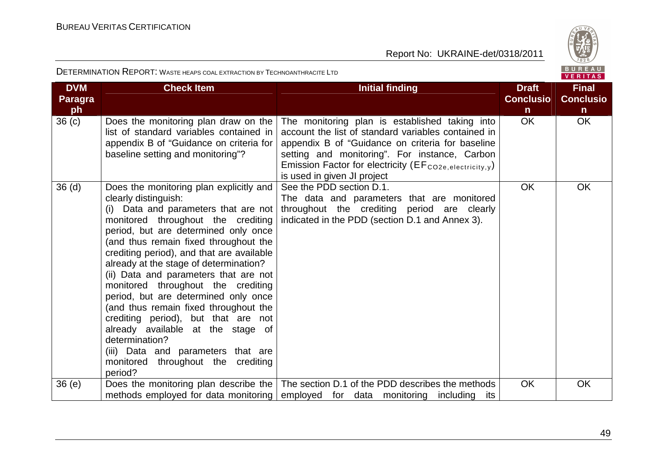

|                              |                                                                                                                                                                                                                                                                                                                                                                                                                                                                                                                                                                                                                                                                            |                                                                                                                                                                                                                                                                                                                    |                                  | $V = 11111149$                   |
|------------------------------|----------------------------------------------------------------------------------------------------------------------------------------------------------------------------------------------------------------------------------------------------------------------------------------------------------------------------------------------------------------------------------------------------------------------------------------------------------------------------------------------------------------------------------------------------------------------------------------------------------------------------------------------------------------------------|--------------------------------------------------------------------------------------------------------------------------------------------------------------------------------------------------------------------------------------------------------------------------------------------------------------------|----------------------------------|----------------------------------|
| <b>DVM</b><br><b>Paragra</b> | <b>Check Item</b>                                                                                                                                                                                                                                                                                                                                                                                                                                                                                                                                                                                                                                                          | <b>Initial finding</b>                                                                                                                                                                                                                                                                                             | <b>Draft</b><br><b>Conclusio</b> | <b>Final</b><br><b>Conclusio</b> |
| ph                           |                                                                                                                                                                                                                                                                                                                                                                                                                                                                                                                                                                                                                                                                            |                                                                                                                                                                                                                                                                                                                    | $\mathsf{n}$                     | n.                               |
| 36 <sub>(c)</sub>            | Does the monitoring plan draw on the<br>list of standard variables contained in<br>appendix B of "Guidance on criteria for<br>baseline setting and monitoring"?                                                                                                                                                                                                                                                                                                                                                                                                                                                                                                            | The monitoring plan is established taking into<br>account the list of standard variables contained in<br>appendix B of "Guidance on criteria for baseline<br>setting and monitoring". For instance, Carbon<br>Emission Factor for electricity (EF <sub>CO2e, electricity, y</sub> )<br>is used in given JI project | OK.                              | OK                               |
| 36 <sub>(d)</sub>            | Does the monitoring plan explicitly and<br>clearly distinguish:<br>(i) Data and parameters that are not<br>monitored throughout the crediting<br>period, but are determined only once<br>(and thus remain fixed throughout the<br>crediting period), and that are available<br>already at the stage of determination?<br>(ii) Data and parameters that are not<br>monitored throughout the crediting<br>period, but are determined only once<br>(and thus remain fixed throughout the<br>crediting period), but that are not<br>already available at the stage of<br>determination?<br>(iii) Data and parameters that are<br>monitored throughout the crediting<br>period? | See the PDD section D.1.<br>The data and parameters that are monitored<br>throughout the crediting period are clearly<br>indicated in the PDD (section D.1 and Annex 3).                                                                                                                                           | <b>OK</b>                        | <b>OK</b>                        |
| 36(e)                        |                                                                                                                                                                                                                                                                                                                                                                                                                                                                                                                                                                                                                                                                            | Does the monitoring plan describe the   The section D.1 of the PDD describes the methods  <br>methods employed for data monitoring employed for data monitoring including its                                                                                                                                      | <b>OK</b>                        | <b>OK</b>                        |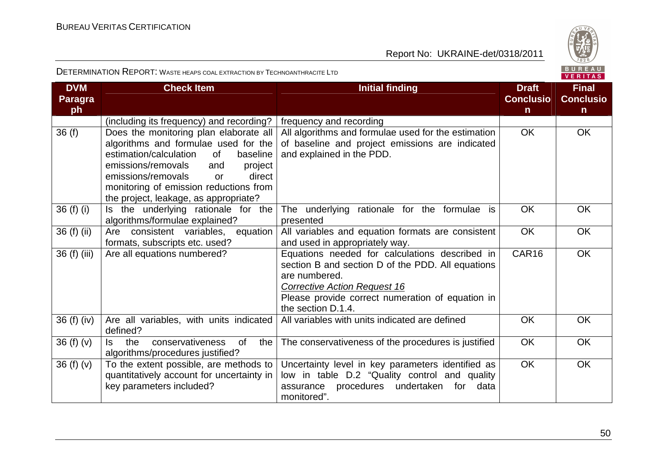

| <b>DVM</b><br>Paragra<br>ph | <b>Check Item</b>                                                                                                                                                                                                                                                                           | <b>Initial finding</b>                                                                                                                                                                                                                | <b>Draft</b><br><b>Conclusio</b><br>$\mathsf{n}$ | <b>Final</b><br><b>Conclusio</b><br>$\mathsf{n}$ |
|-----------------------------|---------------------------------------------------------------------------------------------------------------------------------------------------------------------------------------------------------------------------------------------------------------------------------------------|---------------------------------------------------------------------------------------------------------------------------------------------------------------------------------------------------------------------------------------|--------------------------------------------------|--------------------------------------------------|
|                             | (including its frequency) and recording?                                                                                                                                                                                                                                                    | frequency and recording                                                                                                                                                                                                               |                                                  |                                                  |
| 36(f)                       | Does the monitoring plan elaborate all<br>algorithms and formulae used for the<br>estimation/calculation<br>of<br>baseline<br>emissions/removals<br>project<br>and<br>emissions/removals<br>direct<br>or<br>monitoring of emission reductions from<br>the project, leakage, as appropriate? | All algorithms and formulae used for the estimation<br>of baseline and project emissions are indicated<br>and explained in the PDD.                                                                                                   | <b>OK</b>                                        | OK                                               |
| $36(f)$ (i)                 | Is the underlying rationale for the<br>algorithms/formulae explained?                                                                                                                                                                                                                       | The underlying rationale for the formulae is<br>presented                                                                                                                                                                             | <b>OK</b>                                        | <b>OK</b>                                        |
| 36 (f) (ii)                 | Are consistent variables,<br>equation<br>formats, subscripts etc. used?                                                                                                                                                                                                                     | All variables and equation formats are consistent<br>and used in appropriately way.                                                                                                                                                   | <b>OK</b>                                        | OK                                               |
| 36 (f) (iii)                | Are all equations numbered?                                                                                                                                                                                                                                                                 | Equations needed for calculations described in<br>section B and section D of the PDD. All equations<br>are numbered.<br><b>Corrective Action Request 16</b><br>Please provide correct numeration of equation in<br>the section D.1.4. | CAR16                                            | <b>OK</b>                                        |
| 36 (f) (iv)                 | Are all variables, with units indicated<br>defined?                                                                                                                                                                                                                                         | All variables with units indicated are defined                                                                                                                                                                                        | <b>OK</b>                                        | <b>OK</b>                                        |
| 36(f)(v)                    | conservativeness<br>$\mathsf{ls}$<br>the<br><b>of</b><br>the<br>algorithms/procedures justified?                                                                                                                                                                                            | The conservativeness of the procedures is justified                                                                                                                                                                                   | <b>OK</b>                                        | <b>OK</b>                                        |
| 36(f)(v)                    | To the extent possible, are methods to<br>quantitatively account for uncertainty in<br>key parameters included?                                                                                                                                                                             | Uncertainty level in key parameters identified as<br>low in table D.2 "Quality control and quality<br>for<br>procedures undertaken<br>data<br>assurance<br>monitored".                                                                | <b>OK</b>                                        | <b>OK</b>                                        |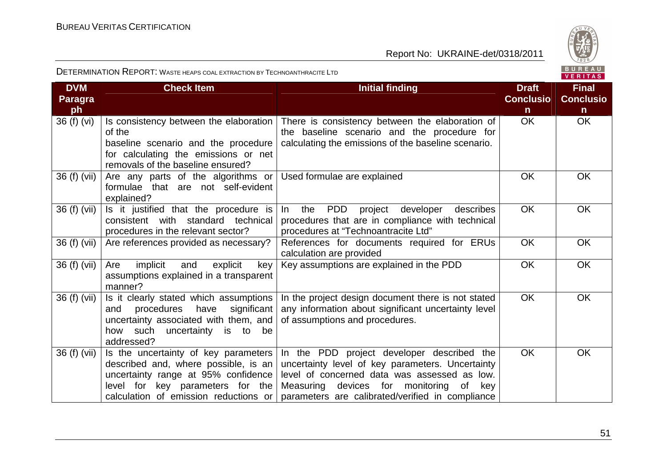

| <b>DVM</b><br><b>Paragra</b><br>ph | <b>Check Item</b>                                                                                                                                                                                | <b>Initial finding</b>                                                                                                                                                                                                                              | <b>Draft</b><br><b>Conclusio</b><br>$\mathsf{n}$ | <b>Final</b><br><b>Conclusio</b><br>n. |
|------------------------------------|--------------------------------------------------------------------------------------------------------------------------------------------------------------------------------------------------|-----------------------------------------------------------------------------------------------------------------------------------------------------------------------------------------------------------------------------------------------------|--------------------------------------------------|----------------------------------------|
| 36 (f) (vi)                        | Is consistency between the elaboration<br>of the<br>baseline scenario and the procedure<br>for calculating the emissions or net<br>removals of the baseline ensured?                             | There is consistency between the elaboration of<br>the baseline scenario and the procedure for<br>calculating the emissions of the baseline scenario.                                                                                               | <b>OK</b>                                        | OK                                     |
| 36 (f) (vii)                       | Are any parts of the algorithms or<br>formulae that are not self-evident<br>explained?                                                                                                           | Used formulae are explained                                                                                                                                                                                                                         | <b>OK</b>                                        | <b>OK</b>                              |
| 36 (f) (vii)                       | Is it justified that the procedure is<br>consistent with standard technical<br>procedures in the relevant sector?                                                                                | <b>PDD</b><br>the<br>project<br>$\ln$<br>developer<br>describes<br>procedures that are in compliance with technical<br>procedures at "Technoantracite Ltd"                                                                                          | <b>OK</b>                                        | OK                                     |
| 36 (f) (vii)                       | Are references provided as necessary?                                                                                                                                                            | References for documents required for ERUs<br>calculation are provided                                                                                                                                                                              | <b>OK</b>                                        | <b>OK</b>                              |
| 36 (f) (vii)                       | implicit<br>Are<br>and<br>explicit<br>key<br>assumptions explained in a transparent<br>manner?                                                                                                   | Key assumptions are explained in the PDD                                                                                                                                                                                                            | <b>OK</b>                                        | OK                                     |
| 36 (f) (vii)                       | Is it clearly stated which assumptions<br>procedures have<br>significant<br>and<br>uncertainty associated with them, and<br>how such uncertainty<br>is to be<br>addressed?                       | In the project design document there is not stated<br>any information about significant uncertainty level<br>of assumptions and procedures.                                                                                                         | <b>OK</b>                                        | OK                                     |
| 36 (f) (vii)                       | Is the uncertainty of key parameters<br>described and, where possible, is an<br>uncertainty range at 95% confidence<br>level for key parameters for the<br>calculation of emission reductions or | In the PDD project developer described the<br>uncertainty level of key parameters. Uncertainty<br>level of concerned data was assessed as low.<br>Measuring devices for monitoring<br>of<br>key<br>parameters are calibrated/verified in compliance | <b>OK</b>                                        | <b>OK</b>                              |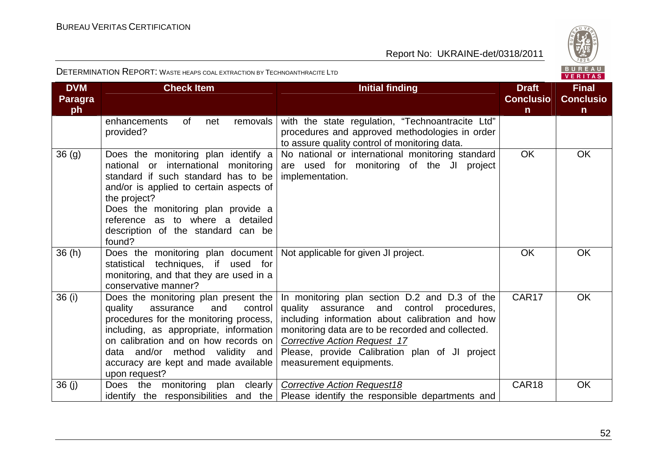

|  | . <u>.</u> |  |  |
|--|------------|--|--|
|  |            |  |  |
|  | FRITAS     |  |  |
|  |            |  |  |

| <b>DVM</b>           | <b>Check Item</b>                                                                                                                                                                                                                                                                                       | <b>Initial finding</b>                                                                                                                                                                                                                                                                                                    |                                  | <b>Final</b>                     |
|----------------------|---------------------------------------------------------------------------------------------------------------------------------------------------------------------------------------------------------------------------------------------------------------------------------------------------------|---------------------------------------------------------------------------------------------------------------------------------------------------------------------------------------------------------------------------------------------------------------------------------------------------------------------------|----------------------------------|----------------------------------|
| <b>Paragra</b><br>ph |                                                                                                                                                                                                                                                                                                         |                                                                                                                                                                                                                                                                                                                           | <b>Conclusio</b><br>$\mathsf{n}$ | <b>Conclusio</b><br>$\mathsf{n}$ |
|                      | of<br>enhancements<br>removals<br>net<br>provided?                                                                                                                                                                                                                                                      | with the state regulation, "Technoantracite Ltd"<br>procedures and approved methodologies in order<br>to assure quality control of monitoring data.                                                                                                                                                                       |                                  |                                  |
| 36 <sub>(g)</sub>    | Does the monitoring plan identify a<br>national or international monitoring<br>standard if such standard has to be<br>and/or is applied to certain aspects of<br>the project?<br>Does the monitoring plan provide a<br>reference as to where a detailed<br>description of the standard can be<br>found? | No national or international monitoring standard<br>are used for monitoring of the JI project<br>implementation.                                                                                                                                                                                                          | <b>OK</b>                        | <b>OK</b>                        |
| 36(h)                | Does the monitoring plan document   Not applicable for given JI project.<br>techniques, if used for<br>statistical<br>monitoring, and that they are used in a<br>conservative manner?                                                                                                                   |                                                                                                                                                                                                                                                                                                                           | <b>OK</b>                        | <b>OK</b>                        |
| 36 (i)               | Does the monitoring plan present the<br>quality<br>assurance<br>and<br>control<br>procedures for the monitoring process,<br>including, as appropriate, information<br>on calibration and on how records on<br>data and/or method validity and<br>accuracy are kept and made available<br>upon request?  | In monitoring plan section D.2 and D.3 of the<br>quality<br>assurance and control procedures,<br>including information about calibration and how<br>monitoring data are to be recorded and collected.<br><b>Corrective Action Request 17</b><br>Please, provide Calibration plan of JI project<br>measurement equipments. | CAR <sub>17</sub>                | <b>OK</b>                        |
| 36(j)                | Does the monitoring plan clearly                                                                                                                                                                                                                                                                        | <b>Corrective Action Request18</b><br>identify the responsibilities and the   Please identify the responsible departments and                                                                                                                                                                                             | CAR18                            | <b>OK</b>                        |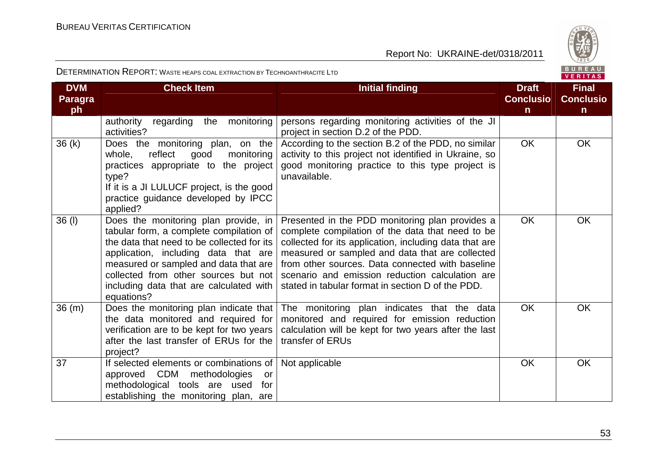

|  | .    |     |   |
|--|------|-----|---|
|  | FR I | - 7 | ∼ |

| <b>DVM</b><br><b>Paragra</b> | <b>Check Item</b>                                                                                                                                                                                                                                                                                               | <b>Initial finding</b>                                                                                                                                                                                                                                                                                                                                                       | <b>Draft</b><br><b>Conclusio</b> | <b>Final</b><br><b>Conclusio</b> |
|------------------------------|-----------------------------------------------------------------------------------------------------------------------------------------------------------------------------------------------------------------------------------------------------------------------------------------------------------------|------------------------------------------------------------------------------------------------------------------------------------------------------------------------------------------------------------------------------------------------------------------------------------------------------------------------------------------------------------------------------|----------------------------------|----------------------------------|
| ph                           |                                                                                                                                                                                                                                                                                                                 |                                                                                                                                                                                                                                                                                                                                                                              | $\mathsf{n}$                     | $\mathsf{n}$                     |
|                              | regarding<br>monitoring<br>authority<br>the<br>activities?                                                                                                                                                                                                                                                      | persons regarding monitoring activities of the JI<br>project in section D.2 of the PDD.                                                                                                                                                                                                                                                                                      |                                  |                                  |
| 36(k)                        | Does the monitoring plan, on the<br>reflect<br>whole,<br>good<br>monitoring<br>practices appropriate to the project<br>type?<br>If it is a JI LULUCF project, is the good<br>practice guidance developed by IPCC<br>applied?                                                                                    | According to the section B.2 of the PDD, no similar<br>activity to this project not identified in Ukraine, so<br>good monitoring practice to this type project is<br>unavailable.                                                                                                                                                                                            | <b>OK</b>                        | OK                               |
| $36$ (I)                     | Does the monitoring plan provide, in<br>tabular form, a complete compilation of<br>the data that need to be collected for its<br>application, including data that are<br>measured or sampled and data that are<br>collected from other sources but not<br>including data that are calculated with<br>equations? | Presented in the PDD monitoring plan provides a<br>complete compilation of the data that need to be<br>collected for its application, including data that are<br>measured or sampled and data that are collected<br>from other sources. Data connected with baseline<br>scenario and emission reduction calculation are<br>stated in tabular format in section D of the PDD. | <b>OK</b>                        | <b>OK</b>                        |
| 36(m)                        | Does the monitoring plan indicate that<br>the data monitored and required for<br>verification are to be kept for two years<br>after the last transfer of ERUs for the<br>project?                                                                                                                               | The monitoring plan indicates that the data<br>monitored and required for emission reduction<br>calculation will be kept for two years after the last<br>transfer of ERUs                                                                                                                                                                                                    | <b>OK</b>                        | <b>OK</b>                        |
| 37                           | If selected elements or combinations of<br>approved CDM<br>methodologies<br>or<br>methodological tools are used<br>for<br>establishing the monitoring plan, are                                                                                                                                                 | Not applicable                                                                                                                                                                                                                                                                                                                                                               | OK                               | OK                               |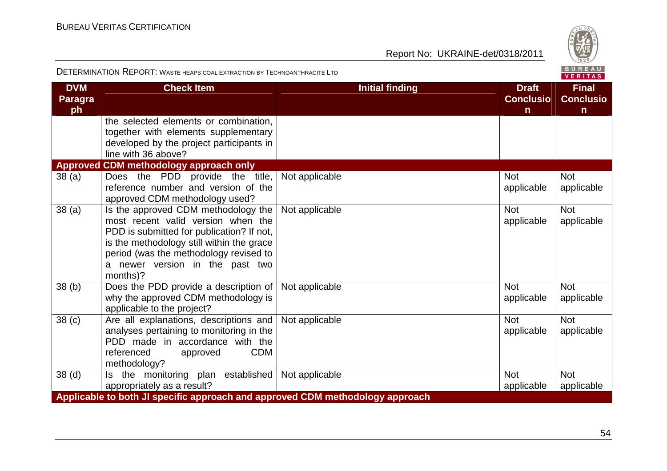

| <b>DVM</b><br><b>Paragra</b><br>ph | <b>Check Item</b>                                                                                                                                                                                                                                            | <b>Initial finding</b> | <b>Draft</b><br><b>Conclusio</b><br>$\mathsf{n}$ | <b>Final</b><br><b>Conclusio</b><br>$\mathsf{n}$ |
|------------------------------------|--------------------------------------------------------------------------------------------------------------------------------------------------------------------------------------------------------------------------------------------------------------|------------------------|--------------------------------------------------|--------------------------------------------------|
|                                    | the selected elements or combination,<br>together with elements supplementary<br>developed by the project participants in<br>line with 36 above?                                                                                                             |                        |                                                  |                                                  |
|                                    | <b>Approved CDM methodology approach only</b>                                                                                                                                                                                                                |                        |                                                  |                                                  |
| 38(a)                              | Does the PDD provide the title,<br>reference number and version of the<br>approved CDM methodology used?                                                                                                                                                     | Not applicable         | <b>Not</b><br>applicable                         | <b>Not</b><br>applicable                         |
| 38(a)                              | Is the approved CDM methodology the<br>most recent valid version when the<br>PDD is submitted for publication? If not,<br>is the methodology still within the grace<br>period (was the methodology revised to<br>a newer version in the past two<br>months)? | Not applicable         | <b>Not</b><br>applicable                         | <b>Not</b><br>applicable                         |
| 38 <sub>(b)</sub>                  | Does the PDD provide a description of<br>why the approved CDM methodology is<br>applicable to the project?                                                                                                                                                   | Not applicable         | <b>Not</b><br>applicable                         | <b>Not</b><br>applicable                         |
| 38 <sub>(c)</sub>                  | Are all explanations, descriptions and<br>analyses pertaining to monitoring in the<br>PDD made in accordance with the<br><b>CDM</b><br>referenced<br>approved<br>methodology?                                                                                | Not applicable         | <b>Not</b><br>applicable                         | <b>Not</b><br>applicable                         |
| 38 <sub>(d)</sub>                  | Is the monitoring plan established<br>appropriately as a result?                                                                                                                                                                                             | Not applicable         | <b>Not</b><br>applicable                         | <b>Not</b><br>applicable                         |
|                                    | Applicable to both JI specific approach and approved CDM methodology approach                                                                                                                                                                                |                        |                                                  |                                                  |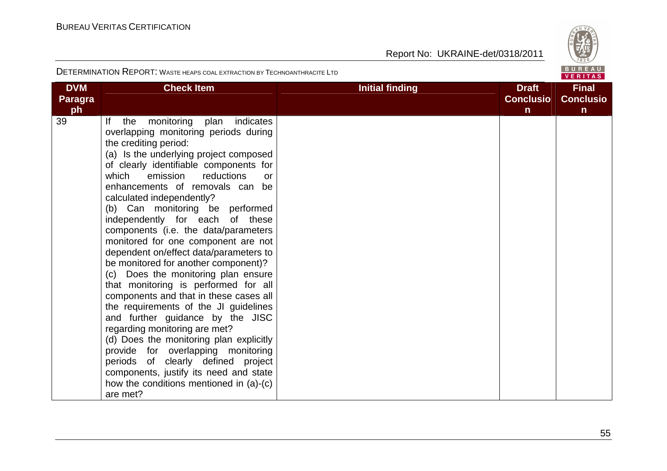

| <b>DVM</b><br><b>Paragra</b><br>ph | <b>Check Item</b>                                                                                                                                                                                                                                                                                                                                                                                                                                                                                                                                                                                                                                                                                                                                                                                                                                                                                                                                                                                                  | <b>Initial finding</b> | <b>Draft</b><br><b>Conclusio</b><br>$\mathsf{n}$ | <b>Final</b><br><b>Conclusio</b><br>$\mathsf{n}$ |
|------------------------------------|--------------------------------------------------------------------------------------------------------------------------------------------------------------------------------------------------------------------------------------------------------------------------------------------------------------------------------------------------------------------------------------------------------------------------------------------------------------------------------------------------------------------------------------------------------------------------------------------------------------------------------------------------------------------------------------------------------------------------------------------------------------------------------------------------------------------------------------------------------------------------------------------------------------------------------------------------------------------------------------------------------------------|------------------------|--------------------------------------------------|--------------------------------------------------|
| 39                                 | monitoring<br>indicates<br>plan<br>lf.<br>the<br>overlapping monitoring periods during<br>the crediting period:<br>(a) Is the underlying project composed<br>of clearly identifiable components for<br>reductions<br>which<br>emission<br>or<br>enhancements of removals can be<br>calculated independently?<br>(b) Can monitoring be performed<br>independently for each of these<br>components (i.e. the data/parameters<br>monitored for one component are not<br>dependent on/effect data/parameters to<br>be monitored for another component)?<br>(c) Does the monitoring plan ensure<br>that monitoring is performed for all<br>components and that in these cases all<br>the requirements of the JI guidelines<br>and further guidance by the JISC<br>regarding monitoring are met?<br>(d) Does the monitoring plan explicitly<br>provide for overlapping monitoring<br>periods of clearly defined project<br>components, justify its need and state<br>how the conditions mentioned in (a)-(c)<br>are met? |                        |                                                  |                                                  |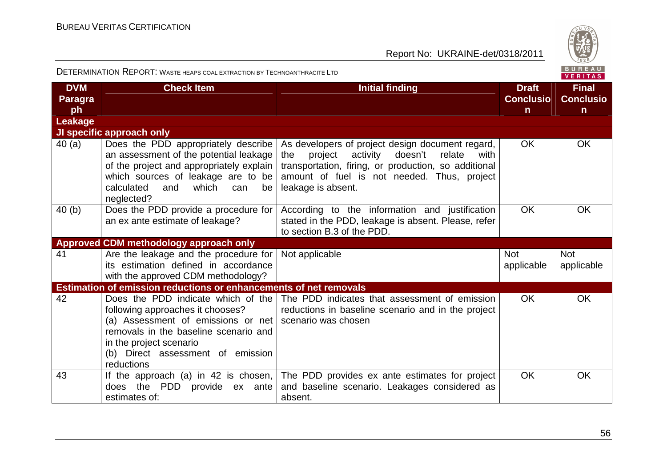

| <b>DVM</b><br><b>Paragra</b><br>ph | <b>Check Item</b>                                                                                                                                                                                                                   | <b>Initial finding</b>                                                                                                                                                                                                                   | <b>Draft</b><br><b>Conclusio</b><br>$\mathsf{n}$ | <b>Final</b><br><b>Conclusio</b><br>$\mathsf{n}$ |
|------------------------------------|-------------------------------------------------------------------------------------------------------------------------------------------------------------------------------------------------------------------------------------|------------------------------------------------------------------------------------------------------------------------------------------------------------------------------------------------------------------------------------------|--------------------------------------------------|--------------------------------------------------|
| Leakage                            |                                                                                                                                                                                                                                     |                                                                                                                                                                                                                                          |                                                  |                                                  |
|                                    | JI specific approach only                                                                                                                                                                                                           |                                                                                                                                                                                                                                          |                                                  |                                                  |
| 40(a)                              | Does the PDD appropriately describe<br>an assessment of the potential leakage<br>of the project and appropriately explain  <br>which sources of leakage are to be<br>calculated<br>and which can<br>be<br>neglected?                | As developers of project design document regard,<br>project<br>activity<br>doesn't<br>relate<br>the<br>with<br>transportation, firing, or production, so additional<br>amount of fuel is not needed. Thus, project<br>leakage is absent. | <b>OK</b>                                        | <b>OK</b>                                        |
| 40(b)                              | Does the PDD provide a procedure for<br>an ex ante estimate of leakage?                                                                                                                                                             | According to the information and justification<br>stated in the PDD, leakage is absent. Please, refer<br>to section B.3 of the PDD.                                                                                                      | <b>OK</b>                                        | <b>OK</b>                                        |
|                                    | <b>Approved CDM methodology approach only</b>                                                                                                                                                                                       |                                                                                                                                                                                                                                          |                                                  |                                                  |
| 41                                 | Are the leakage and the procedure for<br>its estimation defined in accordance<br>with the approved CDM methodology?                                                                                                                 | Not applicable                                                                                                                                                                                                                           | <b>Not</b><br>applicable                         | <b>Not</b><br>applicable                         |
|                                    | <b>Estimation of emission reductions or enhancements of net removals</b>                                                                                                                                                            |                                                                                                                                                                                                                                          |                                                  |                                                  |
| 42                                 | Does the PDD indicate which of the<br>following approaches it chooses?<br>(a) Assessment of emissions or net<br>removals in the baseline scenario and<br>in the project scenario<br>(b) Direct assessment of emission<br>reductions | The PDD indicates that assessment of emission<br>reductions in baseline scenario and in the project<br>scenario was chosen                                                                                                               | OK.                                              | <b>OK</b>                                        |
| 43                                 | If the approach (a) in 42 is chosen,<br>does the PDD provide ex ante<br>estimates of:                                                                                                                                               | The PDD provides ex ante estimates for project<br>and baseline scenario. Leakages considered as<br>absent.                                                                                                                               | <b>OK</b>                                        | <b>OK</b>                                        |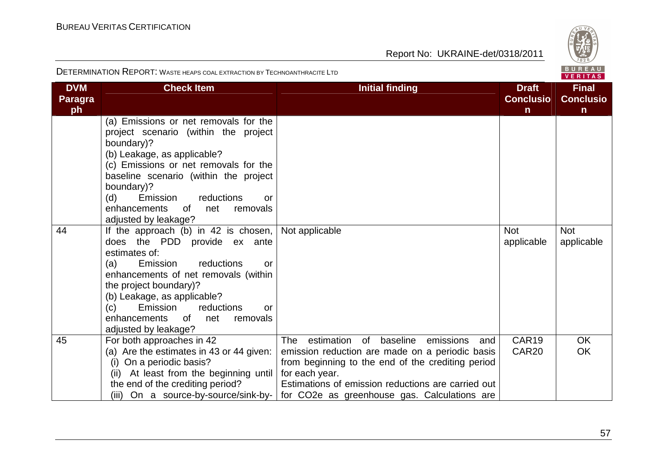

| <b>DVM</b><br><b>Paragra</b><br>ph | <b>Check Item</b>                                                                                                                                                                                                                                                                                                                                                  | <b>Initial finding</b>                                                                                                                                                                                                                                                            | <b>Draft</b><br><b>Conclusio</b><br>$\mathsf{n}$ | <b>Final</b><br><b>Conclusio</b><br>$\mathsf{n}$ |
|------------------------------------|--------------------------------------------------------------------------------------------------------------------------------------------------------------------------------------------------------------------------------------------------------------------------------------------------------------------------------------------------------------------|-----------------------------------------------------------------------------------------------------------------------------------------------------------------------------------------------------------------------------------------------------------------------------------|--------------------------------------------------|--------------------------------------------------|
|                                    | (a) Emissions or net removals for the<br>project scenario (within the project<br>boundary)?<br>(b) Leakage, as applicable?<br>(c) Emissions or net removals for the<br>baseline scenario (within the project<br>boundary)?<br>Emission<br>(d)<br>reductions<br>or<br>enhancements<br>0f<br>removals<br>net                                                         |                                                                                                                                                                                                                                                                                   |                                                  |                                                  |
| 44                                 | adjusted by leakage?<br>If the approach (b) in 42 is chosen, $\vert$<br>does the PDD provide ex ante<br>estimates of:<br>reductions<br>(a)<br>Emission<br>or<br>enhancements of net removals (within<br>the project boundary)?<br>(b) Leakage, as applicable?<br>Emission<br>(c)<br>reductions<br>or<br>enhancements of<br>net<br>removals<br>adjusted by leakage? | Not applicable                                                                                                                                                                                                                                                                    | <b>Not</b><br>applicable                         | <b>Not</b><br>applicable                         |
| 45                                 | For both approaches in 42<br>(a) Are the estimates in 43 or 44 given:<br>(i) On a periodic basis?<br>(ii) At least from the beginning until<br>the end of the crediting period?<br>(iii) On a source-by-source/sink-by-                                                                                                                                            | estimation of baseline<br>The<br>emissions<br>and<br>emission reduction are made on a periodic basis<br>from beginning to the end of the crediting period<br>for each year.<br>Estimations of emission reductions are carried out<br>for CO2e as greenhouse gas. Calculations are | CAR19<br>CAR <sub>20</sub>                       | <b>OK</b><br><b>OK</b>                           |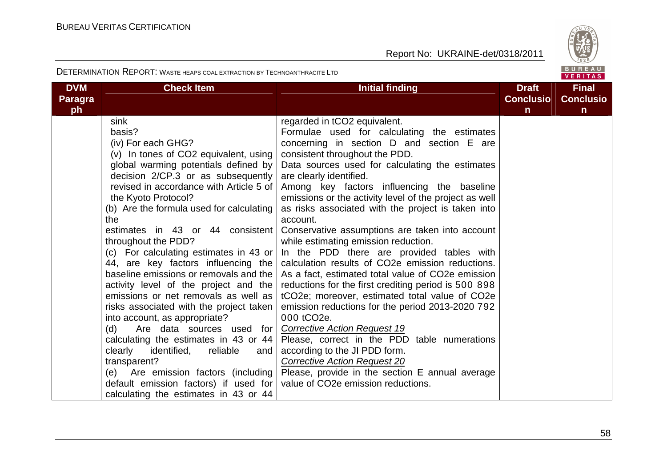

| <b>DVM</b>    | <b>Check Item</b>                                                                                                                                                                                                                                                                                                                                                                                                                                                                                                                                                                                                                                                                                                                                                                                                                                                                                                    | <b>Initial finding</b>                                                                                                                                                                                                                                                                                                                                                                                                                                                                                                                                                                                                                                                                                                                                                                                                                                                                                                                                                                                                                                                                                             | <b>Draft</b><br><b>Conclusio</b> | <b>Final</b><br><b>Conclusio</b> |
|---------------|----------------------------------------------------------------------------------------------------------------------------------------------------------------------------------------------------------------------------------------------------------------------------------------------------------------------------------------------------------------------------------------------------------------------------------------------------------------------------------------------------------------------------------------------------------------------------------------------------------------------------------------------------------------------------------------------------------------------------------------------------------------------------------------------------------------------------------------------------------------------------------------------------------------------|--------------------------------------------------------------------------------------------------------------------------------------------------------------------------------------------------------------------------------------------------------------------------------------------------------------------------------------------------------------------------------------------------------------------------------------------------------------------------------------------------------------------------------------------------------------------------------------------------------------------------------------------------------------------------------------------------------------------------------------------------------------------------------------------------------------------------------------------------------------------------------------------------------------------------------------------------------------------------------------------------------------------------------------------------------------------------------------------------------------------|----------------------------------|----------------------------------|
| Paragra<br>ph |                                                                                                                                                                                                                                                                                                                                                                                                                                                                                                                                                                                                                                                                                                                                                                                                                                                                                                                      |                                                                                                                                                                                                                                                                                                                                                                                                                                                                                                                                                                                                                                                                                                                                                                                                                                                                                                                                                                                                                                                                                                                    | n                                | $\mathsf{n}$                     |
|               | sink<br>basis?<br>(iv) For each GHG?<br>(v) In tones of CO2 equivalent, using  <br>global warming potentials defined by<br>decision $2/CP.3$ or as subsequently<br>revised in accordance with Article 5 of<br>the Kyoto Protocol?<br>(b) Are the formula used for calculating<br>the<br>estimates in 43 or 44 consistent<br>throughout the PDD?<br>(c) For calculating estimates in 43 or<br>baseline emissions or removals and the  <br>activity level of the project and the<br>emissions or net removals as well as<br>risks associated with the project taken<br>into account, as appropriate?<br>Are data sources used for<br>(d)<br>calculating the estimates in 43 or 44<br>reliable<br>clearly<br>identified,<br>and<br>transparent?<br>Are emission factors (including)<br>(e)<br>default emission factors) if used for $\vert$ value of CO2e emission reductions.<br>calculating the estimates in 43 or 44 | regarded in tCO2 equivalent.<br>Formulae used for calculating the estimates<br>concerning in section D and section E are<br>consistent throughout the PDD.<br>Data sources used for calculating the estimates<br>are clearly identified.<br>Among key factors influencing the baseline<br>emissions or the activity level of the project as well<br>as risks associated with the project is taken into<br>account.<br>Conservative assumptions are taken into account<br>while estimating emission reduction.<br>In the PDD there are provided tables with<br>44, are key factors influencing the calculation results of CO2e emission reductions.<br>As a fact, estimated total value of CO2e emission<br>reductions for the first crediting period is 500 898<br>tCO2e; moreover, estimated total value of CO2e<br>emission reductions for the period 2013-2020 792<br>000 tCO <sub>2</sub> e.<br><b>Corrective Action Request 19</b><br>Please, correct in the PDD table numerations<br>according to the JI PDD form.<br><b>Corrective Action Request 20</b><br>Please, provide in the section E annual average |                                  |                                  |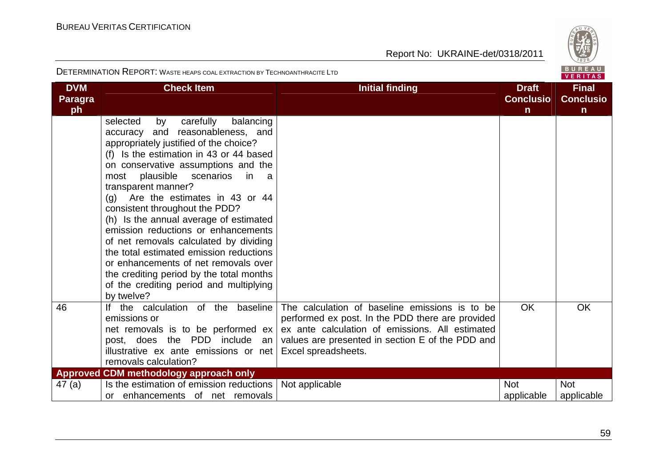

| <b>DVM</b><br><b>Paragra</b><br>ph | <b>Check Item</b>                                                                                                                                                                                                                                                                                                                                                                                                                                                                                                                                                                                                                                                        | <b>Initial finding</b>                                                                                                                                                                                                           | <b>Draft</b><br><b>Conclusio</b><br>$\mathsf{n}$ | <b>Final</b><br><b>Conclusio</b><br>$\mathsf{n}$ |
|------------------------------------|--------------------------------------------------------------------------------------------------------------------------------------------------------------------------------------------------------------------------------------------------------------------------------------------------------------------------------------------------------------------------------------------------------------------------------------------------------------------------------------------------------------------------------------------------------------------------------------------------------------------------------------------------------------------------|----------------------------------------------------------------------------------------------------------------------------------------------------------------------------------------------------------------------------------|--------------------------------------------------|--------------------------------------------------|
|                                    | carefully<br>balancing<br>selected<br>by<br>accuracy and reasonableness, and<br>appropriately justified of the choice?<br>(f) Is the estimation in 43 or 44 based<br>on conservative assumptions and the<br>plausible<br>scenarios<br>most<br>in<br>a a<br>transparent manner?<br>(g) Are the estimates in 43 or 44<br>consistent throughout the PDD?<br>(h) Is the annual average of estimated<br>emission reductions or enhancements<br>of net removals calculated by dividing<br>the total estimated emission reductions<br>or enhancements of net removals over<br>the crediting period by the total months<br>of the crediting period and multiplying<br>by twelve? |                                                                                                                                                                                                                                  |                                                  |                                                  |
| 46                                 | If the calculation of the baseline<br>emissions or<br>net removals is to be performed ex<br>post, does the PDD include an<br>illustrative ex ante emissions or net<br>removals calculation?                                                                                                                                                                                                                                                                                                                                                                                                                                                                              | The calculation of baseline emissions is to be<br>performed ex post. In the PDD there are provided<br>ex ante calculation of emissions. All estimated<br>values are presented in section E of the PDD and<br>Excel spreadsheets. | <b>OK</b>                                        | <b>OK</b>                                        |
|                                    | <b>Approved CDM methodology approach only</b>                                                                                                                                                                                                                                                                                                                                                                                                                                                                                                                                                                                                                            |                                                                                                                                                                                                                                  |                                                  |                                                  |
| 47(a)                              | Is the estimation of emission reductions<br>or enhancements of net removals                                                                                                                                                                                                                                                                                                                                                                                                                                                                                                                                                                                              | Not applicable                                                                                                                                                                                                                   | <b>Not</b><br>applicable                         | <b>Not</b><br>applicable                         |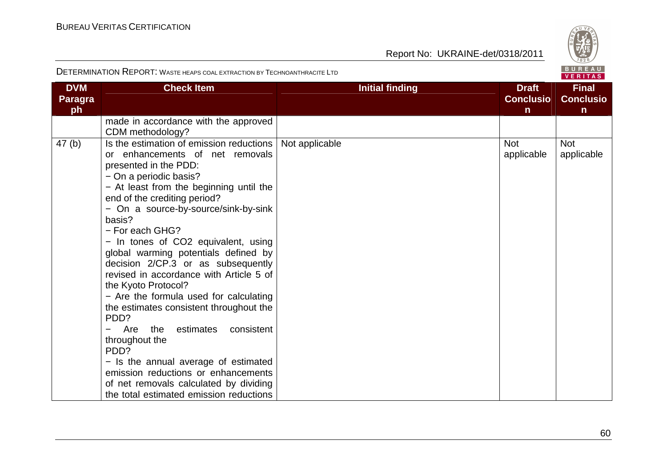

| <b>DVM</b><br><b>Paragra</b><br>ph | <b>Check Item</b>                                                                                                                                                                                                                                                                                                                                                                                                                                                                                                                                                                                                                                                                                                                                                                                         | <b>Initial finding</b> | <b>Draft</b><br><b>Conclusio</b><br>$\mathsf{n}$ | <b>Final</b><br><b>Conclusio</b><br>$\mathsf{n}$ |
|------------------------------------|-----------------------------------------------------------------------------------------------------------------------------------------------------------------------------------------------------------------------------------------------------------------------------------------------------------------------------------------------------------------------------------------------------------------------------------------------------------------------------------------------------------------------------------------------------------------------------------------------------------------------------------------------------------------------------------------------------------------------------------------------------------------------------------------------------------|------------------------|--------------------------------------------------|--------------------------------------------------|
|                                    | made in accordance with the approved<br>CDM methodology?                                                                                                                                                                                                                                                                                                                                                                                                                                                                                                                                                                                                                                                                                                                                                  |                        |                                                  |                                                  |
| 47(b)                              | Is the estimation of emission reductions<br>or enhancements of net removals<br>presented in the PDD:<br>- On a periodic basis?<br>- At least from the beginning until the<br>end of the crediting period?<br>- On a source-by-source/sink-by-sink<br>basis?<br>- For each GHG?<br>- In tones of CO2 equivalent, using<br>global warming potentials defined by<br>decision 2/CP.3 or as subsequently<br>revised in accordance with Article 5 of<br>the Kyoto Protocol?<br>- Are the formula used for calculating<br>the estimates consistent throughout the<br>PDD?<br>consistent<br>Are<br>the<br>estimates<br>throughout the<br>PDD?<br>- Is the annual average of estimated<br>emission reductions or enhancements<br>of net removals calculated by dividing<br>the total estimated emission reductions | Not applicable         | <b>Not</b><br>applicable                         | <b>Not</b><br>applicable                         |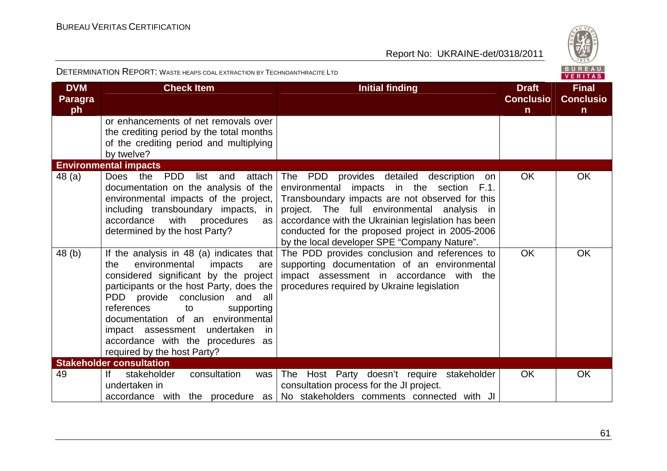

| <b>DVM</b><br><b>Paragra</b><br>ph | <b>Check Item</b>                                                                                                                                                                                                                                                                                                                                                                                 | <b>Initial finding</b>                                                                                                                                                                                                                                                                                                                                        | <b>Draft</b><br><b>Conclusio</b><br>$\mathsf{n}$ | <b>Final</b><br><b>Conclusio</b><br>$\mathbf n$ |
|------------------------------------|---------------------------------------------------------------------------------------------------------------------------------------------------------------------------------------------------------------------------------------------------------------------------------------------------------------------------------------------------------------------------------------------------|---------------------------------------------------------------------------------------------------------------------------------------------------------------------------------------------------------------------------------------------------------------------------------------------------------------------------------------------------------------|--------------------------------------------------|-------------------------------------------------|
|                                    | or enhancements of net removals over<br>the crediting period by the total months<br>of the crediting period and multiplying<br>by twelve?                                                                                                                                                                                                                                                         |                                                                                                                                                                                                                                                                                                                                                               |                                                  |                                                 |
|                                    | <b>Environmental impacts</b>                                                                                                                                                                                                                                                                                                                                                                      |                                                                                                                                                                                                                                                                                                                                                               |                                                  |                                                 |
| 48 (a)                             | the<br><b>PDD</b><br><b>Does</b><br>attach<br>list<br>and<br>documentation on the analysis of the<br>environmental impacts of the project,<br>including transboundary impacts, in<br>accordance<br>with<br>procedures<br>as<br>determined by the host Party?                                                                                                                                      | The PDD<br>provides detailed<br>description<br>on<br>environmental impacts in the section F.1.<br>Transboundary impacts are not observed for this<br>project. The full environmental analysis<br>in.<br>accordance with the Ukrainian legislation has been<br>conducted for the proposed project in 2005-2006<br>by the local developer SPE "Company Nature". | <b>OK</b>                                        | <b>OK</b>                                       |
| 48 (b)                             | If the analysis in 48 (a) indicates that<br>environmental<br>the<br>impacts<br>are<br>considered significant by the project<br>participants or the host Party, does the<br>PDD provide conclusion<br>and all<br>references<br>to<br>supporting<br>documentation of an environmental<br>impact assessment<br>undertaken<br>-in<br>accordance with the procedures as<br>required by the host Party? | The PDD provides conclusion and references to<br>supporting documentation of an environmental<br>impact assessment in accordance with the<br>procedures required by Ukraine legislation                                                                                                                                                                       | OK                                               | OK                                              |
|                                    | <b>Stakeholder consultation</b>                                                                                                                                                                                                                                                                                                                                                                   |                                                                                                                                                                                                                                                                                                                                                               |                                                  |                                                 |
| 49                                 | consultation<br> f <br>stakeholder<br>was<br>undertaken in<br>accordance with the procedure as                                                                                                                                                                                                                                                                                                    | The Host Party doesn't require stakeholder<br>consultation process for the JI project.<br>No stakeholders comments connected with JI                                                                                                                                                                                                                          | <b>OK</b>                                        | <b>OK</b>                                       |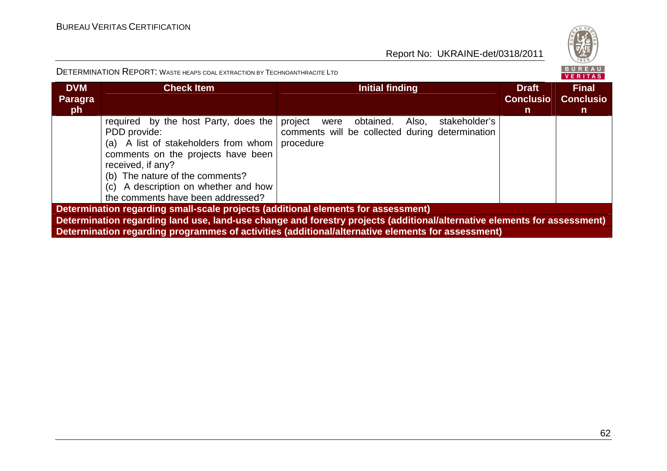

| <b>DVM</b><br><b>Paragra</b><br>ph                                                | <b>Check Item</b>                                                                                                                                                                                                                                                       | <b>Initial finding</b>                                                                                                   | <b>Draft</b><br><b>Conclusio</b><br>n. | <b>Final</b><br><b>Conclusio</b><br>$\mathsf{n}$ |  |  |
|-----------------------------------------------------------------------------------|-------------------------------------------------------------------------------------------------------------------------------------------------------------------------------------------------------------------------------------------------------------------------|--------------------------------------------------------------------------------------------------------------------------|----------------------------------------|--------------------------------------------------|--|--|
|                                                                                   | required by the host Party, does the<br>PDD provide:<br>(a) A list of stakeholders from whom<br>comments on the projects have been<br>received, if any?<br>(b) The nature of the comments?<br>(c) A description on whether and how<br>the comments have been addressed? | project were<br>obtained.<br>Also,<br>stakeholder's<br>comments will be collected during determination<br>procedure      |                                        |                                                  |  |  |
| Determination regarding small-scale projects (additional elements for assessment) |                                                                                                                                                                                                                                                                         |                                                                                                                          |                                        |                                                  |  |  |
|                                                                                   |                                                                                                                                                                                                                                                                         | Determination regarding land use, land-use change and forestry projects (additional/alternative elements for assessment) |                                        |                                                  |  |  |
|                                                                                   |                                                                                                                                                                                                                                                                         | Determination regarding programmes of activities (additional/alternative elements for assessment)                        |                                        |                                                  |  |  |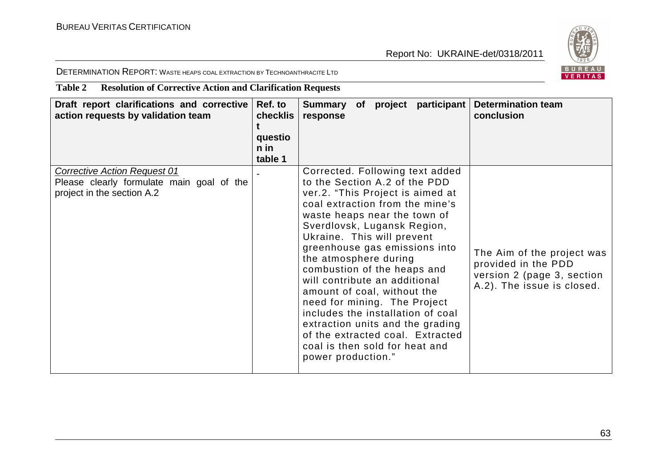

DETERMINATION REPORT: <sup>W</sup>ASTE HEAPS COAL EXTRACTION BY TECHNOANTHRACITE LTD

## **Table 2 Resolution of Corrective Action and Clarification Requests**

| Draft report clarifications and corrective<br>action requests by validation team                               | Ref. to<br>checklis<br>questio<br>n in<br>table 1 | Summary of project participant<br>response                                                                                                                                                                                                                                                                                                                                                                                                                                                                                                                                                         | <b>Determination team</b><br>conclusion                                                                       |
|----------------------------------------------------------------------------------------------------------------|---------------------------------------------------|----------------------------------------------------------------------------------------------------------------------------------------------------------------------------------------------------------------------------------------------------------------------------------------------------------------------------------------------------------------------------------------------------------------------------------------------------------------------------------------------------------------------------------------------------------------------------------------------------|---------------------------------------------------------------------------------------------------------------|
| <b>Corrective Action Request 01</b><br>Please clearly formulate main goal of the<br>project in the section A.2 |                                                   | Corrected. Following text added<br>to the Section A.2 of the PDD<br>ver.2. "This Project is aimed at<br>coal extraction from the mine's<br>waste heaps near the town of<br>Sverdlovsk, Lugansk Region,<br>Ukraine. This will prevent<br>greenhouse gas emissions into<br>the atmosphere during<br>combustion of the heaps and<br>will contribute an additional<br>amount of coal, without the<br>need for mining. The Project<br>includes the installation of coal<br>extraction units and the grading<br>of the extracted coal. Extracted<br>coal is then sold for heat and<br>power production." | The Aim of the project was<br>provided in the PDD<br>version 2 (page 3, section<br>A.2). The issue is closed. |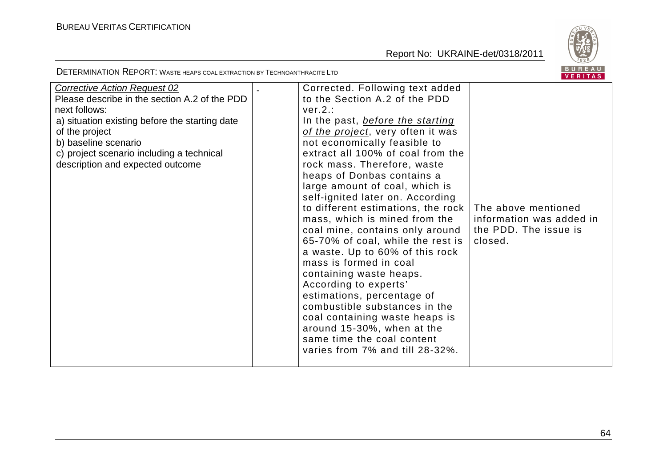Corrective Action Request 02

Report No: UKRAINE-det/0318/2011



DETERMINATION REPORT: <sup>W</sup>ASTE HEAPS COAL EXTRACTION BY TECHNOANTHRACITE LTD

| Please describe in the section A.2 of the PDD<br>next follows:                                                                                                            | to the Section A.2 of the PDD<br>ver.2.:                                                                                                                                                                                                                                                                                                                          |                                                                                     |
|---------------------------------------------------------------------------------------------------------------------------------------------------------------------------|-------------------------------------------------------------------------------------------------------------------------------------------------------------------------------------------------------------------------------------------------------------------------------------------------------------------------------------------------------------------|-------------------------------------------------------------------------------------|
| a) situation existing before the starting date<br>of the project<br>b) baseline scenario<br>c) project scenario including a technical<br>description and expected outcome | In the past, <i>before the starting</i><br>of the project, very often it was<br>not economically feasible to<br>extract all 100% of coal from the<br>rock mass. Therefore, waste<br>heaps of Donbas contains a<br>large amount of coal, which is                                                                                                                  |                                                                                     |
|                                                                                                                                                                           | self-ignited later on. According<br>to different estimations, the rock  <br>mass, which is mined from the<br>coal mine, contains only around<br>65-70% of coal, while the rest is<br>a waste. Up to 60% of this rock<br>mass is formed in coal<br>containing waste heaps.<br>According to experts'<br>estimations, percentage of<br>combustible substances in the | The above mentioned<br>information was added in<br>the PDD. The issue is<br>closed. |

 coal containing waste heaps is around 15-30%, when at the same time the coal content

varies from 7% and till 28-32%.

- Corrected. Following text added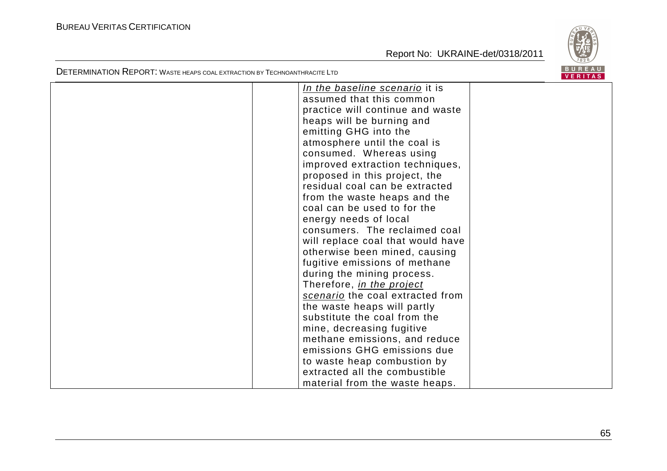

| In the baseline scenario it is    |  |
|-----------------------------------|--|
| assumed that this common          |  |
| practice will continue and waste  |  |
| heaps will be burning and         |  |
| emitting GHG into the             |  |
| atmosphere until the coal is      |  |
| consumed. Whereas using           |  |
| improved extraction techniques,   |  |
| proposed in this project, the     |  |
| residual coal can be extracted    |  |
| from the waste heaps and the      |  |
| coal can be used to for the       |  |
| energy needs of local             |  |
| consumers. The reclaimed coal     |  |
| will replace coal that would have |  |
| otherwise been mined, causing     |  |
| fugitive emissions of methane     |  |
| during the mining process.        |  |
| Therefore, in the project         |  |
| scenario the coal extracted from  |  |
| the waste heaps will partly       |  |
| substitute the coal from the      |  |
| mine, decreasing fugitive         |  |
| methane emissions, and reduce     |  |
| emissions GHG emissions due       |  |
| to waste heap combustion by       |  |
| extracted all the combustible     |  |
| material from the waste heaps.    |  |
|                                   |  |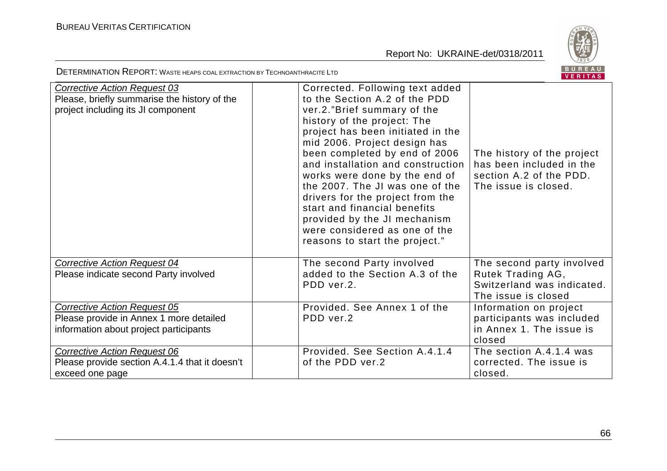

| <b>Corrective Action Request 03</b><br>Please, briefly summarise the history of the<br>project including its JI component | Corrected. Following text added<br>to the Section A.2 of the PDD<br>ver.2."Brief summary of the<br>history of the project: The<br>project has been initiated in the<br>mid 2006. Project design has<br>been completed by end of 2006<br>and installation and construction<br>works were done by the end of<br>the 2007. The JI was one of the<br>drivers for the project from the<br>start and financial benefits<br>provided by the JI mechanism<br>were considered as one of the<br>reasons to start the project." | The history of the project<br>has been included in the<br>section A.2 of the PDD.<br>The issue is closed. |
|---------------------------------------------------------------------------------------------------------------------------|----------------------------------------------------------------------------------------------------------------------------------------------------------------------------------------------------------------------------------------------------------------------------------------------------------------------------------------------------------------------------------------------------------------------------------------------------------------------------------------------------------------------|-----------------------------------------------------------------------------------------------------------|
| Corrective Action Request 04<br>Please indicate second Party involved                                                     | The second Party involved<br>added to the Section A.3 of the<br>PDD ver.2.                                                                                                                                                                                                                                                                                                                                                                                                                                           | The second party involved<br>Rutek Trading AG,<br>Switzerland was indicated.<br>The issue is closed       |
| <b>Corrective Action Request 05</b><br>Please provide in Annex 1 more detailed<br>information about project participants  | Provided. See Annex 1 of the<br>PDD ver.2                                                                                                                                                                                                                                                                                                                                                                                                                                                                            | Information on project<br>participants was included<br>in Annex 1. The issue is<br>closed                 |
| <b>Corrective Action Request 06</b><br>Please provide section A.4.1.4 that it doesn't<br>exceed one page                  | Provided. See Section A.4.1.4<br>of the PDD ver.2                                                                                                                                                                                                                                                                                                                                                                                                                                                                    | The section A.4.1.4 was<br>corrected. The issue is<br>closed.                                             |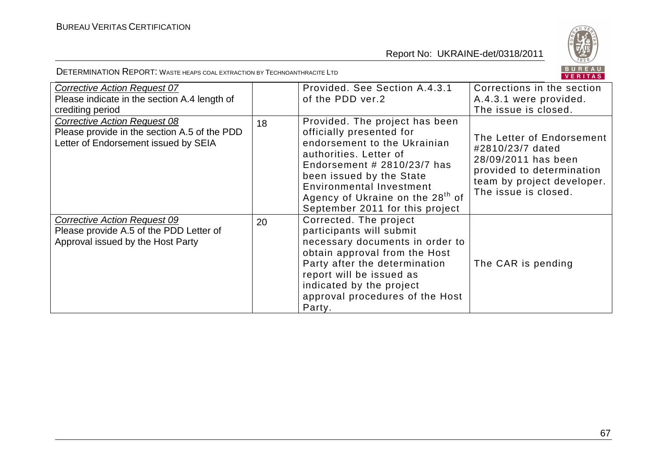

|                                                                                                                             |    |                                                                                                                                                                                                                                                                                                         | VERITAS                                                                                                                                                 |
|-----------------------------------------------------------------------------------------------------------------------------|----|---------------------------------------------------------------------------------------------------------------------------------------------------------------------------------------------------------------------------------------------------------------------------------------------------------|---------------------------------------------------------------------------------------------------------------------------------------------------------|
| Corrective Action Request 07<br>Please indicate in the section A.4 length of<br>crediting period                            |    | Provided, See Section A.4.3.1<br>of the PDD ver.2                                                                                                                                                                                                                                                       | Corrections in the section<br>A.4.3.1 were provided.<br>The issue is closed.                                                                            |
| <b>Corrective Action Request 08</b><br>Please provide in the section A.5 of the PDD<br>Letter of Endorsement issued by SEIA | 18 | Provided. The project has been<br>officially presented for<br>endorsement to the Ukrainian<br>authorities. Letter of<br>Endorsement $#$ 2810/23/7 has<br>been issued by the State<br><b>Environmental Investment</b><br>Agency of Ukraine on the 28 <sup>th</sup> of<br>September 2011 for this project | The Letter of Endorsement<br>#2810/23/7 dated<br>28/09/2011 has been<br>provided to determination<br>team by project developer.<br>The issue is closed. |
| Corrective Action Request 09<br>Please provide A.5 of the PDD Letter of<br>Approval issued by the Host Party                | 20 | Corrected. The project<br>participants will submit<br>necessary documents in order to<br>obtain approval from the Host<br>Party after the determination<br>report will be issued as<br>indicated by the project<br>approval procedures of the Host<br>Party.                                            | The CAR is pending                                                                                                                                      |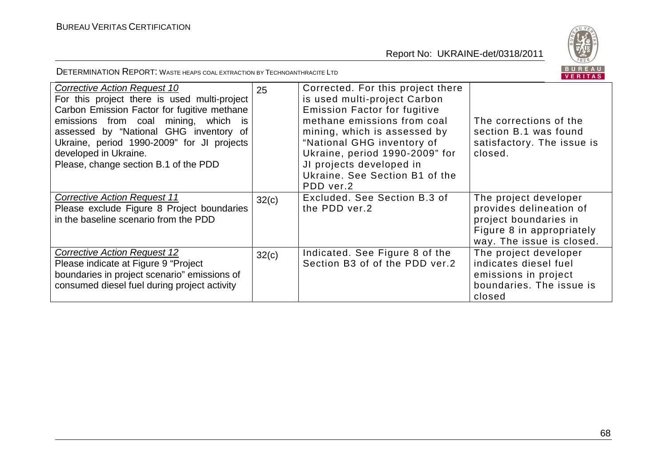

| Corrective Action Request 10<br>For this project there is used multi-project<br>Carbon Emission Factor for fugitive methane<br>emissions from coal mining, which is<br>assessed by "National GHG inventory of<br>Ukraine, period 1990-2009" for JI projects<br>developed in Ukraine.<br>Please, change section B.1 of the PDD | 25    | Corrected. For this project there<br>is used multi-project Carbon<br><b>Emission Factor for fugitive</b><br>methane emissions from coal<br>mining, which is assessed by<br>"National GHG inventory of<br>Ukraine, period 1990-2009" for<br>JI projects developed in<br>Ukraine. See Section B1 of the | The corrections of the<br>section B.1 was found<br>satisfactory. The issue is<br>closed.                                            |
|-------------------------------------------------------------------------------------------------------------------------------------------------------------------------------------------------------------------------------------------------------------------------------------------------------------------------------|-------|-------------------------------------------------------------------------------------------------------------------------------------------------------------------------------------------------------------------------------------------------------------------------------------------------------|-------------------------------------------------------------------------------------------------------------------------------------|
|                                                                                                                                                                                                                                                                                                                               |       | PDD ver.2                                                                                                                                                                                                                                                                                             |                                                                                                                                     |
| <b>Corrective Action Request 11</b><br>Please exclude Figure 8 Project boundaries<br>in the baseline scenario from the PDD                                                                                                                                                                                                    | 32(c) | Excluded. See Section B.3 of<br>the PDD ver.2                                                                                                                                                                                                                                                         | The project developer<br>provides delineation of<br>project boundaries in<br>Figure 8 in appropriately<br>way. The issue is closed. |
| <b>Corrective Action Request 12</b><br>Please indicate at Figure 9 "Project"<br>boundaries in project scenario" emissions of<br>consumed diesel fuel during project activity                                                                                                                                                  | 32(c) | Indicated. See Figure 8 of the<br>Section B3 of of the PDD ver.2                                                                                                                                                                                                                                      | The project developer<br>indicates diesel fuel<br>emissions in project<br>boundaries. The issue is<br>closed                        |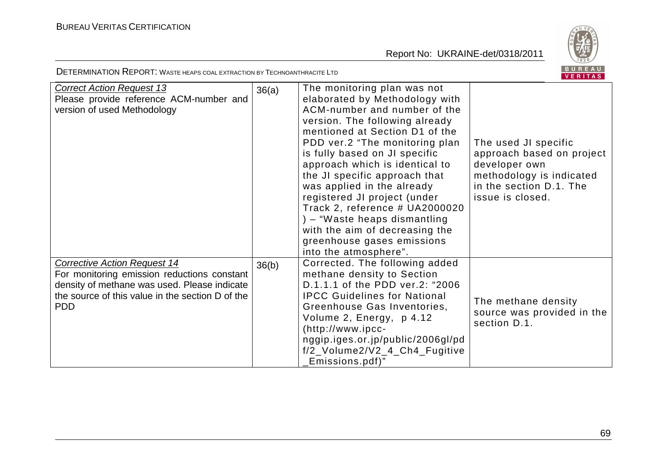

| <b>Correct Action Request 13</b>                                                                 | 36(a) | The monitoring plan was not                                   |                            |
|--------------------------------------------------------------------------------------------------|-------|---------------------------------------------------------------|----------------------------|
| Please provide reference ACM-number and                                                          |       | elaborated by Methodology with                                |                            |
| version of used Methodology                                                                      |       | ACM-number and number of the                                  |                            |
|                                                                                                  |       | version. The following already                                |                            |
|                                                                                                  |       | mentioned at Section D1 of the                                |                            |
|                                                                                                  |       | PDD ver.2 "The monitoring plan                                | The used JI specific       |
|                                                                                                  |       | is fully based on JI specific                                 | approach based on project  |
|                                                                                                  |       | approach which is identical to                                | developer own              |
|                                                                                                  |       | the JI specific approach that                                 | methodology is indicated   |
|                                                                                                  |       | was applied in the already                                    | in the section D.1. The    |
|                                                                                                  |       | registered JI project (under                                  | issue is closed.           |
|                                                                                                  |       | Track 2, reference # UA2000020                                |                            |
|                                                                                                  |       | ) – "Waste heaps dismantling                                  |                            |
|                                                                                                  |       | with the aim of decreasing the                                |                            |
|                                                                                                  |       | greenhouse gases emissions                                    |                            |
|                                                                                                  |       | into the atmosphere".                                         |                            |
| <b>Corrective Action Request 14</b>                                                              | 36(b) | Corrected. The following added                                |                            |
| For monitoring emission reductions constant                                                      |       | methane density to Section<br>D.1.1.1 of the PDD ver.2: "2006 |                            |
| density of methane was used. Please indicate<br>the source of this value in the section D of the |       | <b>IPCC Guidelines for National</b>                           |                            |
| <b>PDD</b>                                                                                       |       | Greenhouse Gas Inventories,                                   | The methane density        |
|                                                                                                  |       | Volume 2, Energy, p 4.12                                      | source was provided in the |
|                                                                                                  |       | (http://www.ipcc-                                             | section D.1.               |
|                                                                                                  |       | nggip.iges.or.jp/public/2006gl/pd                             |                            |
|                                                                                                  |       | f/2_Volume2/V2_4_Ch4_Fugitive                                 |                            |
|                                                                                                  |       | Emissions.pdf)"                                               |                            |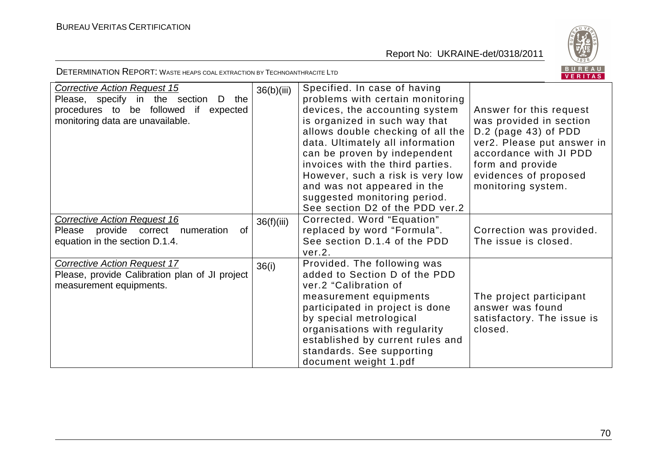

| <b>Corrective Action Request 15</b><br>Please, specify in the section<br>the<br>D<br>procedures to be followed if<br>expected<br>monitoring data are unavailable. | 36(b)(iii) | Specified. In case of having<br>problems with certain monitoring<br>devices, the accounting system<br>is organized in such way that<br>allows double checking of all the<br>data. Ultimately all information<br>can be proven by independent<br>invoices with the third parties.<br>However, such a risk is very low<br>and was not appeared in the<br>suggested monitoring period.<br>See section D2 of the PDD ver.2 | Answer for this request<br>was provided in section<br>$D.2$ (page 43) of PDD<br>ver2. Please put answer in<br>accordance with JI PDD<br>form and provide<br>evidences of proposed<br>monitoring system. |
|-------------------------------------------------------------------------------------------------------------------------------------------------------------------|------------|------------------------------------------------------------------------------------------------------------------------------------------------------------------------------------------------------------------------------------------------------------------------------------------------------------------------------------------------------------------------------------------------------------------------|---------------------------------------------------------------------------------------------------------------------------------------------------------------------------------------------------------|
| <b>Corrective Action Request 16</b><br>Please provide correct numeration<br>0f<br>equation in the section D.1.4.                                                  | 36(f)(iii) | Corrected. Word "Equation"<br>replaced by word "Formula".<br>See section D.1.4 of the PDD<br>ver.2.                                                                                                                                                                                                                                                                                                                    | Correction was provided.<br>The issue is closed.                                                                                                                                                        |
| <b>Corrective Action Request 17</b><br>Please, provide Calibration plan of JI project<br>measurement equipments.                                                  | 36(i)      | Provided. The following was<br>added to Section D of the PDD<br>ver.2 "Calibration of<br>measurement equipments<br>participated in project is done<br>by special metrological<br>organisations with regularity<br>established by current rules and<br>standards. See supporting<br>document weight 1.pdf                                                                                                               | The project participant<br>answer was found<br>satisfactory. The issue is<br>closed.                                                                                                                    |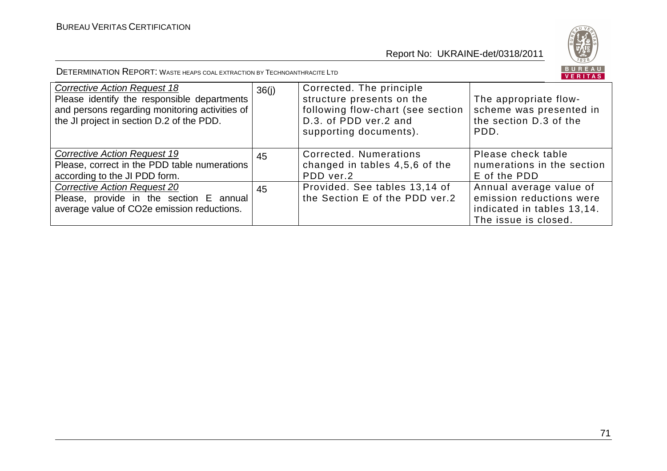

| <b>Corrective Action Request 18</b><br>Please identify the responsible departments<br>and persons regarding monitoring activities of<br>the JI project in section D.2 of the PDD. | 36(i) | Corrected. The principle<br>structure presents on the<br>following flow-chart (see section<br>D.3. of PDD ver.2 and<br>supporting documents). | The appropriate flow-<br>scheme was presented in<br>the section D.3 of the<br>PDD.                        |
|-----------------------------------------------------------------------------------------------------------------------------------------------------------------------------------|-------|-----------------------------------------------------------------------------------------------------------------------------------------------|-----------------------------------------------------------------------------------------------------------|
| <b>Corrective Action Request 19</b><br>Please, correct in the PDD table numerations<br>according to the JI PDD form.                                                              | 45    | Corrected, Numerations<br>changed in tables 4,5,6 of the<br>PDD ver.2                                                                         | Please check table<br>numerations in the section<br>E of the PDD                                          |
| <b>Corrective Action Request 20</b><br>Please, provide in the section E annual<br>average value of CO2e emission reductions.                                                      | 45    | Provided. See tables 13,14 of<br>the Section E of the PDD ver.2                                                                               | Annual average value of<br>emission reductions were<br>indicated in tables 13,14.<br>The issue is closed. |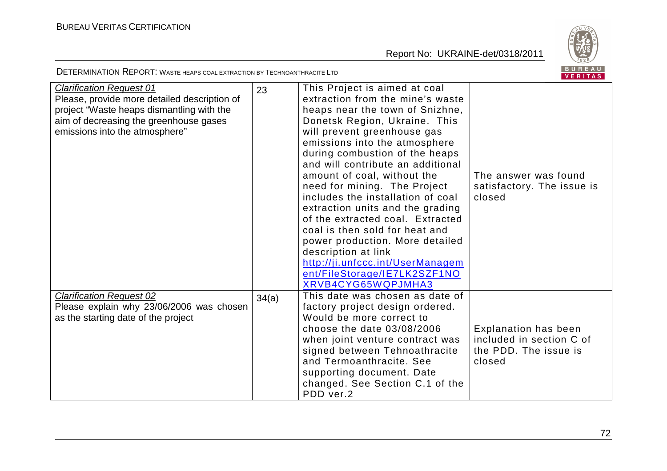Report No: UKRAINE-det/0318/2011



DETERMINATION REPORT: <sup>W</sup>ASTE HEAPS COAL EXTRACTION BY TECHNOANTHRACITE LTD

| <b>Clarification Request 01</b><br>Please, provide more detailed description of | 23    | This Project is aimed at coal<br>extraction from the mine's waste   |                                      |
|---------------------------------------------------------------------------------|-------|---------------------------------------------------------------------|--------------------------------------|
| project "Waste heaps dismantling with the                                       |       | heaps near the town of Snizhne,                                     |                                      |
| aim of decreasing the greenhouse gases                                          |       |                                                                     |                                      |
|                                                                                 |       | Donetsk Region, Ukraine. This                                       |                                      |
| emissions into the atmosphere"                                                  |       | will prevent greenhouse gas                                         |                                      |
|                                                                                 |       | emissions into the atmosphere                                       |                                      |
|                                                                                 |       | during combustion of the heaps<br>and will contribute an additional |                                      |
|                                                                                 |       |                                                                     | The answer was found                 |
|                                                                                 |       | amount of coal, without the<br>need for mining. The Project         |                                      |
|                                                                                 |       | includes the installation of coal                                   | satisfactory. The issue is<br>closed |
|                                                                                 |       | extraction units and the grading                                    |                                      |
|                                                                                 |       | of the extracted coal. Extracted                                    |                                      |
|                                                                                 |       | coal is then sold for heat and                                      |                                      |
|                                                                                 |       | power production. More detailed                                     |                                      |
|                                                                                 |       | description at link                                                 |                                      |
|                                                                                 |       | http://ji.unfccc.int/UserManagem                                    |                                      |
|                                                                                 |       | ent/FileStorage/IE7LK2SZF1NO                                        |                                      |
|                                                                                 |       | XRVB4CYG65WQPJMHA3                                                  |                                      |
| <b>Clarification Request 02</b>                                                 | 34(a) | This date was chosen as date of                                     |                                      |
| Please explain why 23/06/2006 was chosen                                        |       | factory project design ordered.                                     |                                      |
| as the starting date of the project                                             |       | Would be more correct to                                            |                                      |
|                                                                                 |       | choose the date $03/08/2006$                                        | <b>Explanation has been</b>          |
|                                                                                 |       | when joint venture contract was                                     | included in section C of             |
|                                                                                 |       | signed between Tehnoathracite                                       | the PDD. The issue is                |
|                                                                                 |       | and Termoanthracite, See                                            | closed                               |
|                                                                                 |       | supporting document. Date                                           |                                      |
|                                                                                 |       | changed. See Section C.1 of the                                     |                                      |
|                                                                                 |       | PDD ver.2                                                           |                                      |